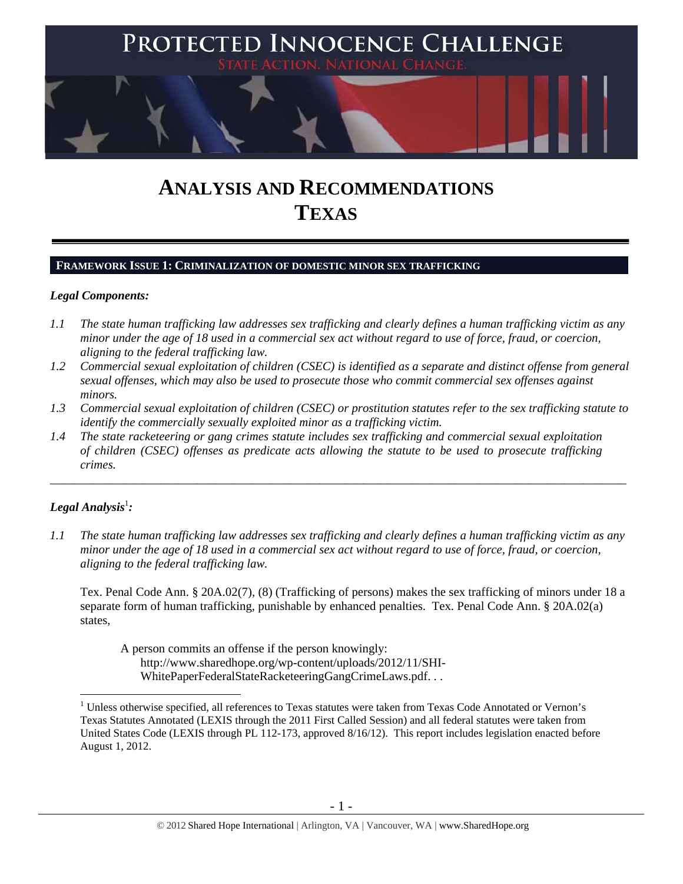

# **ANALYSIS AND RECOMMENDATIONS TEXAS**

#### **FRAMEWORK ISSUE 1: CRIMINALIZATION OF DOMESTIC MINOR SEX TRAFFICKING**

## *Legal Components:*

- *1.1 The state human trafficking law addresses sex trafficking and clearly defines a human trafficking victim as any minor under the age of 18 used in a commercial sex act without regard to use of force, fraud, or coercion, aligning to the federal trafficking law.*
- *1.2 Commercial sexual exploitation of children (CSEC) is identified as a separate and distinct offense from general sexual offenses, which may also be used to prosecute those who commit commercial sex offenses against minors.*
- *1.3 Commercial sexual exploitation of children (CSEC) or prostitution statutes refer to the sex trafficking statute to identify the commercially sexually exploited minor as a trafficking victim.*

\_\_\_\_\_\_\_\_\_\_\_\_\_\_\_\_\_\_\_\_\_\_\_\_\_\_\_\_\_\_\_\_\_\_\_\_\_\_\_\_\_\_\_\_\_\_\_\_\_\_\_\_\_\_\_\_\_\_\_\_\_\_\_\_\_\_\_\_\_\_\_\_\_\_\_\_\_\_\_\_\_\_\_\_\_\_\_\_\_\_\_\_\_\_

*1.4 The state racketeering or gang crimes statute includes sex trafficking and commercial sexual exploitation of children (CSEC) offenses as predicate acts allowing the statute to be used to prosecute trafficking crimes.* 

# $\bm{L}$ egal Analysis $^1$ :

 $\overline{a}$ 

*1.1 The state human trafficking law addresses sex trafficking and clearly defines a human trafficking victim as any minor under the age of 18 used in a commercial sex act without regard to use of force, fraud, or coercion, aligning to the federal trafficking law.* 

Tex. Penal Code Ann. § 20A.02(7), (8) (Trafficking of persons) makes the sex trafficking of minors under 18 a separate form of human trafficking, punishable by enhanced penalties. Tex. Penal Code Ann. § 20A.02(a) states,

A person commits an offense if the person knowingly: http://www.sharedhope.org/wp-content/uploads/2012/11/SHI-WhitePaperFederalStateRacketeeringGangCrimeLaws.pdf. . .

<sup>&</sup>lt;sup>1</sup> Unless otherwise specified, all references to Texas statutes were taken from Texas Code Annotated or Vernon's Texas Statutes Annotated (LEXIS through the 2011 First Called Session) and all federal statutes were taken from United States Code (LEXIS through PL 112-173, approved 8/16/12). This report includes legislation enacted before August 1, 2012.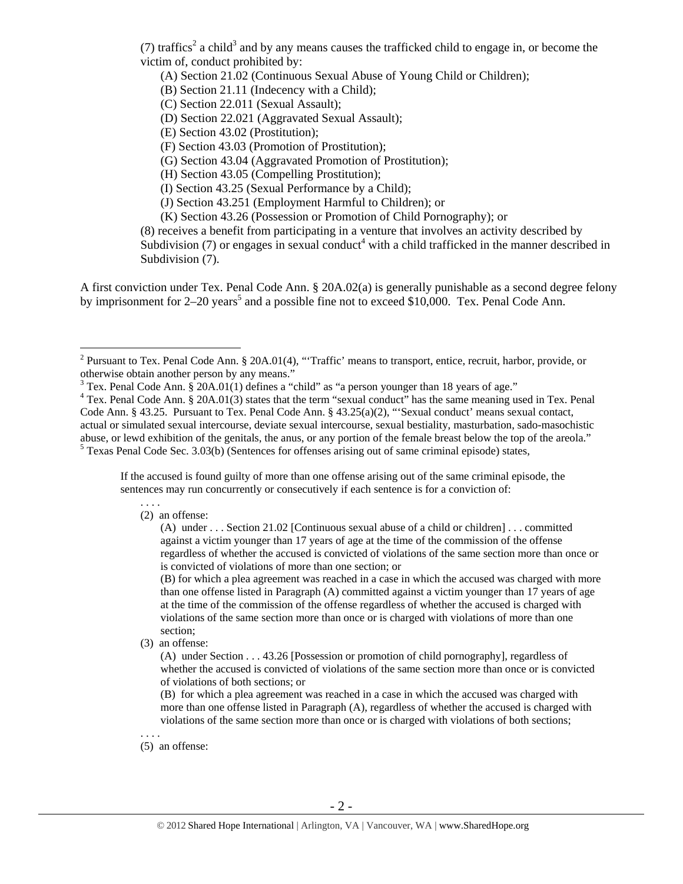(7) traffics<sup>2</sup> a child<sup>3</sup> and by any means causes the trafficked child to engage in, or become the victim of, conduct prohibited by:

(A) Section 21.02 (Continuous Sexual Abuse of Young Child or Children);

(B) Section 21.11 (Indecency with a Child);

(C) Section 22.011 (Sexual Assault);

(D) Section 22.021 (Aggravated Sexual Assault);

(E) Section 43.02 (Prostitution);

(F) Section 43.03 (Promotion of Prostitution);

(G) Section 43.04 (Aggravated Promotion of Prostitution);

(H) Section 43.05 (Compelling Prostitution);

(I) Section 43.25 (Sexual Performance by a Child);

(J) Section 43.251 (Employment Harmful to Children); or

(K) Section 43.26 (Possession or Promotion of Child Pornography); or

(8) receives a benefit from participating in a venture that involves an activity described by Subdivision  $(7)$  or engages in sexual conduct<sup>4</sup> with a child trafficked in the manner described in Subdivision  $(7)$ .

A first conviction under Tex. Penal Code Ann. § 20A.02(a) is generally punishable as a second degree felony by imprisonment for  $2-20$  years<sup>5</sup> and a possible fine not to exceed \$10,000. Tex. Penal Code Ann.

If the accused is found guilty of more than one offense arising out of the same criminal episode, the sentences may run concurrently or consecutively if each sentence is for a conviction of:

## (2) an offense:

. . . .

 $\overline{a}$ 

(B) for which a plea agreement was reached in a case in which the accused was charged with more than one offense listed in Paragraph (A) committed against a victim younger than 17 years of age at the time of the commission of the offense regardless of whether the accused is charged with violations of the same section more than once or is charged with violations of more than one section;

(3) an offense:

(A) under Section . . . 43.26 [Possession or promotion of child pornography], regardless of whether the accused is convicted of violations of the same section more than once or is convicted of violations of both sections; or

(B) for which a plea agreement was reached in a case in which the accused was charged with more than one offense listed in Paragraph (A), regardless of whether the accused is charged with violations of the same section more than once or is charged with violations of both sections;

(5) an offense:

. . . .

<sup>&</sup>lt;sup>2</sup> Pursuant to Tex. Penal Code Ann. § 20A.01(4), "Traffic' means to transport, entice, recruit, harbor, provide, or otherwise obtain another person by any means."

 $3$  Tex. Penal Code Ann.  $\S$  20A.01(1) defines a "child" as "a person younger than 18 years of age."

<sup>&</sup>lt;sup>4</sup> Tex. Penal Code Ann. § 20A.01(3) states that the term "sexual conduct" has the same meaning used in Tex. Penal Code Ann. § 43.25. Pursuant to Tex. Penal Code Ann. § 43.25(a)(2), "'Sexual conduct' means sexual contact, actual or simulated sexual intercourse, deviate sexual intercourse, sexual bestiality, masturbation, sado-masochistic abuse, or lewd exhibition of the genitals, the anus, or any portion of the female breast below the top of the areola." 5 <sup>5</sup> Texas Penal Code Sec. 3.03(b) (Sentences for offenses arising out of same criminal episode) states,

<sup>(</sup>A) under . . . Section 21.02 [Continuous sexual abuse of a child or children] . . . committed against a victim younger than 17 years of age at the time of the commission of the offense regardless of whether the accused is convicted of violations of the same section more than once or is convicted of violations of more than one section; or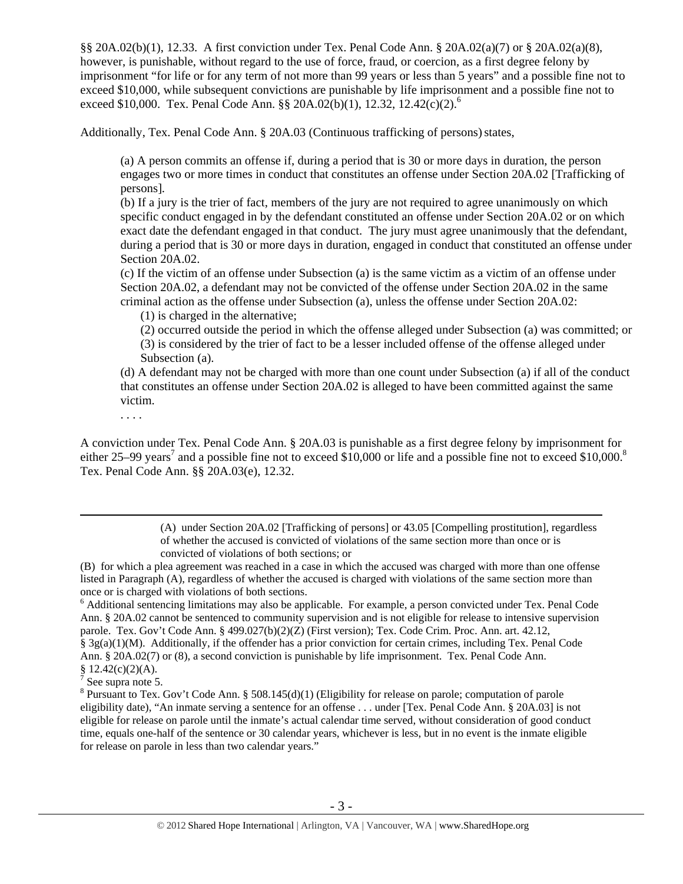§§ 20A.02(b)(1), 12.33. A first conviction under Tex. Penal Code Ann. § 20A.02(a)(7) or § 20A.02(a)(8), however, is punishable, without regard to the use of force, fraud, or coercion, as a first degree felony by imprisonment "for life or for any term of not more than 99 years or less than 5 years" and a possible fine not to exceed \$10,000, while subsequent convictions are punishable by life imprisonment and a possible fine not to exceed \$10,000. Tex. Penal Code Ann. §§ 20A.02(b)(1), 12.32, 12.42(c)(2).<sup>6</sup>

Additionally, Tex. Penal Code Ann. § 20A.03 (Continuous trafficking of persons) states,

(a) A person commits an offense if, during a period that is 30 or more days in duration, the person engages two or more times in conduct that constitutes an offense under Section 20A.02 [Trafficking of persons].

(b) If a jury is the trier of fact, members of the jury are not required to agree unanimously on which specific conduct engaged in by the defendant constituted an offense under Section 20A.02 or on which exact date the defendant engaged in that conduct. The jury must agree unanimously that the defendant, during a period that is 30 or more days in duration, engaged in conduct that constituted an offense under Section 20A.02.

(c) If the victim of an offense under Subsection (a) is the same victim as a victim of an offense under Section 20A.02, a defendant may not be convicted of the offense under Section 20A.02 in the same criminal action as the offense under Subsection (a), unless the offense under Section 20A.02:

(1) is charged in the alternative;

(2) occurred outside the period in which the offense alleged under Subsection (a) was committed; or (3) is considered by the trier of fact to be a lesser included offense of the offense alleged under Subsection (a).

(d) A defendant may not be charged with more than one count under Subsection (a) if all of the conduct that constitutes an offense under Section 20A.02 is alleged to have been committed against the same victim.

. . . .

A conviction under Tex. Penal Code Ann. § 20A.03 is punishable as a first degree felony by imprisonment for either 25–99 years<sup>7</sup> and a possible fine not to exceed \$10,000 or life and a possible fine not to exceed \$10,000.<sup>8</sup> Tex. Penal Code Ann. §§ 20A.03(e), 12.32.

> (A) under Section 20A.02 [Trafficking of persons] or 43.05 [Compelling prostitution], regardless of whether the accused is convicted of violations of the same section more than once or is convicted of violations of both sections; or

(B) for which a plea agreement was reached in a case in which the accused was charged with more than one offense listed in Paragraph (A), regardless of whether the accused is charged with violations of the same section more than once or is charged with violations of both sections.

<sup>6</sup> Additional sentencing limitations may also be applicable. For example, a person convicted under Tex. Penal Code Ann. § 20A.02 cannot be sentenced to community supervision and is not eligible for release to intensive supervision parole. Tex. Gov't Code Ann. § 499.027(b)(2)(Z) (First version); Tex. Code Crim. Proc. Ann. art. 42.12, § 3g(a)(1)(M). Additionally, if the offender has a prior conviction for certain crimes, including Tex. Penal Code Ann. § 20A.02(7) or (8), a second conviction is punishable by life imprisonment. Tex. Penal Code Ann.

 $\frac{8}{7}$  12.42(c)(2)(A). See supra note 5.

<sup>&</sup>lt;sup>8</sup> Pursuant to Tex. Gov't Code Ann. § 508.145(d)(1) (Eligibility for release on parole; computation of parole eligibility date), "An inmate serving a sentence for an offense . . . under [Tex. Penal Code Ann. § 20A.03] is not eligible for release on parole until the inmate's actual calendar time served, without consideration of good conduct time, equals one-half of the sentence or 30 calendar years, whichever is less, but in no event is the inmate eligible for release on parole in less than two calendar years."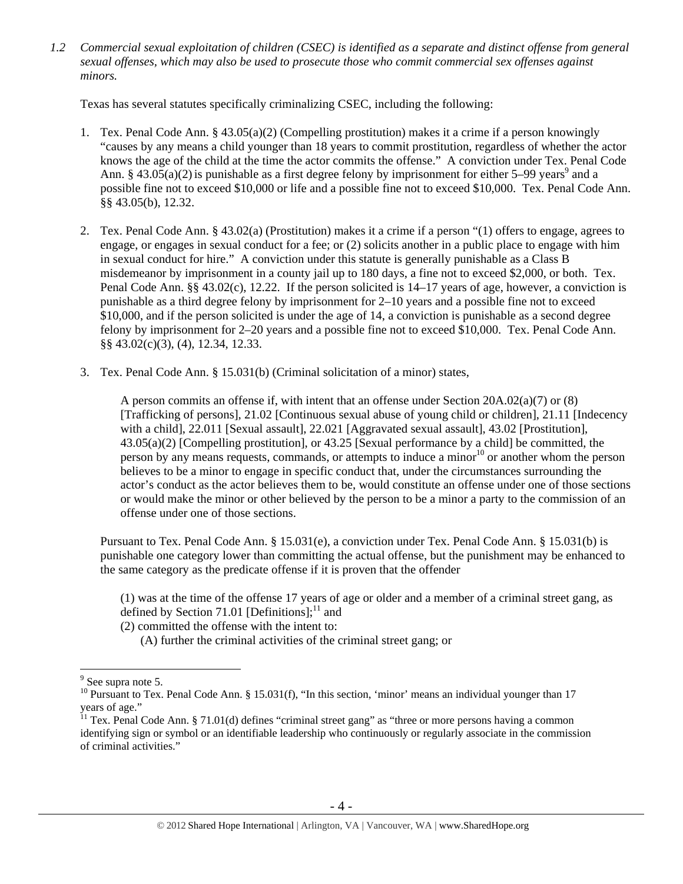*1.2 Commercial sexual exploitation of children (CSEC) is identified as a separate and distinct offense from general sexual offenses, which may also be used to prosecute those who commit commercial sex offenses against minors.* 

Texas has several statutes specifically criminalizing CSEC, including the following:

- 1. Tex. Penal Code Ann. § 43.05(a)(2) (Compelling prostitution) makes it a crime if a person knowingly "causes by any means a child younger than 18 years to commit prostitution, regardless of whether the actor knows the age of the child at the time the actor commits the offense." A conviction under Tex. Penal Code Ann. § 43.05(a)(2) is punishable as a first degree felony by imprisonment for either 5–99 years<sup>9</sup> and a possible fine not to exceed \$10,000 or life and a possible fine not to exceed \$10,000. Tex. Penal Code Ann. §§ 43.05(b), 12.32.
- 2. Tex. Penal Code Ann. § 43.02(a) (Prostitution) makes it a crime if a person "(1) offers to engage, agrees to engage, or engages in sexual conduct for a fee; or (2) solicits another in a public place to engage with him in sexual conduct for hire." A conviction under this statute is generally punishable as a Class B misdemeanor by imprisonment in a county jail up to 180 days, a fine not to exceed \$2,000, or both. Tex. Penal Code Ann. §§ 43.02(c), 12.22. If the person solicited is 14–17 years of age, however, a conviction is punishable as a third degree felony by imprisonment for 2–10 years and a possible fine not to exceed \$10,000, and if the person solicited is under the age of 14, a conviction is punishable as a second degree felony by imprisonment for 2–20 years and a possible fine not to exceed \$10,000. Tex. Penal Code Ann. §§ 43.02(c)(3), (4), 12.34, 12.33.
- 3. Tex. Penal Code Ann. § 15.031(b) (Criminal solicitation of a minor) states,

A person commits an offense if, with intent that an offense under Section 20A.02(a)(7) or (8) [Trafficking of persons], 21.02 [Continuous sexual abuse of young child or children], 21.11 [Indecency with a child], 22.011 [Sexual assault], 22.021 [Aggravated sexual assault], 43.02 [Prostitution], 43.05(a)(2) [Compelling prostitution], or 43.25 [Sexual performance by a child] be committed, the person by any means requests, commands, or attempts to induce a minor<sup>10</sup> or another whom the person believes to be a minor to engage in specific conduct that, under the circumstances surrounding the actor's conduct as the actor believes them to be, would constitute an offense under one of those sections or would make the minor or other believed by the person to be a minor a party to the commission of an offense under one of those sections.

Pursuant to Tex. Penal Code Ann. § 15.031(e), a conviction under Tex. Penal Code Ann. § 15.031(b) is punishable one category lower than committing the actual offense, but the punishment may be enhanced to the same category as the predicate offense if it is proven that the offender

(1) was at the time of the offense 17 years of age or older and a member of a criminal street gang, as defined by Section 71.01 [Definitions]; $^{11}$  and

(2) committed the offense with the intent to:

(A) further the criminal activities of the criminal street gang; or

<sup>&</sup>lt;sup>9</sup> See supra note 5.

<sup>&</sup>lt;sup>10</sup> Pursuant to Tex. Penal Code Ann. § 15.031(f), "In this section, 'minor' means an individual younger than 17 years of age."

<sup>&</sup>lt;sup>11</sup> Tex. Penal Code Ann. § 71.01(d) defines "criminal street gang" as "three or more persons having a common identifying sign or symbol or an identifiable leadership who continuously or regularly associate in the commission of criminal activities."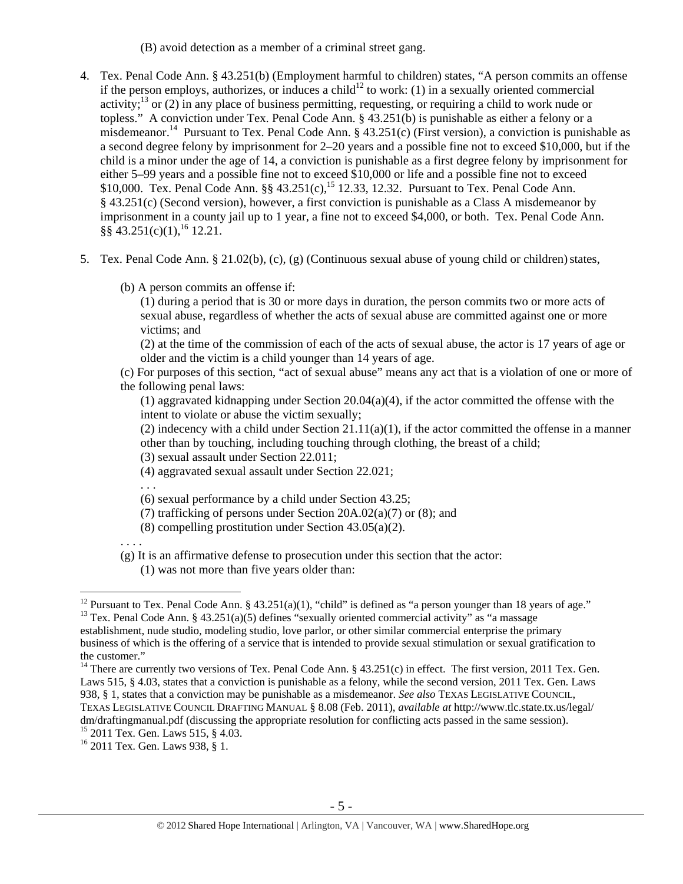(B) avoid detection as a member of a criminal street gang.

- 4. Tex. Penal Code Ann. § 43.251(b) (Employment harmful to children) states, "A person commits an offense if the person employs, authorizes, or induces a child<sup>12</sup> to work: (1) in a sexually oriented commercial activity;<sup>13</sup> or (2) in any place of business permitting, requesting, or requiring a child to work nude or topless." A conviction under Tex. Penal Code Ann. § 43.251(b) is punishable as either a felony or a misdemeanor.<sup>14</sup> Pursuant to Tex. Penal Code Ann. § 43.251(c) (First version), a conviction is punishable as a second degree felony by imprisonment for 2–20 years and a possible fine not to exceed \$10,000, but if the child is a minor under the age of 14, a conviction is punishable as a first degree felony by imprisonment for either 5–99 years and a possible fine not to exceed \$10,000 or life and a possible fine not to exceed \$10,000. Tex. Penal Code Ann. §§  $43.251(c)$ ,<sup>15</sup> 12.33, 12.32. Pursuant to Tex. Penal Code Ann. § 43.251(c) (Second version), however, a first conviction is punishable as a Class A misdemeanor by imprisonment in a county jail up to 1 year, a fine not to exceed \$4,000, or both. Tex. Penal Code Ann.  $\hat{\S} \hat{\S}$  43.251(c)(1), <sup>16</sup> 12.21.
- 5. Tex. Penal Code Ann. § 21.02(b), (c), (g) (Continuous sexual abuse of young child or children)states,
	- (b) A person commits an offense if:

(1) during a period that is 30 or more days in duration, the person commits two or more acts of sexual abuse, regardless of whether the acts of sexual abuse are committed against one or more victims; and

(2) at the time of the commission of each of the acts of sexual abuse, the actor is 17 years of age or older and the victim is a child younger than 14 years of age.

(c) For purposes of this section, "act of sexual abuse" means any act that is a violation of one or more of the following penal laws:

(1) aggravated kidnapping under Section 20.04(a)(4), if the actor committed the offense with the intent to violate or abuse the victim sexually;

(2) indecency with a child under Section  $21.11(a)(1)$ , if the actor committed the offense in a manner other than by touching, including touching through clothing, the breast of a child;

(3) sexual assault under Section 22.011;

- (4) aggravated sexual assault under Section 22.021;
- . . .

(6) sexual performance by a child under Section 43.25;

- (7) trafficking of persons under Section 20A.02(a)(7) or (8); and
- (8) compelling prostitution under Section 43.05(a)(2).

. . . .

- (g) It is an affirmative defense to prosecution under this section that the actor:
	- (1) was not more than five years older than:

<sup>&</sup>lt;sup>12</sup> Pursuant to Tex. Penal Code Ann. § 43.251(a)(1), "child" is defined as "a person younger than 18 years of age."

<sup>&</sup>lt;sup>13</sup> Tex. Penal Code Ann. § 43.251(a)(5) defines "sexually oriented commercial activity" as "a massage establishment, nude studio, modeling studio, love parlor, or other similar commercial enterprise the primary business of which is the offering of a service that is intended to provide sexual stimulation or sexual gratification to the customer."

<sup>&</sup>lt;sup>14</sup> There are currently two versions of Tex. Penal Code Ann. §  $43.251(c)$  in effect. The first version, 2011 Tex. Gen. Laws 515, § 4.03, states that a conviction is punishable as a felony, while the second version, 2011 Tex. Gen. Laws 938, § 1, states that a conviction may be punishable as a misdemeanor. *See also* TEXAS LEGISLATIVE COUNCIL, TEXAS LEGISLATIVE COUNCIL DRAFTING MANUAL § 8.08 (Feb. 2011), *available at* http://www.tlc.state.tx.us/legal/ dm/draftingmanual.pdf (discussing the appropriate resolution for conflicting acts passed in the same session).

<sup>15 2011</sup> Tex. Gen. Laws 515, § 4.03.

<sup>16 2011</sup> Tex. Gen. Laws 938, § 1.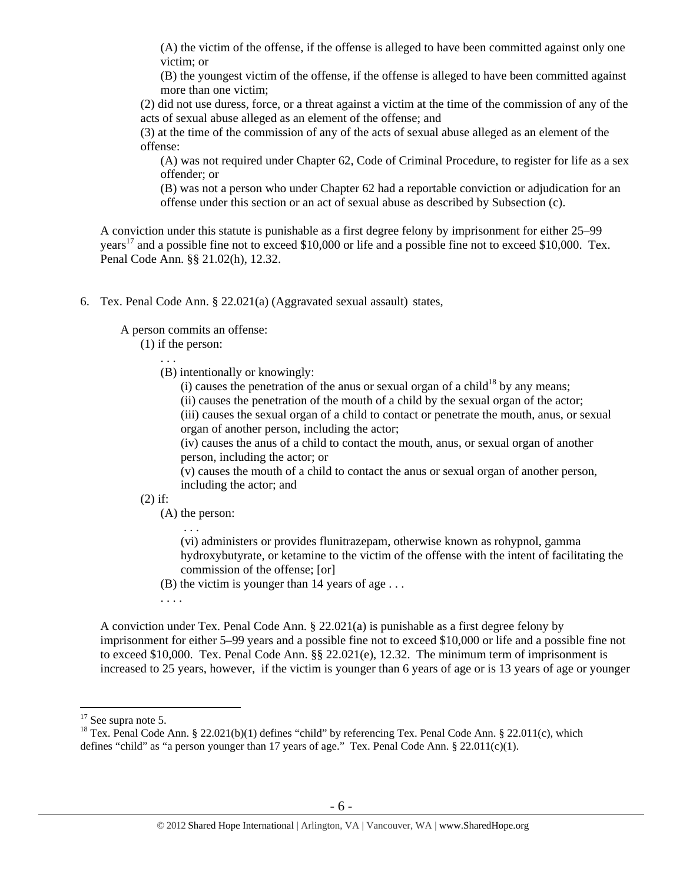(A) the victim of the offense, if the offense is alleged to have been committed against only one victim; or

(B) the youngest victim of the offense, if the offense is alleged to have been committed against more than one victim;

(2) did not use duress, force, or a threat against a victim at the time of the commission of any of the acts of sexual abuse alleged as an element of the offense; and

(3) at the time of the commission of any of the acts of sexual abuse alleged as an element of the offense:

(A) was not required under Chapter 62, Code of Criminal Procedure, to register for life as a sex offender; or

(B) was not a person who under Chapter 62 had a reportable conviction or adjudication for an offense under this section or an act of sexual abuse as described by Subsection (c).

A conviction under this statute is punishable as a first degree felony by imprisonment for either 25–99 years<sup>17</sup> and a possible fine not to exceed \$10,000 or life and a possible fine not to exceed \$10,000. Tex. Penal Code Ann. §§ 21.02(h), 12.32.

6. Tex. Penal Code Ann. § 22.021(a) (Aggravated sexual assault) states,

A person commits an offense:

(1) if the person:

. . .

- (B) intentionally or knowingly:
	- (i) causes the penetration of the anus or sexual organ of a child<sup>18</sup> by any means;
	- (ii) causes the penetration of the mouth of a child by the sexual organ of the actor;

(iii) causes the sexual organ of a child to contact or penetrate the mouth, anus, or sexual organ of another person, including the actor;

(iv) causes the anus of a child to contact the mouth, anus, or sexual organ of another person, including the actor; or

(v) causes the mouth of a child to contact the anus or sexual organ of another person, including the actor; and

(2) if:

(A) the person: . . .

> (vi) administers or provides flunitrazepam, otherwise known as rohypnol, gamma hydroxybutyrate, or ketamine to the victim of the offense with the intent of facilitating the commission of the offense; [or]

- (B) the victim is younger than 14 years of age . . .
- . . . .

A conviction under Tex. Penal Code Ann. § 22.021(a) is punishable as a first degree felony by imprisonment for either 5–99 years and a possible fine not to exceed \$10,000 or life and a possible fine not to exceed \$10,000. Tex. Penal Code Ann. §§ 22.021(e), 12.32. The minimum term of imprisonment is increased to 25 years, however, if the victim is younger than 6 years of age or is 13 years of age or younger

 $17$  See supra note 5.

<sup>&</sup>lt;sup>18</sup> Tex. Penal Code Ann. § 22.021(b)(1) defines "child" by referencing Tex. Penal Code Ann. § 22.011(c), which defines "child" as "a person younger than 17 years of age." Tex. Penal Code Ann.  $\S 22.011(c)(1)$ .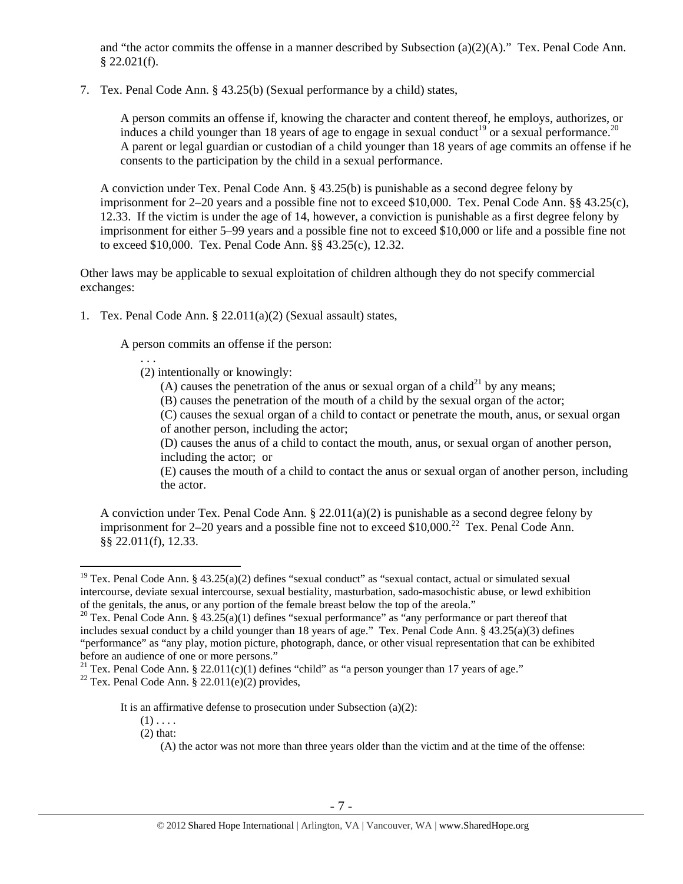and "the actor commits the offense in a manner described by Subsection (a)(2)(A)." Tex. Penal Code Ann.  $$22.021(f).$ 

7. Tex. Penal Code Ann. § 43.25(b) (Sexual performance by a child) states,

A person commits an offense if, knowing the character and content thereof, he employs, authorizes, or induces a child younger than 18 years of age to engage in sexual conduct<sup>19</sup> or a sexual performance.<sup>20</sup> A parent or legal guardian or custodian of a child younger than 18 years of age commits an offense if he consents to the participation by the child in a sexual performance.

A conviction under Tex. Penal Code Ann. § 43.25(b) is punishable as a second degree felony by imprisonment for 2–20 years and a possible fine not to exceed \$10,000. Tex. Penal Code Ann. §§ 43.25(c), 12.33. If the victim is under the age of 14, however, a conviction is punishable as a first degree felony by imprisonment for either 5–99 years and a possible fine not to exceed \$10,000 or life and a possible fine not to exceed \$10,000. Tex. Penal Code Ann. §§ 43.25(c), 12.32.

Other laws may be applicable to sexual exploitation of children although they do not specify commercial exchanges:

1. Tex. Penal Code Ann. § 22.011(a)(2) (Sexual assault) states,

A person commits an offense if the person:

. . . (2) intentionally or knowingly:

(A) causes the penetration of the anus or sexual organ of a child<sup>21</sup> by any means;

(B) causes the penetration of the mouth of a child by the sexual organ of the actor;

(C) causes the sexual organ of a child to contact or penetrate the mouth, anus, or sexual organ of another person, including the actor;

(D) causes the anus of a child to contact the mouth, anus, or sexual organ of another person, including the actor; or

(E) causes the mouth of a child to contact the anus or sexual organ of another person, including the actor.

A conviction under Tex. Penal Code Ann. § 22.011(a)(2) is punishable as a second degree felony by imprisonment for  $2-20$  years and a possible fine not to exceed \$10,000.<sup>22</sup> Tex. Penal Code Ann. §§ 22.011(f), 12.33.

<sup>&</sup>lt;sup>19</sup> Tex. Penal Code Ann. § 43.25(a)(2) defines "sexual conduct" as "sexual contact, actual or simulated sexual intercourse, deviate sexual intercourse, sexual bestiality, masturbation, sado-masochistic abuse, or lewd exhibition of the genitals, the anus, or any portion of the female breast below the top of the areola."

<sup>&</sup>lt;sup>20</sup> Tex. Penal Code Ann. § 43.25(a)(1) defines "sexual performance" as "any performance or part thereof that includes sexual conduct by a child younger than 18 years of age." Tex. Penal Code Ann. § 43.25(a)(3) defines "performance" as "any play, motion picture, photograph, dance, or other visual representation that can be exhibited before an audience of one or more persons."

<sup>&</sup>lt;sup>21</sup> Tex. Penal Code Ann. § 22.011(c)(1) defines "child" as "a person younger than 17 years of age."

<sup>&</sup>lt;sup>22</sup> Tex. Penal Code Ann. § 22.011(e)(2) provides,

It is an affirmative defense to prosecution under Subsection  $(a)(2)$ :

 $(1)$ ...

<sup>(2)</sup> that:

<sup>(</sup>A) the actor was not more than three years older than the victim and at the time of the offense: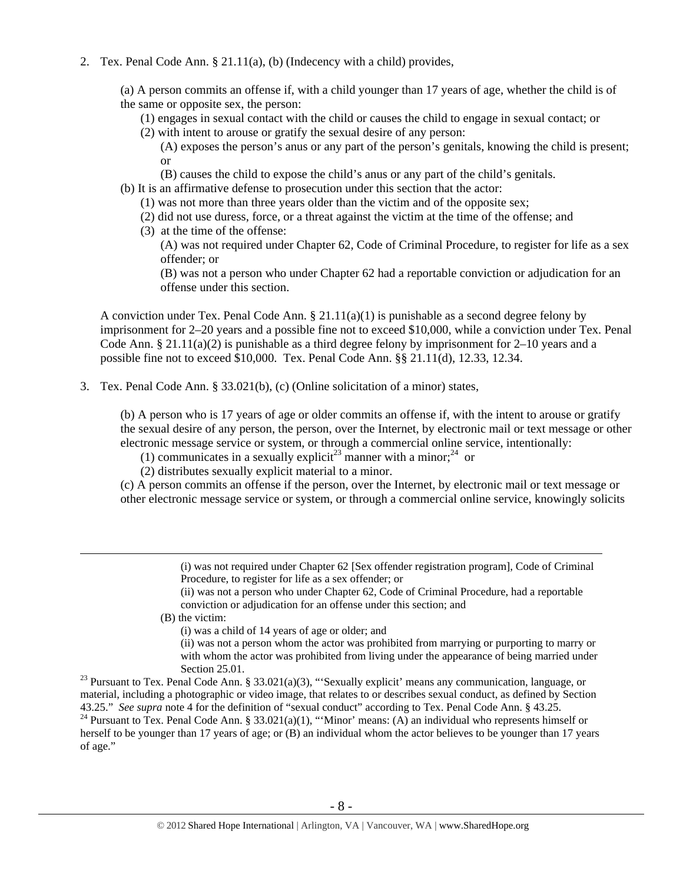2. Tex. Penal Code Ann. § 21.11(a), (b) (Indecency with a child) provides,

(a) A person commits an offense if, with a child younger than 17 years of age, whether the child is of the same or opposite sex, the person:

(1) engages in sexual contact with the child or causes the child to engage in sexual contact; or

(2) with intent to arouse or gratify the sexual desire of any person:

(A) exposes the person's anus or any part of the person's genitals, knowing the child is present; or

- (B) causes the child to expose the child's anus or any part of the child's genitals.
- (b) It is an affirmative defense to prosecution under this section that the actor:
	- (1) was not more than three years older than the victim and of the opposite sex;
	- (2) did not use duress, force, or a threat against the victim at the time of the offense; and
	- (3) at the time of the offense:
		- (A) was not required under Chapter 62, Code of Criminal Procedure, to register for life as a sex offender; or

(B) was not a person who under Chapter 62 had a reportable conviction or adjudication for an offense under this section.

A conviction under Tex. Penal Code Ann.  $\S 21.11(a)(1)$  is punishable as a second degree felony by imprisonment for 2–20 years and a possible fine not to exceed \$10,000, while a conviction under Tex. Penal Code Ann. § 21.11(a)(2) is punishable as a third degree felony by imprisonment for 2–10 years and a possible fine not to exceed \$10,000. Tex. Penal Code Ann. §§ 21.11(d), 12.33, 12.34.

3. Tex. Penal Code Ann. § 33.021(b), (c) (Online solicitation of a minor) states,

(b) A person who is 17 years of age or older commits an offense if, with the intent to arouse or gratify the sexual desire of any person, the person, over the Internet, by electronic mail or text message or other electronic message service or system, or through a commercial online service, intentionally:

(1) communicates in a sexually explicit<sup>23</sup> manner with a minor;<sup>24</sup> or

(2) distributes sexually explicit material to a minor.

(c) A person commits an offense if the person, over the Internet, by electronic mail or text message or other electronic message service or system, or through a commercial online service, knowingly solicits

> (i) was not required under Chapter 62 [Sex offender registration program], Code of Criminal Procedure, to register for life as a sex offender; or

(ii) was not a person who under Chapter 62, Code of Criminal Procedure, had a reportable conviction or adjudication for an offense under this section; and

(B) the victim:

(i) was a child of 14 years of age or older; and

(ii) was not a person whom the actor was prohibited from marrying or purporting to marry or with whom the actor was prohibited from living under the appearance of being married under

Section 25.01.<br><sup>23</sup> Pursuant to Tex. Penal Code Ann. § 33.021(a)(3), "'Sexually explicit' means any communication, language, or material, including a photographic or video image, that relates to or describes sexual conduct, as defined by Section 43.25." See supra note 4 for the definition of "sexual conduct" according to Tex. Penal Code Ann. § 43.2 <sup>24</sup> Pursuant to Tex. Penal Code Ann. § 33.021(a)(1), "'Minor' means: (A) an individual who represents himself or

herself to be younger than 17 years of age; or (B) an individual whom the actor believes to be younger than 17 years of age."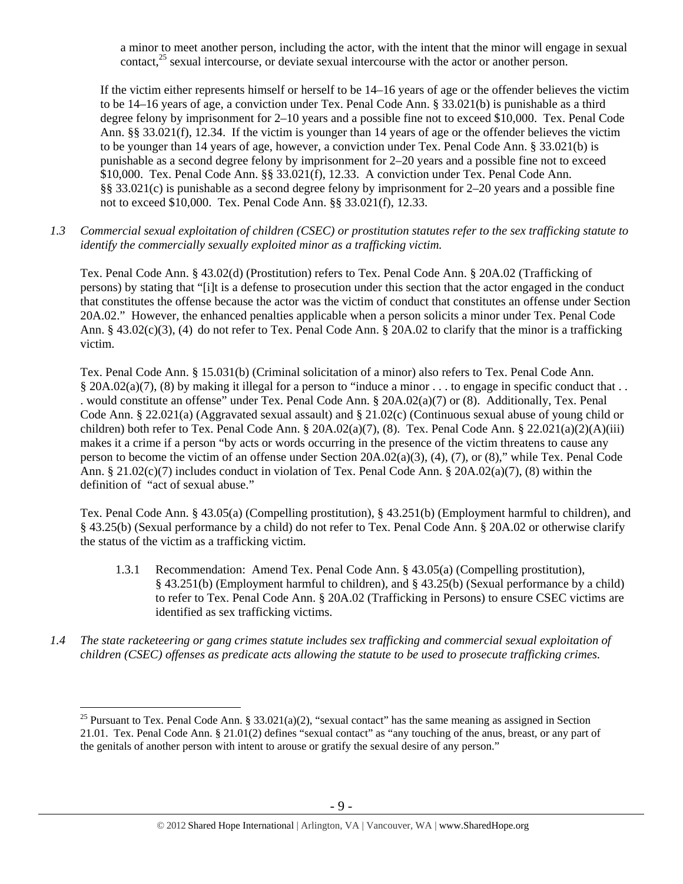a minor to meet another person, including the actor, with the intent that the minor will engage in sexual contact,<sup>25</sup> sexual intercourse, or deviate sexual intercourse with the actor or another person.

If the victim either represents himself or herself to be 14–16 years of age or the offender believes the victim to be 14–16 years of age, a conviction under Tex. Penal Code Ann. § 33.021(b) is punishable as a third degree felony by imprisonment for 2–10 years and a possible fine not to exceed \$10,000. Tex. Penal Code Ann. §§ 33.021(f), 12.34. If the victim is younger than 14 years of age or the offender believes the victim to be younger than 14 years of age, however, a conviction under Tex. Penal Code Ann. § 33.021(b) is punishable as a second degree felony by imprisonment for 2–20 years and a possible fine not to exceed \$10,000. Tex. Penal Code Ann. §§ 33.021(f), 12.33. A conviction under Tex. Penal Code Ann. §§ 33.021(c) is punishable as a second degree felony by imprisonment for 2–20 years and a possible fine not to exceed \$10,000. Tex. Penal Code Ann. §§ 33.021(f), 12.33.

*1.3 Commercial sexual exploitation of children (CSEC) or prostitution statutes refer to the sex trafficking statute to identify the commercially sexually exploited minor as a trafficking victim.* 

Tex. Penal Code Ann. § 43.02(d) (Prostitution) refers to Tex. Penal Code Ann. § 20A.02 (Trafficking of persons) by stating that "[i]t is a defense to prosecution under this section that the actor engaged in the conduct that constitutes the offense because the actor was the victim of conduct that constitutes an offense under Section 20A.02." However, the enhanced penalties applicable when a person solicits a minor under Tex. Penal Code Ann. § 43.02(c)(3), (4) do not refer to Tex. Penal Code Ann. § 20A.02 to clarify that the minor is a trafficking victim.

Tex. Penal Code Ann. § 15.031(b) (Criminal solicitation of a minor) also refers to Tex. Penal Code Ann. § 20A.02(a)(7), (8) by making it illegal for a person to "induce a minor ... to engage in specific conduct that .. . would constitute an offense" under Tex. Penal Code Ann. § 20A.02(a)(7) or (8). Additionally, Tex. Penal Code Ann. § 22.021(a) (Aggravated sexual assault) and § 21.02(c) (Continuous sexual abuse of young child or children) both refer to Tex. Penal Code Ann. §  $20A.02(a)(7)$ , (8). Tex. Penal Code Ann. §  $22.021(a)(2)(A)(iii)$ makes it a crime if a person "by acts or words occurring in the presence of the victim threatens to cause any person to become the victim of an offense under Section 20A.02(a)(3), (4), (7), or (8)," while Tex. Penal Code Ann. § 21.02(c)(7) includes conduct in violation of Tex. Penal Code Ann. § 20A.02(a)(7), (8) within the definition of "act of sexual abuse."

Tex. Penal Code Ann. § 43.05(a) (Compelling prostitution), § 43.251(b) (Employment harmful to children), and § 43.25(b) (Sexual performance by a child) do not refer to Tex. Penal Code Ann. § 20A.02 or otherwise clarify the status of the victim as a trafficking victim.

- 1.3.1 Recommendation: Amend Tex. Penal Code Ann. § 43.05(a) (Compelling prostitution), § 43.251(b) (Employment harmful to children), and § 43.25(b) (Sexual performance by a child) to refer to Tex. Penal Code Ann. § 20A.02 (Trafficking in Persons) to ensure CSEC victims are identified as sex trafficking victims.
- *1.4 The state racketeering or gang crimes statute includes sex trafficking and commercial sexual exploitation of children (CSEC) offenses as predicate acts allowing the statute to be used to prosecute trafficking crimes.*

<sup>&</sup>lt;sup>25</sup> Pursuant to Tex. Penal Code Ann. § 33.021(a)(2), "sexual contact" has the same meaning as assigned in Section 21.01. Tex. Penal Code Ann. § 21.01(2) defines "sexual contact" as "any touching of the anus, breast, or any part of the genitals of another person with intent to arouse or gratify the sexual desire of any person."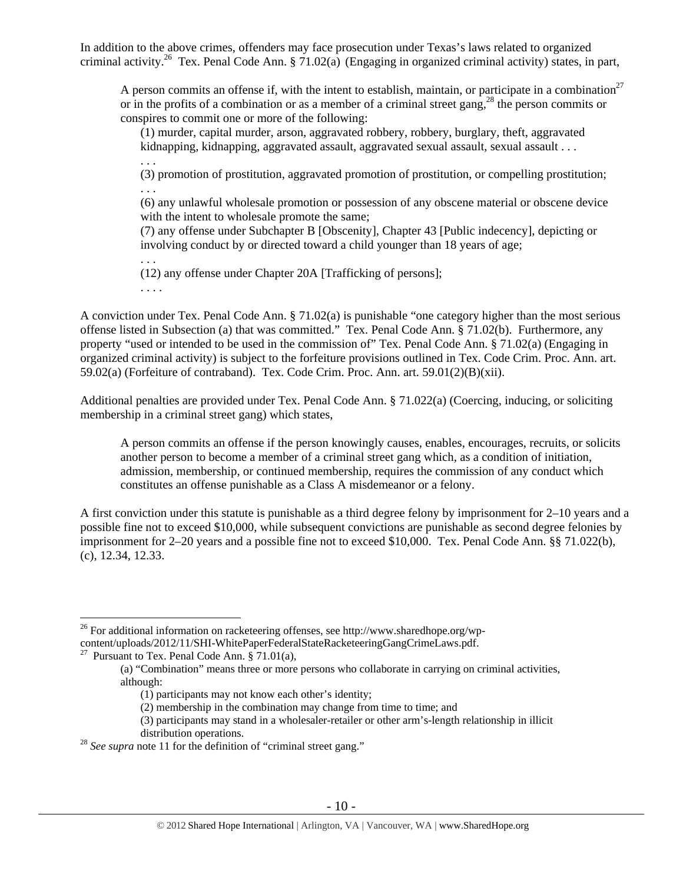In addition to the above crimes, offenders may face prosecution under Texas's laws related to organized criminal activity.<sup>26</sup> Tex. Penal Code Ann. § 71.02(a) (Engaging in organized criminal activity) states, in part,

A person commits an offense if, with the intent to establish, maintain, or participate in a combination<sup>27</sup> or in the profits of a combination or as a member of a criminal street gang,<sup>28</sup> the person commits or conspires to commit one or more of the following:

(1) murder, capital murder, arson, aggravated robbery, robbery, burglary, theft, aggravated kidnapping, kidnapping, aggravated assault, aggravated sexual assault, sexual assault . . .

(3) promotion of prostitution, aggravated promotion of prostitution, or compelling prostitution; . . .

(6) any unlawful wholesale promotion or possession of any obscene material or obscene device with the intent to wholesale promote the same;

(7) any offense under Subchapter B [Obscenity], Chapter 43 [Public indecency], depicting or involving conduct by or directed toward a child younger than 18 years of age;

(12) any offense under Chapter 20A [Trafficking of persons];

. . . .

. . .

. . .

A conviction under Tex. Penal Code Ann. § 71.02(a) is punishable "one category higher than the most serious offense listed in Subsection (a) that was committed." Tex. Penal Code Ann. § 71.02(b). Furthermore, any property "used or intended to be used in the commission of" Tex. Penal Code Ann. § 71.02(a) (Engaging in organized criminal activity) is subject to the forfeiture provisions outlined in Tex. Code Crim. Proc. Ann. art. 59.02(a) (Forfeiture of contraband). Tex. Code Crim. Proc. Ann. art. 59.01(2)(B)(xii).

Additional penalties are provided under Tex. Penal Code Ann. § 71.022(a) (Coercing, inducing, or soliciting membership in a criminal street gang) which states,

A person commits an offense if the person knowingly causes, enables, encourages, recruits, or solicits another person to become a member of a criminal street gang which, as a condition of initiation, admission, membership, or continued membership, requires the commission of any conduct which constitutes an offense punishable as a Class A misdemeanor or a felony.

A first conviction under this statute is punishable as a third degree felony by imprisonment for 2–10 years and a possible fine not to exceed \$10,000, while subsequent convictions are punishable as second degree felonies by imprisonment for 2–20 years and a possible fine not to exceed \$10,000. Tex. Penal Code Ann. §§ 71.022(b), (c), 12.34, 12.33.

<sup>&</sup>lt;sup>26</sup> For additional information on racketeering offenses, see http://www.sharedhope.org/wpcontent/uploads/2012/11/SHI-WhitePaperFederalStateRacketeeringGangCrimeLaws.pdf. 27 Pursuant to Tex. Penal Code Ann. § 71.01(a),

<sup>(</sup>a) "Combination" means three or more persons who collaborate in carrying on criminal activities, although:

<sup>(1)</sup> participants may not know each other's identity;

<sup>(2)</sup> membership in the combination may change from time to time; and

<sup>(3)</sup> participants may stand in a wholesaler-retailer or other arm's-length relationship in illicit

distribution operations.<br><sup>28</sup> *See supra* note 11 for the definition of "criminal street gang."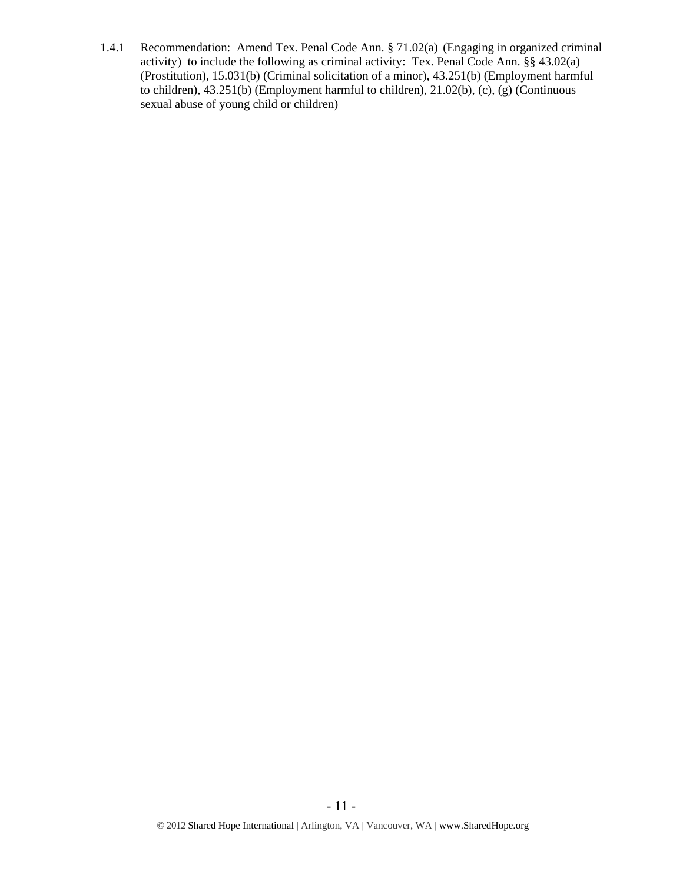1.4.1 Recommendation: Amend Tex. Penal Code Ann. § 71.02(a) (Engaging in organized criminal activity) to include the following as criminal activity: Tex. Penal Code Ann. §§ 43.02(a) (Prostitution), 15.031(b) (Criminal solicitation of a minor), 43.251(b) (Employment harmful to children),  $43.251(b)$  (Employment harmful to children),  $21.02(b)$ , (c), (g) (Continuous sexual abuse of young child or children)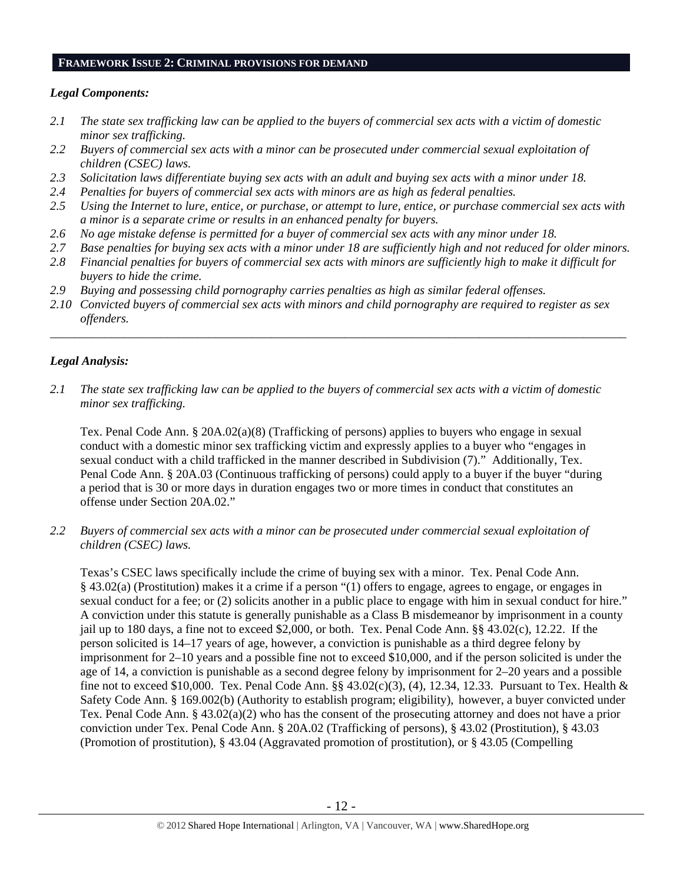#### **FRAMEWORK ISSUE 2: CRIMINAL PROVISIONS FOR DEMAND**

## *Legal Components:*

- *2.1 The state sex trafficking law can be applied to the buyers of commercial sex acts with a victim of domestic minor sex trafficking.*
- *2.2 Buyers of commercial sex acts with a minor can be prosecuted under commercial sexual exploitation of children (CSEC) laws.*
- *2.3 Solicitation laws differentiate buying sex acts with an adult and buying sex acts with a minor under 18.*
- *2.4 Penalties for buyers of commercial sex acts with minors are as high as federal penalties.*
- *2.5 Using the Internet to lure, entice, or purchase, or attempt to lure, entice, or purchase commercial sex acts with a minor is a separate crime or results in an enhanced penalty for buyers.*
- *2.6 No age mistake defense is permitted for a buyer of commercial sex acts with any minor under 18.*
- *2.7 Base penalties for buying sex acts with a minor under 18 are sufficiently high and not reduced for older minors.*
- *2.8 Financial penalties for buyers of commercial sex acts with minors are sufficiently high to make it difficult for buyers to hide the crime.*
- *2.9 Buying and possessing child pornography carries penalties as high as similar federal offenses.*
- *2.10 Convicted buyers of commercial sex acts with minors and child pornography are required to register as sex offenders.*

\_\_\_\_\_\_\_\_\_\_\_\_\_\_\_\_\_\_\_\_\_\_\_\_\_\_\_\_\_\_\_\_\_\_\_\_\_\_\_\_\_\_\_\_\_\_\_\_\_\_\_\_\_\_\_\_\_\_\_\_\_\_\_\_\_\_\_\_\_\_\_\_\_\_\_\_\_\_\_\_\_\_\_\_\_\_\_\_\_\_\_\_\_\_

## *Legal Analysis:*

*2.1 The state sex trafficking law can be applied to the buyers of commercial sex acts with a victim of domestic minor sex trafficking.* 

Tex. Penal Code Ann. § 20A.02(a)(8) (Trafficking of persons) applies to buyers who engage in sexual conduct with a domestic minor sex trafficking victim and expressly applies to a buyer who "engages in sexual conduct with a child trafficked in the manner described in Subdivision (7)." Additionally, Tex. Penal Code Ann. § 20A.03 (Continuous trafficking of persons) could apply to a buyer if the buyer "during a period that is 30 or more days in duration engages two or more times in conduct that constitutes an offense under Section 20A.02."

*2.2 Buyers of commercial sex acts with a minor can be prosecuted under commercial sexual exploitation of children (CSEC) laws.* 

Texas's CSEC laws specifically include the crime of buying sex with a minor. Tex. Penal Code Ann. § 43.02(a) (Prostitution) makes it a crime if a person "(1) offers to engage, agrees to engage, or engages in sexual conduct for a fee; or (2) solicits another in a public place to engage with him in sexual conduct for hire." A conviction under this statute is generally punishable as a Class B misdemeanor by imprisonment in a county jail up to 180 days, a fine not to exceed \$2,000, or both. Tex. Penal Code Ann. §§ 43.02(c), 12.22. If the person solicited is 14–17 years of age, however, a conviction is punishable as a third degree felony by imprisonment for 2–10 years and a possible fine not to exceed \$10,000, and if the person solicited is under the age of 14, a conviction is punishable as a second degree felony by imprisonment for 2–20 years and a possible fine not to exceed \$10,000. Tex. Penal Code Ann. §§ 43.02(c)(3), (4), 12.34, 12.33. Pursuant to Tex. Health & Safety Code Ann. § 169.002(b) (Authority to establish program; eligibility), however, a buyer convicted under Tex. Penal Code Ann. § 43.02(a)(2) who has the consent of the prosecuting attorney and does not have a prior conviction under Tex. Penal Code Ann. § 20A.02 (Trafficking of persons), § 43.02 (Prostitution), § 43.03 (Promotion of prostitution), § 43.04 (Aggravated promotion of prostitution), or § 43.05 (Compelling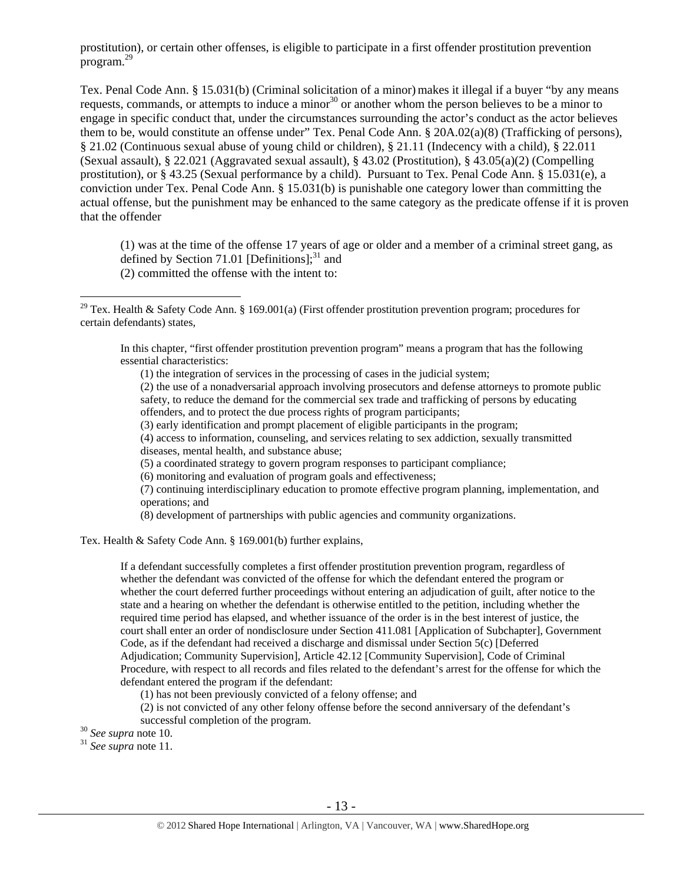prostitution), or certain other offenses, is eligible to participate in a first offender prostitution prevention program.<sup>29</sup>

Tex. Penal Code Ann. § 15.031(b) (Criminal solicitation of a minor) makes it illegal if a buyer "by any means requests, commands, or attempts to induce a minor<sup>30</sup> or another whom the person believes to be a minor to engage in specific conduct that, under the circumstances surrounding the actor's conduct as the actor believes them to be, would constitute an offense under" Tex. Penal Code Ann. § 20A.02(a)(8) (Trafficking of persons), § 21.02 (Continuous sexual abuse of young child or children), § 21.11 (Indecency with a child), § 22.011 (Sexual assault), § 22.021 (Aggravated sexual assault), § 43.02 (Prostitution), § 43.05(a)(2) (Compelling prostitution), or § 43.25 (Sexual performance by a child). Pursuant to Tex. Penal Code Ann. § 15.031(e), a conviction under Tex. Penal Code Ann. § 15.031(b) is punishable one category lower than committing the actual offense, but the punishment may be enhanced to the same category as the predicate offense if it is proven that the offender

(1) was at the time of the offense 17 years of age or older and a member of a criminal street gang, as defined by Section 71.01 [Definitions]; $^{31}$  and (2) committed the offense with the intent to:

In this chapter, "first offender prostitution prevention program" means a program that has the following essential characteristics:

(1) the integration of services in the processing of cases in the judicial system;

(2) the use of a nonadversarial approach involving prosecutors and defense attorneys to promote public safety, to reduce the demand for the commercial sex trade and trafficking of persons by educating offenders, and to protect the due process rights of program participants;

(3) early identification and prompt placement of eligible participants in the program;

(4) access to information, counseling, and services relating to sex addiction, sexually transmitted diseases, mental health, and substance abuse;

- (5) a coordinated strategy to govern program responses to participant compliance;
- (6) monitoring and evaluation of program goals and effectiveness;

(7) continuing interdisciplinary education to promote effective program planning, implementation, and operations; and

(8) development of partnerships with public agencies and community organizations.

Tex. Health & Safety Code Ann. § 169.001(b) further explains,

If a defendant successfully completes a first offender prostitution prevention program, regardless of whether the defendant was convicted of the offense for which the defendant entered the program or whether the court deferred further proceedings without entering an adjudication of guilt, after notice to the state and a hearing on whether the defendant is otherwise entitled to the petition, including whether the required time period has elapsed, and whether issuance of the order is in the best interest of justice, the court shall enter an order of nondisclosure under Section 411.081 [Application of Subchapter], Government Code, as if the defendant had received a discharge and dismissal under Section 5(c) [Deferred Adjudication; Community Supervision], Article 42.12 [Community Supervision], Code of Criminal Procedure, with respect to all records and files related to the defendant's arrest for the offense for which the defendant entered the program if the defendant:

(1) has not been previously convicted of a felony offense; and

(2) is not convicted of any other felony offense before the second anniversary of the defendant's successful completion of the program. 30 *See supra* note 10. 31 *See supra* note 11.

<sup>&</sup>lt;sup>29</sup> Tex. Health & Safety Code Ann. § 169.001(a) (First offender prostitution prevention program; procedures for certain defendants) states,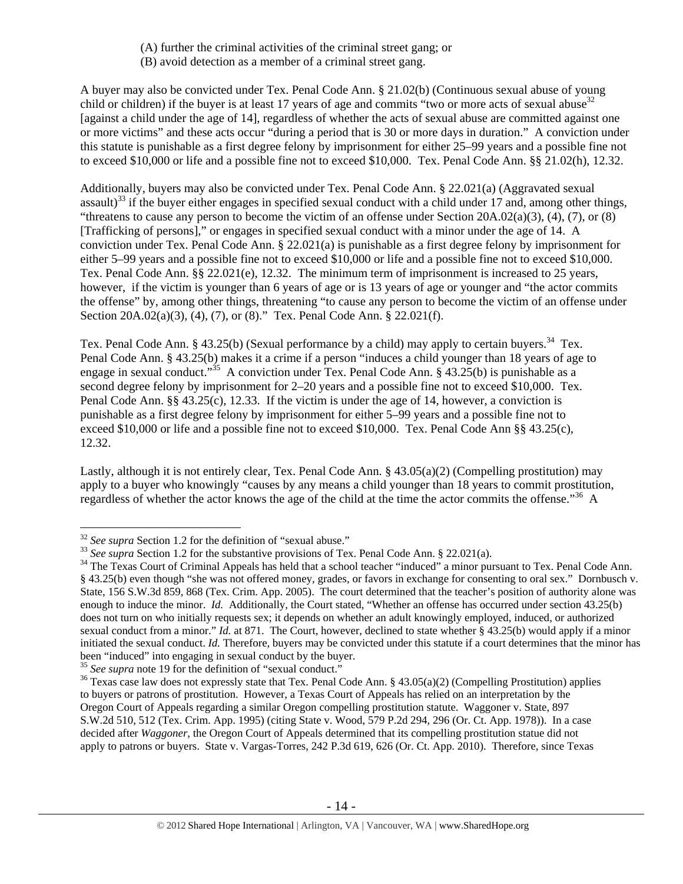- (A) further the criminal activities of the criminal street gang; or
- (B) avoid detection as a member of a criminal street gang.

A buyer may also be convicted under Tex. Penal Code Ann. § 21.02(b) (Continuous sexual abuse of young child or children) if the buyer is at least 17 years of age and commits "two or more acts of sexual abuse  $32$ [against a child under the age of 14], regardless of whether the acts of sexual abuse are committed against one or more victims" and these acts occur "during a period that is 30 or more days in duration." A conviction under this statute is punishable as a first degree felony by imprisonment for either 25–99 years and a possible fine not to exceed \$10,000 or life and a possible fine not to exceed \$10,000. Tex. Penal Code Ann. §§ 21.02(h), 12.32.

Additionally, buyers may also be convicted under Tex. Penal Code Ann. § 22.021(a) (Aggravated sexual assault)<sup>33</sup> if the buyer either engages in specified sexual conduct with a child under 17 and, among other things, "threatens to cause any person to become the victim of an offense under Section 20A.02(a)(3), (4), (7), or (8) [Trafficking of persons]," or engages in specified sexual conduct with a minor under the age of 14. A conviction under Tex. Penal Code Ann. § 22.021(a) is punishable as a first degree felony by imprisonment for either 5–99 years and a possible fine not to exceed \$10,000 or life and a possible fine not to exceed \$10,000. Tex. Penal Code Ann. §§ 22.021(e), 12.32. The minimum term of imprisonment is increased to 25 years, however, if the victim is younger than 6 years of age or is 13 years of age or younger and "the actor commits" the offense" by, among other things, threatening "to cause any person to become the victim of an offense under Section 20A.02(a)(3), (4), (7), or (8)." Tex. Penal Code Ann. § 22.021(f).

Tex. Penal Code Ann. § 43.25(b) (Sexual performance by a child) may apply to certain buyers.<sup>34</sup> Tex. Penal Code Ann. § 43.25(b) makes it a crime if a person "induces a child younger than 18 years of age to engage in sexual conduct."<sup>35</sup> A conviction under Tex. Penal Code Ann. § 43.25(b) is punishable as a second degree felony by imprisonment for 2–20 years and a possible fine not to exceed \$10,000. Tex. Penal Code Ann. §§ 43.25(c), 12.33. If the victim is under the age of 14, however, a conviction is punishable as a first degree felony by imprisonment for either 5–99 years and a possible fine not to exceed \$10,000 or life and a possible fine not to exceed \$10,000. Tex. Penal Code Ann §§ 43.25(c), 12.32.

Lastly, although it is not entirely clear, Tex. Penal Code Ann. § 43.05(a)(2) (Compelling prostitution) may apply to a buyer who knowingly "causes by any means a child younger than 18 years to commit prostitution, regardless of whether the actor knows the age of the child at the time the actor commits the offense."36 A

 $\overline{a}$ 

<sup>&</sup>lt;sup>32</sup> See supra Section 1.2 for the definition of "sexual abuse."<br><sup>33</sup> See supra Section 1.2 for the substantive provisions of Tex. Penal Code Ann. § 22.021(a).<br><sup>34</sup> The Texas Court of Criminal Appeals has held that a scho § 43.25(b) even though "she was not offered money, grades, or favors in exchange for consenting to oral sex." Dornbusch v. State, 156 S.W.3d 859, 868 (Tex. Crim. App. 2005). The court determined that the teacher's position of authority alone was enough to induce the minor. *Id.* Additionally, the Court stated, "Whether an offense has occurred under section 43.25(b) does not turn on who initially requests sex; it depends on whether an adult knowingly employed, induced, or authorized sexual conduct from a minor." *Id.* at 871. The Court, however, declined to state whether § 43.25(b) would apply if a minor initiated the sexual conduct. *Id.* Therefore, buyers may be convicted under this statute if a court determines that the minor has been "induced" into engaging in sexual conduct by the buyer.<br><sup>35</sup> See supra note 19 for the definition of "sexual conduct."

<sup>&</sup>lt;sup>36</sup> Texas case law does not expressly state that Tex. Penal Code Ann. § 43.05(a)(2) (Compelling Prostitution) applies to buyers or patrons of prostitution. However, a Texas Court of Appeals has relied on an interpretation by the Oregon Court of Appeals regarding a similar Oregon compelling prostitution statute. Waggoner v. State, 897 S.W.2d 510, 512 (Tex. Crim. App. 1995) (citing State v. Wood, 579 P.2d 294, 296 (Or. Ct. App. 1978)). In a case decided after *Waggoner*, the Oregon Court of Appeals determined that its compelling prostitution statue did not apply to patrons or buyers. State v. Vargas-Torres, 242 P.3d 619, 626 (Or. Ct. App. 2010). Therefore, since Texas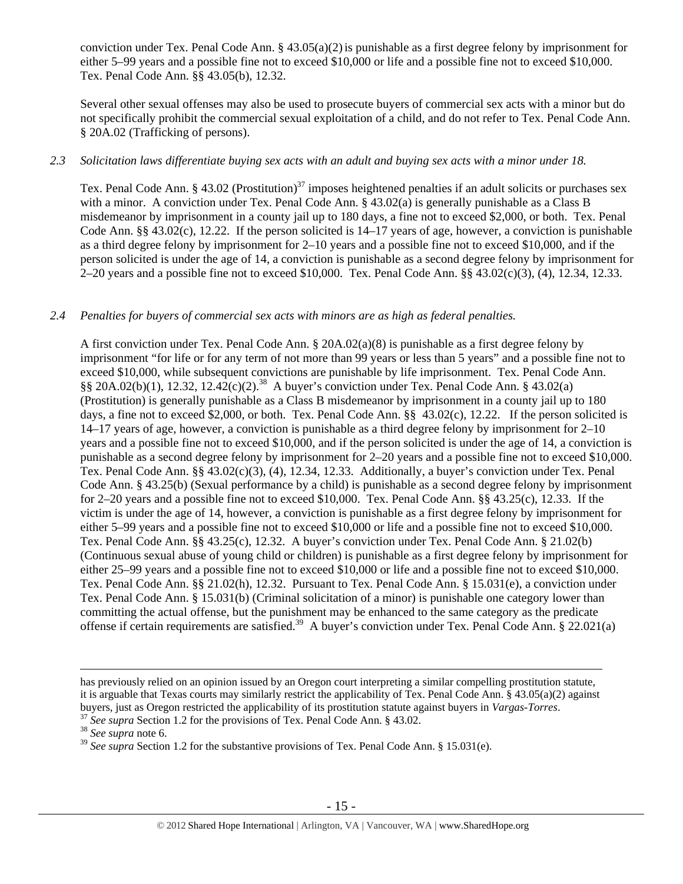conviction under Tex. Penal Code Ann.  $\S 43.05(a)(2)$  is punishable as a first degree felony by imprisonment for either 5–99 years and a possible fine not to exceed \$10,000 or life and a possible fine not to exceed \$10,000. Tex. Penal Code Ann. §§ 43.05(b), 12.32.

Several other sexual offenses may also be used to prosecute buyers of commercial sex acts with a minor but do not specifically prohibit the commercial sexual exploitation of a child, and do not refer to Tex. Penal Code Ann. § 20A.02 (Trafficking of persons).

## *2.3 Solicitation laws differentiate buying sex acts with an adult and buying sex acts with a minor under 18.*

Tex. Penal Code Ann. § 43.02 (Prostitution)<sup>37</sup> imposes heightened penalties if an adult solicits or purchases sex with a minor. A conviction under Tex. Penal Code Ann. § 43.02(a) is generally punishable as a Class B misdemeanor by imprisonment in a county jail up to 180 days, a fine not to exceed \$2,000, or both. Tex. Penal Code Ann. §§ 43.02(c), 12.22. If the person solicited is  $14-17$  years of age, however, a conviction is punishable as a third degree felony by imprisonment for 2–10 years and a possible fine not to exceed \$10,000, and if the person solicited is under the age of 14, a conviction is punishable as a second degree felony by imprisonment for 2–20 years and a possible fine not to exceed \$10,000. Tex. Penal Code Ann. §§ 43.02(c)(3), (4), 12.34, 12.33.

## *2.4 Penalties for buyers of commercial sex acts with minors are as high as federal penalties.*

A first conviction under Tex. Penal Code Ann. § 20A.02(a)(8) is punishable as a first degree felony by imprisonment "for life or for any term of not more than 99 years or less than 5 years" and a possible fine not to exceed \$10,000, while subsequent convictions are punishable by life imprisonment. Tex. Penal Code Ann.  $\S$ § 20A.02(b)(1), 12.32, 12.42(c)(2).<sup>38</sup> A buyer's conviction under Tex. Penal Code Ann. § 43.02(a) (Prostitution) is generally punishable as a Class B misdemeanor by imprisonment in a county jail up to 180 days, a fine not to exceed \$2,000, or both. Tex. Penal Code Ann. §§ 43.02(c), 12.22. If the person solicited is 14–17 years of age, however, a conviction is punishable as a third degree felony by imprisonment for 2–10 years and a possible fine not to exceed \$10,000, and if the person solicited is under the age of 14, a conviction is punishable as a second degree felony by imprisonment for 2–20 years and a possible fine not to exceed \$10,000. Tex. Penal Code Ann. §§ 43.02(c)(3), (4), 12.34, 12.33. Additionally, a buyer's conviction under Tex. Penal Code Ann. § 43.25(b) (Sexual performance by a child) is punishable as a second degree felony by imprisonment for 2–20 years and a possible fine not to exceed \$10,000. Tex. Penal Code Ann. §§ 43.25(c), 12.33. If the victim is under the age of 14, however, a conviction is punishable as a first degree felony by imprisonment for either 5–99 years and a possible fine not to exceed \$10,000 or life and a possible fine not to exceed \$10,000. Tex. Penal Code Ann. §§ 43.25(c), 12.32. A buyer's conviction under Tex. Penal Code Ann. § 21.02(b) (Continuous sexual abuse of young child or children) is punishable as a first degree felony by imprisonment for either 25–99 years and a possible fine not to exceed \$10,000 or life and a possible fine not to exceed \$10,000. Tex. Penal Code Ann. §§ 21.02(h), 12.32. Pursuant to Tex. Penal Code Ann. § 15.031(e), a conviction under Tex. Penal Code Ann. § 15.031(b) (Criminal solicitation of a minor) is punishable one category lower than committing the actual offense, but the punishment may be enhanced to the same category as the predicate offense if certain requirements are satisfied.39 A buyer's conviction under Tex. Penal Code Ann. § 22.021(a)

has previously relied on an opinion issued by an Oregon court interpreting a similar compelling prostitution statute, it is arguable that Texas courts may similarly restrict the applicability of Tex. Penal Code Ann. § 43.05(a)(2) against buyers, just as Oregon restricted the applicability of its prostitution statute against buyers in *Vargas-Torres*.<br><sup>37</sup> See supra Section 1.2 for the provisions of Tex. Penal Code Ann. § 43.02.<br><sup>38</sup> See supra note 6.

<sup>39</sup> *See supra* Section 1.2 for the substantive provisions of Tex. Penal Code Ann. § 15.031(e).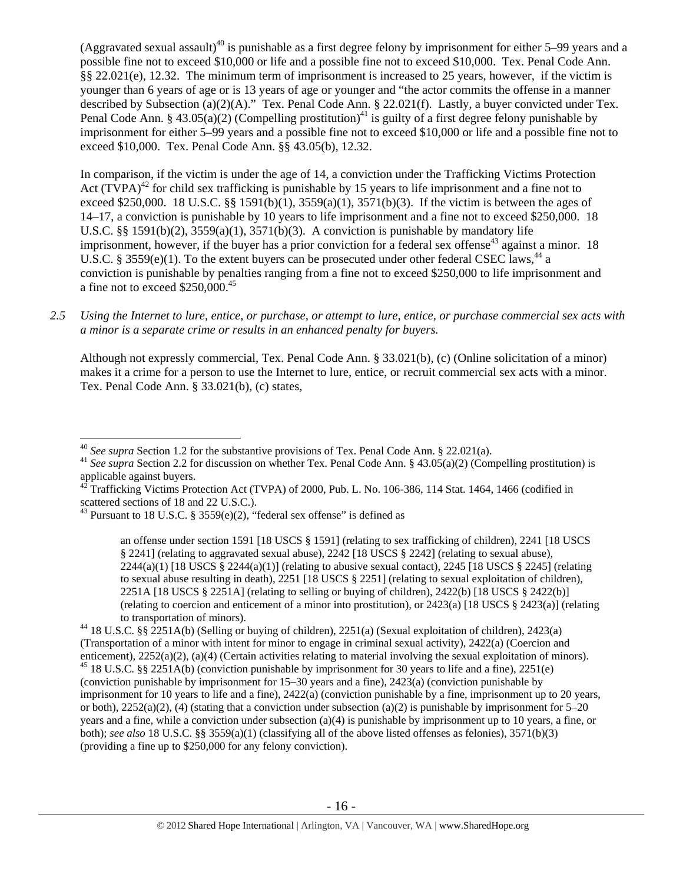(Aggravated sexual assault)<sup>40</sup> is punishable as a first degree felony by imprisonment for either 5–99 years and a possible fine not to exceed \$10,000 or life and a possible fine not to exceed \$10,000. Tex. Penal Code Ann. §§ 22.021(e), 12.32. The minimum term of imprisonment is increased to 25 years, however, if the victim is younger than 6 years of age or is 13 years of age or younger and "the actor commits the offense in a manner described by Subsection (a)(2)(A)." Tex. Penal Code Ann. § 22.021(f). Lastly, a buyer convicted under Tex. Penal Code Ann. § 43.05(a)(2) (Compelling prostitution)<sup>41</sup> is guilty of a first degree felony punishable by imprisonment for either 5–99 years and a possible fine not to exceed \$10,000 or life and a possible fine not to exceed \$10,000. Tex. Penal Code Ann. §§ 43.05(b), 12.32.

In comparison, if the victim is under the age of 14, a conviction under the Trafficking Victims Protection Act  $(TVPA)^{42}$  for child sex trafficking is punishable by 15 years to life imprisonment and a fine not to exceed \$250,000. 18 U.S.C. §§ 1591(b)(1), 3559(a)(1), 3571(b)(3). If the victim is between the ages of 14–17, a conviction is punishable by 10 years to life imprisonment and a fine not to exceed \$250,000. 18 U.S.C. §§ 1591(b)(2),  $3559(a)(1)$ ,  $3571(b)(3)$ . A conviction is punishable by mandatory life imprisonment, however, if the buyer has a prior conviction for a federal sex offense<sup>43</sup> against a minor. 18 U.S.C. § 3559(e)(1). To the extent buyers can be prosecuted under other federal CSEC laws.<sup>44</sup> a conviction is punishable by penalties ranging from a fine not to exceed \$250,000 to life imprisonment and a fine not to exceed  $$250,000.<sup>45</sup>$ 

*2.5 Using the Internet to lure, entice, or purchase, or attempt to lure, entice, or purchase commercial sex acts with a minor is a separate crime or results in an enhanced penalty for buyers.* 

Although not expressly commercial, Tex. Penal Code Ann. § 33.021(b), (c) (Online solicitation of a minor) makes it a crime for a person to use the Internet to lure, entice, or recruit commercial sex acts with a minor. Tex. Penal Code Ann. § 33.021(b), (c) states,

<sup>&</sup>lt;sup>40</sup> See supra Section 1.2 for the substantive provisions of Tex. Penal Code Ann. § 22.021(a).

<sup>&</sup>lt;sup>41</sup> See supra Section 2.2 for discussion on whether Tex. Penal Code Ann. § 43.05(a)(2) (Compelling prostitution) is applicable against buyers.

<sup>42</sup> Trafficking Victims Protection Act (TVPA) of 2000, Pub. L. No. 106-386, 114 Stat. 1464, 1466 (codified in scattered sections of 18 and 22 U.S.C.).

<sup>&</sup>lt;sup>43</sup> Pursuant to 18 U.S.C. § 3559(e)(2), "federal sex offense" is defined as

an offense under section 1591 [18 USCS § 1591] (relating to sex trafficking of children), 2241 [18 USCS § 2241] (relating to aggravated sexual abuse), 2242 [18 USCS § 2242] (relating to sexual abuse),  $2244(a)(1)$  [18 USCS §  $2244(a)(1)$ ] (relating to abusive sexual contact),  $2245$  [18 USCS § 2245] (relating to sexual abuse resulting in death), 2251 [18 USCS § 2251] (relating to sexual exploitation of children), 2251A [18 USCS § 2251A] (relating to selling or buying of children), 2422(b) [18 USCS § 2422(b)] (relating to coercion and enticement of a minor into prostitution), or 2423(a) [18 USCS § 2423(a)] (relating to transportation of minors).<br><sup>44</sup> 18 U.S.C. §§ 2251A(b) (Selling or buying of children), 2251(a) (Sexual exploitation of children), 2423(a)

<sup>(</sup>Transportation of a minor with intent for minor to engage in criminal sexual activity),  $2422(a)$  (Coercion and enticement),  $2252(a)(2)$ ,  $(a)(4)$  (Certain activities relating to material involving the sexual exploitation of <sup>45</sup> 18 U.S.C. §§ 2251A(b) (conviction punishable by imprisonment for 30 years to life and a fine), 2251(e) (conviction punishable by imprisonment for 15–30 years and a fine), 2423(a) (conviction punishable by imprisonment for 10 years to life and a fine), 2422(a) (conviction punishable by a fine, imprisonment up to 20 years, or both),  $2252(a)(2)$ , (4) (stating that a conviction under subsection (a)(2) is punishable by imprisonment for 5–20 years and a fine, while a conviction under subsection (a)(4) is punishable by imprisonment up to 10 years, a fine, or both); *see also* 18 U.S.C. §§ 3559(a)(1) (classifying all of the above listed offenses as felonies), 3571(b)(3) (providing a fine up to \$250,000 for any felony conviction).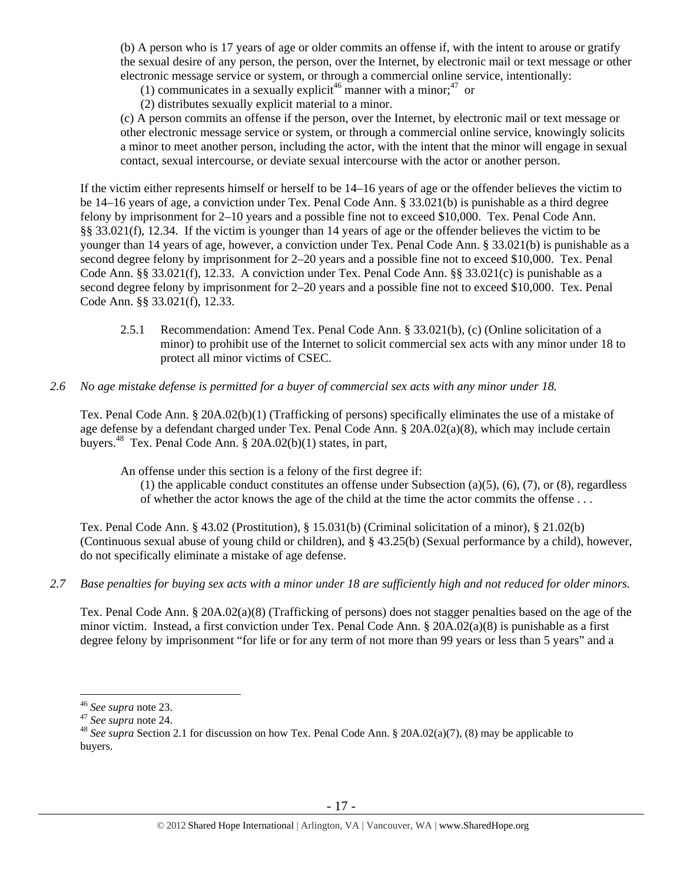(b) A person who is 17 years of age or older commits an offense if, with the intent to arouse or gratify the sexual desire of any person, the person, over the Internet, by electronic mail or text message or other electronic message service or system, or through a commercial online service, intentionally:

(1) communicates in a sexually explicit<sup>46</sup> manner with a minor;<sup>47</sup> or

(2) distributes sexually explicit material to a minor.

(c) A person commits an offense if the person, over the Internet, by electronic mail or text message or other electronic message service or system, or through a commercial online service, knowingly solicits a minor to meet another person, including the actor, with the intent that the minor will engage in sexual contact, sexual intercourse, or deviate sexual intercourse with the actor or another person.

If the victim either represents himself or herself to be 14–16 years of age or the offender believes the victim to be 14–16 years of age, a conviction under Tex. Penal Code Ann. § 33.021(b) is punishable as a third degree felony by imprisonment for 2–10 years and a possible fine not to exceed \$10,000. Tex. Penal Code Ann. §§ 33.021(f), 12.34. If the victim is younger than 14 years of age or the offender believes the victim to be younger than 14 years of age, however, a conviction under Tex. Penal Code Ann. § 33.021(b) is punishable as a second degree felony by imprisonment for 2–20 years and a possible fine not to exceed \$10,000. Tex. Penal Code Ann. §§ 33.021(f), 12.33. A conviction under Tex. Penal Code Ann. §§ 33.021(c) is punishable as a second degree felony by imprisonment for 2–20 years and a possible fine not to exceed \$10,000. Tex. Penal Code Ann. §§ 33.021(f), 12.33.

- 2.5.1 Recommendation: Amend Tex. Penal Code Ann. § 33.021(b), (c) (Online solicitation of a minor) to prohibit use of the Internet to solicit commercial sex acts with any minor under 18 to protect all minor victims of CSEC.
- *2.6 No age mistake defense is permitted for a buyer of commercial sex acts with any minor under 18.*

Tex. Penal Code Ann. § 20A.02(b)(1) (Trafficking of persons) specifically eliminates the use of a mistake of age defense by a defendant charged under Tex. Penal Code Ann. § 20A.02(a)(8), which may include certain buyers.48 Tex. Penal Code Ann. § 20A.02(b)(1) states, in part,

An offense under this section is a felony of the first degree if:

(1) the applicable conduct constitutes an offense under Subsection (a)(5), (6), (7), or (8), regardless of whether the actor knows the age of the child at the time the actor commits the offense . . .

Tex. Penal Code Ann. § 43.02 (Prostitution), § 15.031(b) (Criminal solicitation of a minor), § 21.02(b) (Continuous sexual abuse of young child or children), and § 43.25(b) (Sexual performance by a child), however, do not specifically eliminate a mistake of age defense.

## *2.7 Base penalties for buying sex acts with a minor under 18 are sufficiently high and not reduced for older minors.*

Tex. Penal Code Ann. § 20A.02(a)(8) (Trafficking of persons) does not stagger penalties based on the age of the minor victim. Instead, a first conviction under Tex. Penal Code Ann. § 20A.02(a)(8) is punishable as a first degree felony by imprisonment "for life or for any term of not more than 99 years or less than 5 years" and a

<sup>&</sup>lt;sup>46</sup> See supra note 23.

<sup>46</sup> *See supra* note 23. 47 *See supra* note 24. 48 *See supra* Section 2.1 for discussion on how Tex. Penal Code Ann. § 20A.02(a)(7), (8) may be applicable to buyers.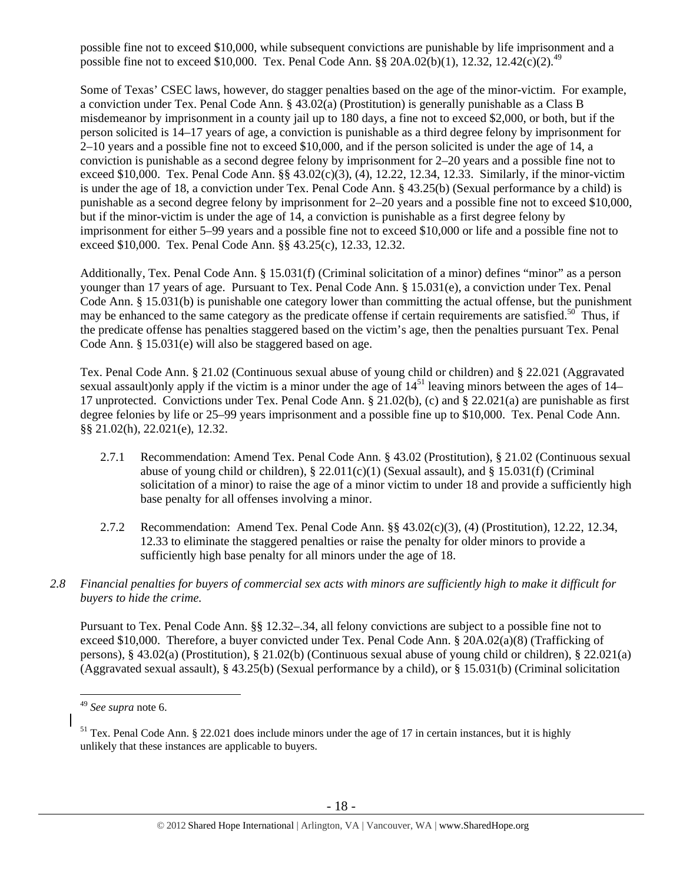possible fine not to exceed \$10,000, while subsequent convictions are punishable by life imprisonment and a possible fine not to exceed \$10,000. Tex. Penal Code Ann. §§ 20A.02(b)(1), 12.32, 12.42(c)(2).<sup>49</sup>

Some of Texas' CSEC laws, however, do stagger penalties based on the age of the minor-victim. For example, a conviction under Tex. Penal Code Ann. § 43.02(a) (Prostitution) is generally punishable as a Class B misdemeanor by imprisonment in a county jail up to 180 days, a fine not to exceed \$2,000, or both, but if the person solicited is 14–17 years of age, a conviction is punishable as a third degree felony by imprisonment for 2–10 years and a possible fine not to exceed \$10,000, and if the person solicited is under the age of 14, a conviction is punishable as a second degree felony by imprisonment for 2–20 years and a possible fine not to exceed \$10,000. Tex. Penal Code Ann. §§ 43.02(c)(3), (4), 12.22, 12.34, 12.33. Similarly, if the minor-victim is under the age of 18, a conviction under Tex. Penal Code Ann. § 43.25(b) (Sexual performance by a child) is punishable as a second degree felony by imprisonment for 2–20 years and a possible fine not to exceed \$10,000, but if the minor-victim is under the age of 14, a conviction is punishable as a first degree felony by imprisonment for either 5–99 years and a possible fine not to exceed \$10,000 or life and a possible fine not to exceed \$10,000. Tex. Penal Code Ann. §§ 43.25(c), 12.33, 12.32.

Additionally, Tex. Penal Code Ann. § 15.031(f) (Criminal solicitation of a minor) defines "minor" as a person younger than 17 years of age. Pursuant to Tex. Penal Code Ann. § 15.031(e), a conviction under Tex. Penal Code Ann. § 15.031(b) is punishable one category lower than committing the actual offense, but the punishment may be enhanced to the same category as the predicate offense if certain requirements are satisfied.<sup>50</sup> Thus, if the predicate offense has penalties staggered based on the victim's age, then the penalties pursuant Tex. Penal Code Ann. § 15.031(e) will also be staggered based on age.

Tex. Penal Code Ann. § 21.02 (Continuous sexual abuse of young child or children) and § 22.021 (Aggravated sexual assault)only apply if the victim is a minor under the age of  $14<sup>51</sup>$  leaving minors between the ages of  $14-$ 17 unprotected. Convictions under Tex. Penal Code Ann. § 21.02(b), (c) and § 22.021(a) are punishable as first degree felonies by life or 25–99 years imprisonment and a possible fine up to \$10,000. Tex. Penal Code Ann. §§ 21.02(h), 22.021(e), 12.32.

- 2.7.1 Recommendation: Amend Tex. Penal Code Ann. § 43.02 (Prostitution), § 21.02 (Continuous sexual abuse of young child or children),  $\S 22.011(c)(1)$  (Sexual assault), and  $\S 15.031(f)$  (Criminal solicitation of a minor) to raise the age of a minor victim to under 18 and provide a sufficiently high base penalty for all offenses involving a minor.
- 2.7.2 Recommendation: Amend Tex. Penal Code Ann. §§ 43.02(c)(3), (4) (Prostitution), 12.22, 12.34, 12.33 to eliminate the staggered penalties or raise the penalty for older minors to provide a sufficiently high base penalty for all minors under the age of 18.
- *2.8 Financial penalties for buyers of commercial sex acts with minors are sufficiently high to make it difficult for buyers to hide the crime.*

Pursuant to Tex. Penal Code Ann. §§ 12.32–.34, all felony convictions are subject to a possible fine not to exceed \$10,000. Therefore, a buyer convicted under Tex. Penal Code Ann. § 20A.02(a)(8) (Trafficking of persons), § 43.02(a) (Prostitution), § 21.02(b) (Continuous sexual abuse of young child or children), § 22.021(a) (Aggravated sexual assault), § 43.25(b) (Sexual performance by a child), or § 15.031(b) (Criminal solicitation

<sup>49</sup> *See supra* note 6.

 $51$  Tex. Penal Code Ann. § 22.021 does include minors under the age of 17 in certain instances, but it is highly unlikely that these instances are applicable to buyers.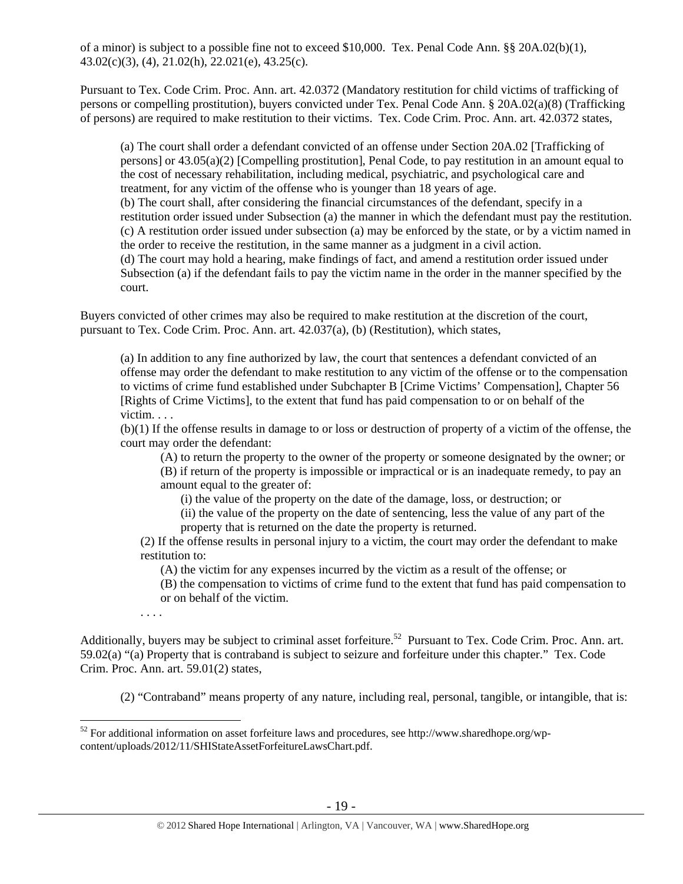of a minor) is subject to a possible fine not to exceed \$10,000. Tex. Penal Code Ann. §§ 20A.02(b)(1), 43.02(c)(3), (4), 21.02(h), 22.021(e), 43.25(c).

Pursuant to Tex. Code Crim. Proc. Ann. art. 42.0372 (Mandatory restitution for child victims of trafficking of persons or compelling prostitution), buyers convicted under Tex. Penal Code Ann. § 20A.02(a)(8) (Trafficking of persons) are required to make restitution to their victims. Tex. Code Crim. Proc. Ann. art. 42.0372 states,

(a) The court shall order a defendant convicted of an offense under Section 20A.02 [Trafficking of persons] or 43.05(a)(2) [Compelling prostitution], Penal Code, to pay restitution in an amount equal to the cost of necessary rehabilitation, including medical, psychiatric, and psychological care and treatment, for any victim of the offense who is younger than 18 years of age. (b) The court shall, after considering the financial circumstances of the defendant, specify in a restitution order issued under Subsection (a) the manner in which the defendant must pay the restitution. (c) A restitution order issued under subsection (a) may be enforced by the state, or by a victim named in the order to receive the restitution, in the same manner as a judgment in a civil action. (d) The court may hold a hearing, make findings of fact, and amend a restitution order issued under Subsection (a) if the defendant fails to pay the victim name in the order in the manner specified by the court.

Buyers convicted of other crimes may also be required to make restitution at the discretion of the court, pursuant to Tex. Code Crim. Proc. Ann. art. 42.037(a), (b) (Restitution), which states,

(a) In addition to any fine authorized by law, the court that sentences a defendant convicted of an offense may order the defendant to make restitution to any victim of the offense or to the compensation to victims of crime fund established under Subchapter B [Crime Victims' Compensation], Chapter 56 [Rights of Crime Victims], to the extent that fund has paid compensation to or on behalf of the victim. . . .

(b)(1) If the offense results in damage to or loss or destruction of property of a victim of the offense, the court may order the defendant:

(A) to return the property to the owner of the property or someone designated by the owner; or

(B) if return of the property is impossible or impractical or is an inadequate remedy, to pay an amount equal to the greater of:

(i) the value of the property on the date of the damage, loss, or destruction; or

(ii) the value of the property on the date of sentencing, less the value of any part of the property that is returned on the date the property is returned.

(2) If the offense results in personal injury to a victim, the court may order the defendant to make restitution to:

(A) the victim for any expenses incurred by the victim as a result of the offense; or

(B) the compensation to victims of crime fund to the extent that fund has paid compensation to or on behalf of the victim.

. . . .

Additionally, buyers may be subject to criminal asset forfeiture.<sup>52</sup> Pursuant to Tex. Code Crim. Proc. Ann. art. 59.02(a) "(a) Property that is contraband is subject to seizure and forfeiture under this chapter." Tex. Code Crim. Proc. Ann. art. 59.01(2) states,

(2) "Contraband" means property of any nature, including real, personal, tangible, or intangible, that is:

 $\overline{a}$  $52$  For additional information on asset forfeiture laws and procedures, see http://www.sharedhope.org/wpcontent/uploads/2012/11/SHIStateAssetForfeitureLawsChart.pdf.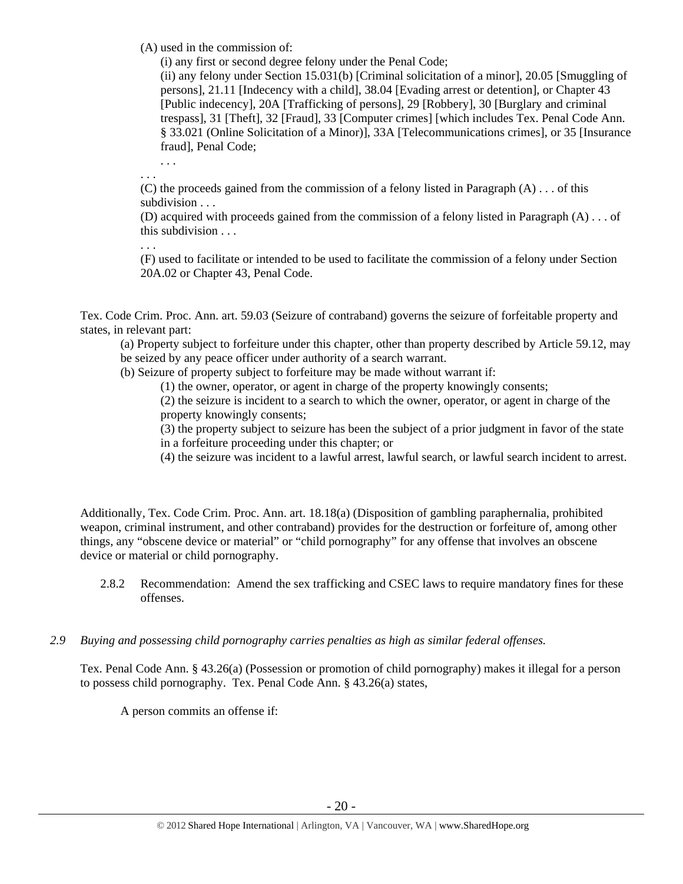(A) used in the commission of:

(i) any first or second degree felony under the Penal Code;

(ii) any felony under Section 15.031(b) [Criminal solicitation of a minor], 20.05 [Smuggling of persons], 21.11 [Indecency with a child], 38.04 [Evading arrest or detention], or Chapter 43 [Public indecency], 20A [Trafficking of persons], 29 [Robbery], 30 [Burglary and criminal trespass], 31 [Theft], 32 [Fraud], 33 [Computer crimes] [which includes Tex. Penal Code Ann. § 33.021 (Online Solicitation of a Minor)], 33A [Telecommunications crimes], or 35 [Insurance fraud], Penal Code;

. . . . . .

(C) the proceeds gained from the commission of a felony listed in Paragraph  $(A) \dots$  of this subdivision . . .

(D) acquired with proceeds gained from the commission of a felony listed in Paragraph (A) . . . of this subdivision . . .

. . . (F) used to facilitate or intended to be used to facilitate the commission of a felony under Section 20A.02 or Chapter 43, Penal Code.

Tex. Code Crim. Proc. Ann. art. 59.03 (Seizure of contraband) governs the seizure of forfeitable property and states, in relevant part:

(a) Property subject to forfeiture under this chapter, other than property described by Article 59.12, may be seized by any peace officer under authority of a search warrant.

(b) Seizure of property subject to forfeiture may be made without warrant if:

(1) the owner, operator, or agent in charge of the property knowingly consents;

(2) the seizure is incident to a search to which the owner, operator, or agent in charge of the property knowingly consents;

(3) the property subject to seizure has been the subject of a prior judgment in favor of the state in a forfeiture proceeding under this chapter; or

(4) the seizure was incident to a lawful arrest, lawful search, or lawful search incident to arrest.

Additionally, Tex. Code Crim. Proc. Ann. art. 18.18(a) (Disposition of gambling paraphernalia, prohibited weapon, criminal instrument, and other contraband) provides for the destruction or forfeiture of, among other things, any "obscene device or material" or "child pornography" for any offense that involves an obscene device or material or child pornography.

- 2.8.2 Recommendation: Amend the sex trafficking and CSEC laws to require mandatory fines for these offenses.
- *2.9 Buying and possessing child pornography carries penalties as high as similar federal offenses.*

Tex. Penal Code Ann. § 43.26(a) (Possession or promotion of child pornography) makes it illegal for a person to possess child pornography. Tex. Penal Code Ann. § 43.26(a) states,

A person commits an offense if: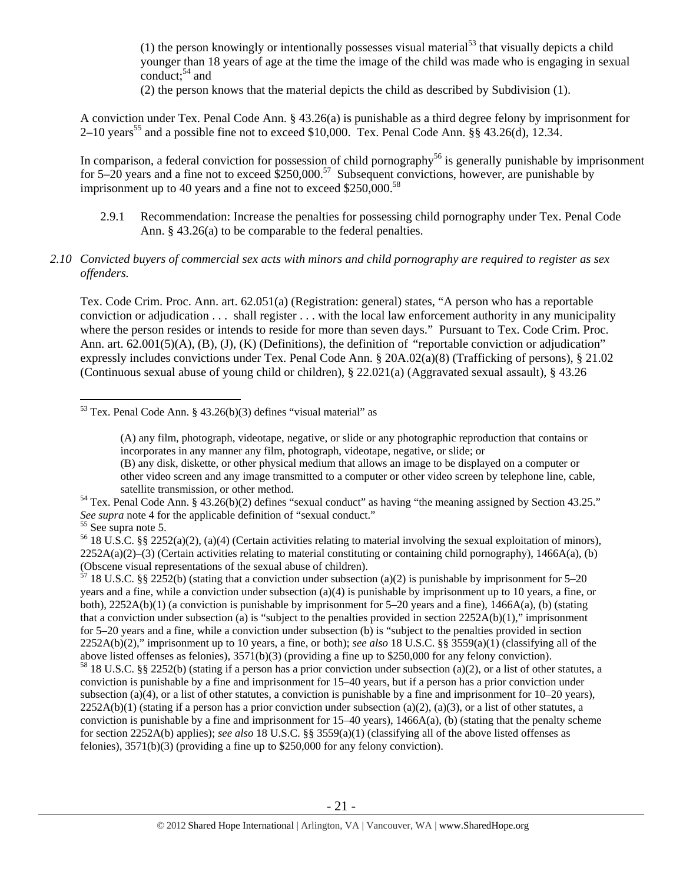(1) the person knowingly or intentionally possesses visual material<sup>53</sup> that visually depicts a child younger than 18 years of age at the time the image of the child was made who is engaging in sexual conduct; $54$  and

(2) the person knows that the material depicts the child as described by Subdivision (1).

A conviction under Tex. Penal Code Ann. § 43.26(a) is punishable as a third degree felony by imprisonment for  $2-10$  years<sup>55</sup> and a possible fine not to exceed \$10,000. Tex. Penal Code Ann. §§ 43.26(d), 12.34.

In comparison, a federal conviction for possession of child pornography<sup>56</sup> is generally punishable by imprisonment for 5–20 years and a fine not to exceed  $\$250,000$ .<sup>57</sup> Subsequent convictions, however, are punishable by imprisonment up to 40 years and a fine not to exceed  $$250,000.<sup>58</sup>$ 

2.9.1 Recommendation: Increase the penalties for possessing child pornography under Tex. Penal Code Ann. § 43.26(a) to be comparable to the federal penalties.

## *2.10 Convicted buyers of commercial sex acts with minors and child pornography are required to register as sex offenders.*

Tex. Code Crim. Proc. Ann. art. 62.051(a) (Registration: general) states, "A person who has a reportable conviction or adjudication . . . shall register . . . with the local law enforcement authority in any municipality where the person resides or intends to reside for more than seven days." Pursuant to Tex. Code Crim. Proc. Ann. art. 62.001(5)(A), (B), (J), (K) (Definitions), the definition of "reportable conviction or adjudication" expressly includes convictions under Tex. Penal Code Ann. § 20A.02(a)(8) (Trafficking of persons), § 21.02 (Continuous sexual abuse of young child or children), § 22.021(a) (Aggravated sexual assault), § 43.26

(B) any disk, diskette, or other physical medium that allows an image to be displayed on a computer or other video screen and any image transmitted to a computer or other video screen by telephone line, cable,

 $\overline{a}$ 

 $\frac{57}{18}$  18 U.S.C. §§ 2252(b) (stating that a conviction under subsection (a)(2) is punishable by imprisonment for 5–20 years and a fine, while a conviction under subsection (a)(4) is punishable by imprisonment up to 10 years, a fine, or both),  $2252A(b)(1)$  (a conviction is punishable by imprisonment for 5–20 years and a fine),  $1466A(a)$ , (b) (stating that a conviction under subsection (a) is "subject to the penalties provided in section  $2252A(b)(1)$ ," imprisonment for 5–20 years and a fine, while a conviction under subsection (b) is "subject to the penalties provided in section 2252A(b)(2)," imprisonment up to 10 years, a fine, or both); *see also* 18 U.S.C. §§ 3559(a)(1) (classifying all of the above listed offenses as felonies), 3571(b)(3) (providing a fine up to \$250,000 for any felony conviction).

<sup>58</sup> 18 U.S.C. §§ 2252(b) (stating if a person has a prior conviction under subsection (a)(2), or a list of other statutes, a conviction is punishable by a fine and imprisonment for 15–40 years, but if a person has a prior conviction under subsection (a)(4), or a list of other statutes, a conviction is punishable by a fine and imprisonment for 10–20 years),  $2252A(b)(1)$  (stating if a person has a prior conviction under subsection (a)(2), (a)(3), or a list of other statutes, a conviction is punishable by a fine and imprisonment for  $15-40$  years),  $1466A(a)$ , (b) (stating that the penalty scheme for section 2252A(b) applies); *see also* 18 U.S.C. §§ 3559(a)(1) (classifying all of the above listed offenses as felonies), 3571(b)(3) (providing a fine up to \$250,000 for any felony conviction).

 $53$  Tex. Penal Code Ann. § 43.26(b)(3) defines "visual material" as

<sup>(</sup>A) any film, photograph, videotape, negative, or slide or any photographic reproduction that contains or incorporates in any manner any film, photograph, videotape, negative, or slide; or

satellite transmission, or other method.<br><sup>54</sup> Tex. Penal Code Ann. § 43.26(b)(2) defines "sexual conduct" as having "the meaning assigned by Section 43.25." *See supra* note 4 for the applicable definition of "sexual conduct." 55 See supra note 5.

<sup>&</sup>lt;sup>56</sup> 18 U.S.C. §§ 2252(a)(2), (a)(4) (Certain activities relating to material involving the sexual exploitation of minors),  $2252A(a)(2)$ –(3) (Certain activities relating to material constituting or containing child pornography), 1466A(a), (b) (Obscene visual representations of the sexual abuse of children).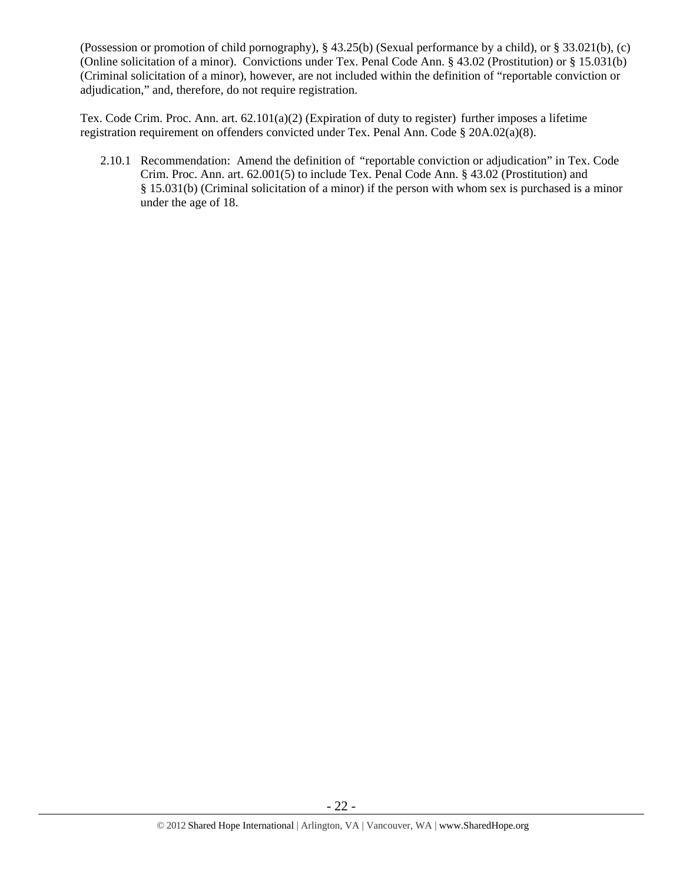(Possession or promotion of child pornography), § 43.25(b) (Sexual performance by a child), or § 33.021(b), (c) (Online solicitation of a minor). Convictions under Tex. Penal Code Ann. § 43.02 (Prostitution) or § 15.031(b) (Criminal solicitation of a minor), however, are not included within the definition of "reportable conviction or adjudication," and, therefore, do not require registration.

Tex. Code Crim. Proc. Ann. art. 62.101(a)(2) (Expiration of duty to register) further imposes a lifetime registration requirement on offenders convicted under Tex. Penal Ann. Code § 20A.02(a)(8).

2.10.1 Recommendation: Amend the definition of "reportable conviction or adjudication" in Tex. Code Crim. Proc. Ann. art. 62.001(5) to include Tex. Penal Code Ann. § 43.02 (Prostitution) and § 15.031(b) (Criminal solicitation of a minor) if the person with whom sex is purchased is a minor under the age of 18.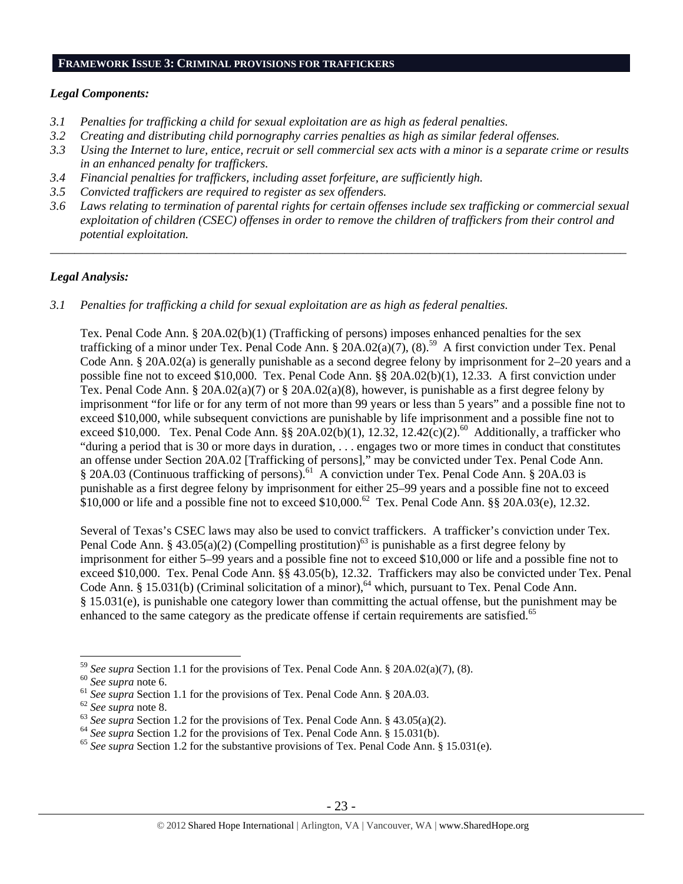#### **FRAMEWORK ISSUE 3: CRIMINAL PROVISIONS FOR TRAFFICKERS**

#### *Legal Components:*

- *3.1 Penalties for trafficking a child for sexual exploitation are as high as federal penalties.*
- *3.2 Creating and distributing child pornography carries penalties as high as similar federal offenses.*
- *3.3 Using the Internet to lure, entice, recruit or sell commercial sex acts with a minor is a separate crime or results in an enhanced penalty for traffickers.*
- *3.4 Financial penalties for traffickers, including asset forfeiture, are sufficiently high.*
- *3.5 Convicted traffickers are required to register as sex offenders.*
- *3.6 Laws relating to termination of parental rights for certain offenses include sex trafficking or commercial sexual exploitation of children (CSEC) offenses in order to remove the children of traffickers from their control and potential exploitation.*

\_\_\_\_\_\_\_\_\_\_\_\_\_\_\_\_\_\_\_\_\_\_\_\_\_\_\_\_\_\_\_\_\_\_\_\_\_\_\_\_\_\_\_\_\_\_\_\_\_\_\_\_\_\_\_\_\_\_\_\_\_\_\_\_\_\_\_\_\_\_\_\_\_\_\_\_\_\_\_\_\_\_\_\_\_\_\_\_\_\_\_\_\_\_

## *Legal Analysis:*

*3.1 Penalties for trafficking a child for sexual exploitation are as high as federal penalties.* 

Tex. Penal Code Ann. § 20A.02(b)(1) (Trafficking of persons) imposes enhanced penalties for the sex trafficking of a minor under Tex. Penal Code Ann. §  $20A.02(a)(7)$ , (8).<sup>59</sup> A first conviction under Tex. Penal Code Ann. § 20A.02(a) is generally punishable as a second degree felony by imprisonment for 2–20 years and a possible fine not to exceed \$10,000. Tex. Penal Code Ann. §§ 20A.02(b)(1), 12.33. A first conviction under Tex. Penal Code Ann. § 20A.02(a)(7) or § 20A.02(a)(8), however, is punishable as a first degree felony by imprisonment "for life or for any term of not more than 99 years or less than 5 years" and a possible fine not to exceed \$10,000, while subsequent convictions are punishable by life imprisonment and a possible fine not to exceed \$10,000. Tex. Penal Code Ann. §§ 20A.02(b)(1), 12.32, 12.42(c)(2).<sup>60</sup> Additionally, a trafficker who "during a period that is 30 or more days in duration, . . . engages two or more times in conduct that constitutes an offense under Section 20A.02 [Trafficking of persons]," may be convicted under Tex. Penal Code Ann. § 20A.03 (Continuous trafficking of persons).<sup>61</sup> A conviction under Tex. Penal Code Ann. § 20A.03 is punishable as a first degree felony by imprisonment for either 25–99 years and a possible fine not to exceed  $$10,000$  or life and a possible fine not to exceed  $$10,000$ .<sup>62</sup> Tex. Penal Code Ann. §§ 20A.03(e), 12.32.

Several of Texas's CSEC laws may also be used to convict traffickers. A trafficker's conviction under Tex. Penal Code Ann. § 43.05(a)(2) (Compelling prostitution)<sup>63</sup> is punishable as a first degree felony by imprisonment for either 5–99 years and a possible fine not to exceed \$10,000 or life and a possible fine not to exceed \$10,000. Tex. Penal Code Ann. §§ 43.05(b), 12.32. Traffickers may also be convicted under Tex. Penal Code Ann. § 15.031(b) (Criminal solicitation of a minor),<sup>64</sup> which, pursuant to Tex. Penal Code Ann. § 15.031(e), is punishable one category lower than committing the actual offense, but the punishment may be enhanced to the same category as the predicate offense if certain requirements are satisfied.<sup>65</sup>

<sup>&</sup>lt;sup>59</sup> See supra Section 1.1 for the provisions of Tex. Penal Code Ann. § 20A.02(a)(7), (8).<br><sup>60</sup> See supra note 6.<br><sup>61</sup> See supra Section 1.1 for the provisions of Tex. Penal Code Ann. § 20A.03.<br><sup>62</sup> See supra note 8.<br><sup>63</sup>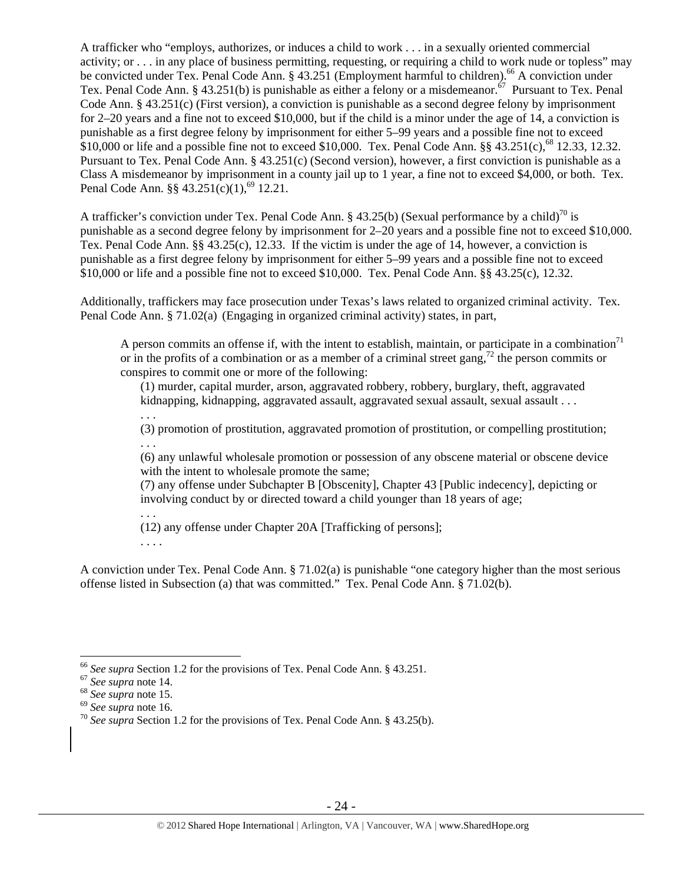A trafficker who "employs, authorizes, or induces a child to work . . . in a sexually oriented commercial activity; or . . . in any place of business permitting, requesting, or requiring a child to work nude or topless" may be convicted under Tex. Penal Code Ann. § 43.251 (Employment harmful to children).<sup>66</sup> A conviction under Tex. Penal Code Ann. § 43.251(b) is punishable as either a felony or a misdemeanor.<sup>67</sup> Pursuant to Tex. Penal Code Ann. § 43.251(c) (First version), a conviction is punishable as a second degree felony by imprisonment for 2–20 years and a fine not to exceed \$10,000, but if the child is a minor under the age of 14, a conviction is punishable as a first degree felony by imprisonment for either 5–99 years and a possible fine not to exceed \$10,000 or life and a possible fine not to exceed \$10,000. Tex. Penal Code Ann.  $\S § 43.251(c)$ ,<sup>68</sup> 12.33, 12.32. Pursuant to Tex. Penal Code Ann. § 43.251(c) (Second version), however, a first conviction is punishable as a Class A misdemeanor by imprisonment in a county jail up to 1 year, a fine not to exceed \$4,000, or both. Tex. Penal Code Ann. §§  $43.251(c)(1)$ ,<sup>69</sup> 12.21.

A trafficker's conviction under Tex. Penal Code Ann. § 43.25(b) (Sexual performance by a child)<sup>70</sup> is punishable as a second degree felony by imprisonment for 2–20 years and a possible fine not to exceed \$10,000. Tex. Penal Code Ann. §§ 43.25(c), 12.33. If the victim is under the age of 14, however, a conviction is punishable as a first degree felony by imprisonment for either 5–99 years and a possible fine not to exceed \$10,000 or life and a possible fine not to exceed \$10,000. Tex. Penal Code Ann. §§ 43.25(c), 12.32.

Additionally, traffickers may face prosecution under Texas's laws related to organized criminal activity. Tex. Penal Code Ann. § 71.02(a) (Engaging in organized criminal activity) states, in part,

A person commits an offense if, with the intent to establish, maintain, or participate in a combination<sup>71</sup> or in the profits of a combination or as a member of a criminal street gang,<sup>72</sup> the person commits or conspires to commit one or more of the following:

(1) murder, capital murder, arson, aggravated robbery, robbery, burglary, theft, aggravated kidnapping, kidnapping, aggravated assault, aggravated sexual assault, sexual assault  $\ldots$ 

. . .

(3) promotion of prostitution, aggravated promotion of prostitution, or compelling prostitution; . . .

(6) any unlawful wholesale promotion or possession of any obscene material or obscene device with the intent to wholesale promote the same;

(7) any offense under Subchapter B [Obscenity], Chapter 43 [Public indecency], depicting or involving conduct by or directed toward a child younger than 18 years of age;

. . . (12) any offense under Chapter 20A [Trafficking of persons];

. . . .

A conviction under Tex. Penal Code Ann. § 71.02(a) is punishable "one category higher than the most serious offense listed in Subsection (a) that was committed." Tex. Penal Code Ann. § 71.02(b).

<sup>&</sup>lt;sup>66</sup> See supra Section 1.2 for the provisions of Tex. Penal Code Ann. § 43.251.<br><sup>67</sup> See supra note 14.<br><sup>68</sup> See supra note 15.<br><sup>69</sup> See supra note 16.<br><sup>70</sup> See supra Section 1.2 for the provisions of Tex. Penal Code Ann.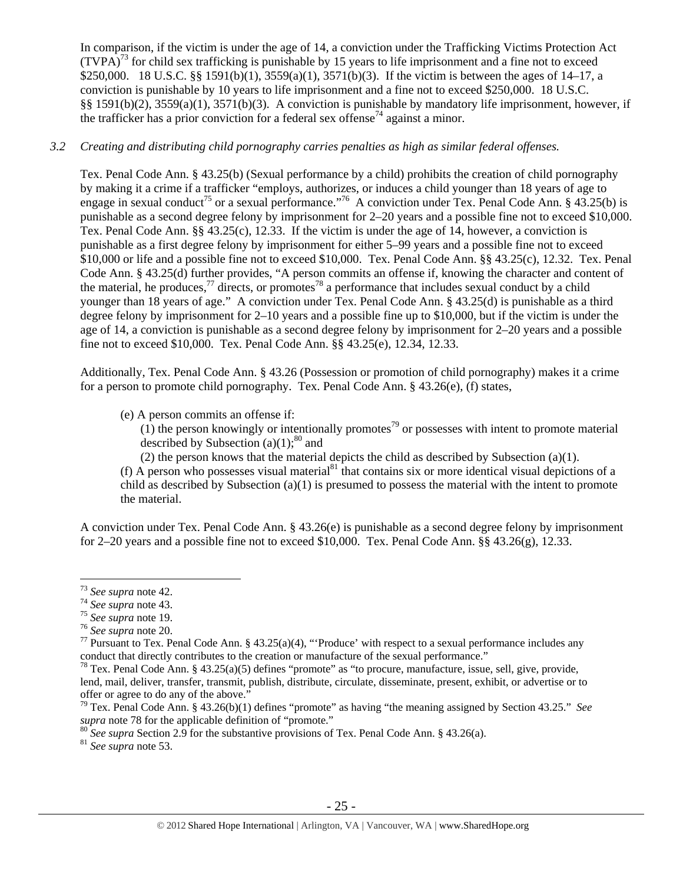In comparison, if the victim is under the age of 14, a conviction under the Trafficking Victims Protection Act  $(TVPA)<sup>73</sup>$  for child sex trafficking is punishable by 15 years to life imprisonment and a fine not to exceed \$250,000. 18 U.S.C. §§ 1591(b)(1), 3559(a)(1), 3571(b)(3). If the victim is between the ages of 14–17, a conviction is punishable by 10 years to life imprisonment and a fine not to exceed \$250,000. 18 U.S.C. §§ 1591(b)(2), 3559(a)(1), 3571(b)(3). A conviction is punishable by mandatory life imprisonment, however, if the trafficker has a prior conviction for a federal sex offense<sup> $74$ </sup> against a minor.

## *3.2 Creating and distributing child pornography carries penalties as high as similar federal offenses.*

Tex. Penal Code Ann. § 43.25(b) (Sexual performance by a child) prohibits the creation of child pornography by making it a crime if a trafficker "employs, authorizes, or induces a child younger than 18 years of age to engage in sexual conduct<sup>75</sup> or a sexual performance."<sup>76</sup> A conviction under Tex. Penal Code Ann. § 43.25(b) is punishable as a second degree felony by imprisonment for 2–20 years and a possible fine not to exceed \$10,000. Tex. Penal Code Ann. §§ 43.25(c), 12.33. If the victim is under the age of 14, however, a conviction is punishable as a first degree felony by imprisonment for either 5–99 years and a possible fine not to exceed \$10,000 or life and a possible fine not to exceed \$10,000. Tex. Penal Code Ann. §§ 43.25(c), 12.32. Tex. Penal Code Ann. § 43.25(d) further provides, "A person commits an offense if, knowing the character and content of the material, he produces,<sup>77</sup> directs, or promotes<sup>78</sup> a performance that includes sexual conduct by a child younger than 18 years of age." A conviction under Tex. Penal Code Ann. § 43.25(d) is punishable as a third degree felony by imprisonment for 2–10 years and a possible fine up to \$10,000, but if the victim is under the age of 14, a conviction is punishable as a second degree felony by imprisonment for 2–20 years and a possible fine not to exceed \$10,000. Tex. Penal Code Ann. §§ 43.25(e), 12.34, 12.33.

Additionally, Tex. Penal Code Ann. § 43.26 (Possession or promotion of child pornography) makes it a crime for a person to promote child pornography. Tex. Penal Code Ann. § 43.26(e), (f) states,

(e) A person commits an offense if:

 $(1)$  the person knowingly or intentionally promotes<sup>79</sup> or possesses with intent to promote material described by Subsection (a)(1); $^{80}$  and

(2) the person knows that the material depicts the child as described by Subsection (a)(1).

(f) A person who possesses visual material<sup>81</sup> that contains six or more identical visual depictions of a child as described by Subsection (a)(1) is presumed to possess the material with the intent to promote the material.

A conviction under Tex. Penal Code Ann. § 43.26(e) is punishable as a second degree felony by imprisonment for 2–20 years and a possible fine not to exceed \$10,000. Tex. Penal Code Ann.  $\S$ § 43.26(g), 12.33.

 $73$  See supra note 42.

<sup>&</sup>lt;sup>74</sup> See supra note 43.<br><sup>75</sup> See supra note 19.<br><sup>75</sup> See supra note 20.<br><sup>76</sup> See supra note 20.<br><sup>77</sup> Pursuant to Tex. Penal Code Ann. § 43.25(a)(4), "'Produce' with respect to a sexual performance includes any conduct that directly contributes to the creation or manufacture of the sexual performance."<br><sup>78</sup> Tex. Penal Code Ann. § 43.25(a)(5) defines "promote" as "to procure, manufacture, issue, sell, give, provide,

lend, mail, deliver, transfer, transmit, publish, distribute, circulate, disseminate, present, exhibit, or advertise or to offer or agree to do any of the above."

<sup>79</sup> Tex. Penal Code Ann. § 43.26(b)(1) defines "promote" as having "the meaning assigned by Section 43.25." *See* 

<sup>&</sup>lt;sup>80</sup> *See supra* Section 2.9 for the substantive provisions of Tex. Penal Code Ann. § 43.26(a). <sup>81</sup> *See supra* note 53.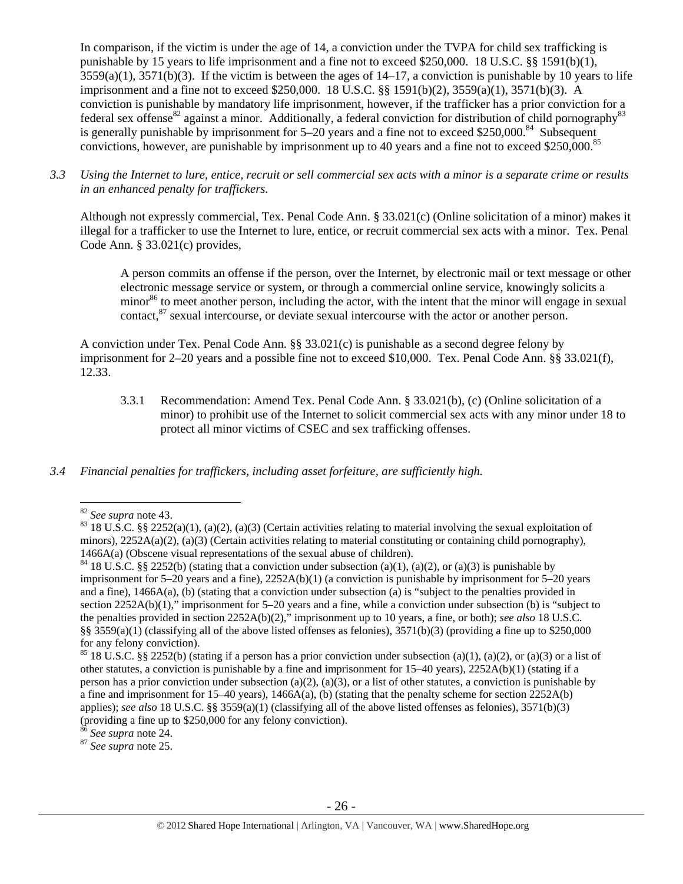In comparison, if the victim is under the age of 14, a conviction under the TVPA for child sex trafficking is punishable by 15 years to life imprisonment and a fine not to exceed \$250,000. 18 U.S.C. §§ 1591(b)(1),  $3559(a)(1)$ ,  $3571(b)(3)$ . If the victim is between the ages of  $14-17$ , a conviction is punishable by 10 years to life imprisonment and a fine not to exceed \$250,000. 18 U.S.C. §§ 1591(b)(2), 3559(a)(1), 3571(b)(3). A conviction is punishable by mandatory life imprisonment, however, if the trafficker has a prior conviction for a federal sex offense<sup>82</sup> against a minor. Additionally, a federal conviction for distribution of child pornography<sup>83</sup> is generally punishable by imprisonment for 5–20 years and a fine not to exceed \$250,000.<sup>84</sup> Subsequent convictions, however, are punishable by imprisonment up to 40 years and a fine not to exceed \$250,000.<sup>85</sup>

*3.3 Using the Internet to lure, entice, recruit or sell commercial sex acts with a minor is a separate crime or results in an enhanced penalty for traffickers.* 

Although not expressly commercial, Tex. Penal Code Ann. § 33.021(c) (Online solicitation of a minor) makes it illegal for a trafficker to use the Internet to lure, entice, or recruit commercial sex acts with a minor. Tex. Penal Code Ann. § 33.021(c) provides,

A person commits an offense if the person, over the Internet, by electronic mail or text message or other electronic message service or system, or through a commercial online service, knowingly solicits a minor<sup>86</sup> to meet another person, including the actor, with the intent that the minor will engage in sexual contact. $87$  sexual intercourse, or deviate sexual intercourse with the actor or another person.

A conviction under Tex. Penal Code Ann. §§ 33.021(c) is punishable as a second degree felony by imprisonment for 2–20 years and a possible fine not to exceed \$10,000. Tex. Penal Code Ann. §§ 33.021(f), 12.33.

3.3.1 Recommendation: Amend Tex. Penal Code Ann. § 33.021(b), (c) (Online solicitation of a minor) to prohibit use of the Internet to solicit commercial sex acts with any minor under 18 to protect all minor victims of CSEC and sex trafficking offenses.

## *3.4 Financial penalties for traffickers, including asset forfeiture, are sufficiently high.*

 $\overline{a}$ 

<sup>&</sup>lt;sup>82</sup> *See supra* note 43.<br><sup>83</sup> 18 U.S.C. §§ 2252(a)(1), (a)(2), (a)(3) (Certain activities relating to material involving the sexual exploitation of minors),  $2252A(a)(2)$ , (a)(3) (Certain activities relating to material constituting or containing child pornography), 1466A(a) (Obscene visual representations of the sexual abuse of children).<br><sup>84</sup> 18 U.S.C. §§ 2252(b) (stating that a conviction under subsection (a)(1), (a)(2), or (a)(3) is punishable by

imprisonment for 5–20 years and a fine), 2252A(b)(1) (a conviction is punishable by imprisonment for 5–20 years and a fine), 1466A(a), (b) (stating that a conviction under subsection (a) is "subject to the penalties provided in section 2252A(b)(1)," imprisonment for 5–20 years and a fine, while a conviction under subsection (b) is "subject to the penalties provided in section 2252A(b)(2)," imprisonment up to 10 years, a fine, or both); *see also* 18 U.S.C. §§ 3559(a)(1) (classifying all of the above listed offenses as felonies),  $3571(b)(3)$  (providing a fine up to \$250,000 for any felony conviction).

<sup>&</sup>lt;sup>85</sup> 18 U.S.C. §§ 2252(b) (stating if a person has a prior conviction under subsection (a)(1), (a)(2), or (a)(3) or a list of other statutes, a conviction is punishable by a fine and imprisonment for 15–40 years), 2252A(b)(1) (stating if a person has a prior conviction under subsection (a)(2), (a)(3), or a list of other statutes, a conviction is punishable by a fine and imprisonment for 15–40 years), 1466A(a), (b) (stating that the penalty scheme for section 2252A(b) applies); *see also* 18 U.S.C. §§ 3559(a)(1) (classifying all of the above listed offenses as felonies), 3571(b)(3) (providing a fine up to \$250,000 for any felony conviction).

<sup>86</sup> *See supra* note 24. 87 *See supra* note 25.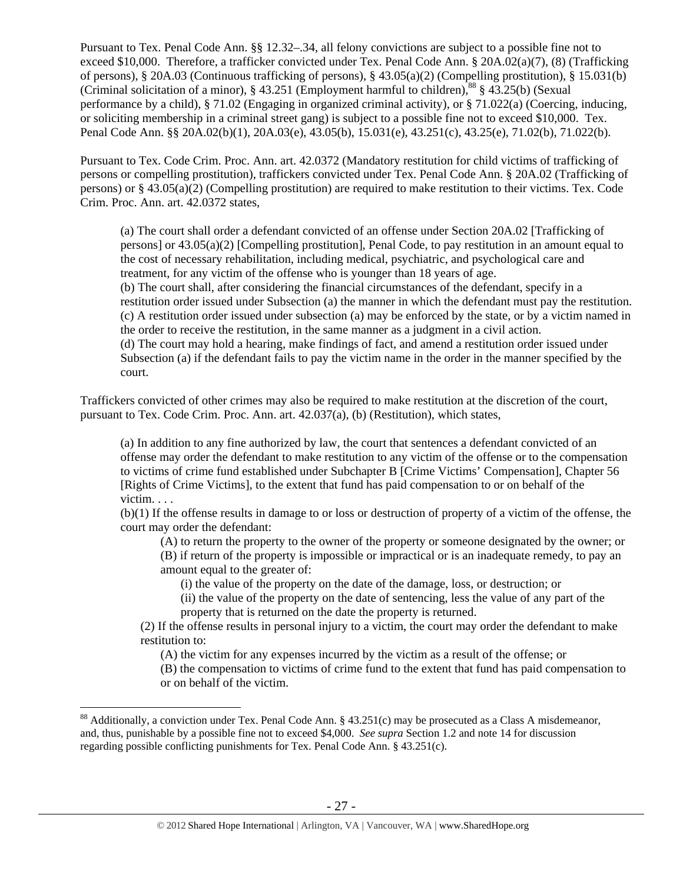Pursuant to Tex. Penal Code Ann. §§ 12.32–.34, all felony convictions are subject to a possible fine not to exceed \$10,000. Therefore, a trafficker convicted under Tex. Penal Code Ann. § 20A.02(a)(7), (8) (Trafficking of persons), § 20A.03 (Continuous trafficking of persons), § 43.05(a)(2) (Compelling prostitution), § 15.031(b) (Criminal solicitation of a minor), § 43.251 (Employment harmful to children),<sup>88</sup> § 43.25(b) (Sexual performance by a child), § 71.02 (Engaging in organized criminal activity), or § 71.022(a) (Coercing, inducing, or soliciting membership in a criminal street gang) is subject to a possible fine not to exceed \$10,000. Tex. Penal Code Ann. §§ 20A.02(b)(1), 20A.03(e), 43.05(b), 15.031(e), 43.251(c), 43.25(e), 71.02(b), 71.022(b).

Pursuant to Tex. Code Crim. Proc. Ann. art. 42.0372 (Mandatory restitution for child victims of trafficking of persons or compelling prostitution), traffickers convicted under Tex. Penal Code Ann. § 20A.02 (Trafficking of persons) or § 43.05(a)(2) (Compelling prostitution) are required to make restitution to their victims. Tex. Code Crim. Proc. Ann. art. 42.0372 states,

(a) The court shall order a defendant convicted of an offense under Section 20A.02 [Trafficking of persons] or 43.05(a)(2) [Compelling prostitution], Penal Code, to pay restitution in an amount equal to the cost of necessary rehabilitation, including medical, psychiatric, and psychological care and treatment, for any victim of the offense who is younger than 18 years of age. (b) The court shall, after considering the financial circumstances of the defendant, specify in a restitution order issued under Subsection (a) the manner in which the defendant must pay the restitution. (c) A restitution order issued under subsection (a) may be enforced by the state, or by a victim named in the order to receive the restitution, in the same manner as a judgment in a civil action. (d) The court may hold a hearing, make findings of fact, and amend a restitution order issued under Subsection (a) if the defendant fails to pay the victim name in the order in the manner specified by the court.

Traffickers convicted of other crimes may also be required to make restitution at the discretion of the court, pursuant to Tex. Code Crim. Proc. Ann. art. 42.037(a), (b) (Restitution), which states,

(a) In addition to any fine authorized by law, the court that sentences a defendant convicted of an offense may order the defendant to make restitution to any victim of the offense or to the compensation to victims of crime fund established under Subchapter B [Crime Victims' Compensation], Chapter 56 [Rights of Crime Victims], to the extent that fund has paid compensation to or on behalf of the victim. . . .

(b)(1) If the offense results in damage to or loss or destruction of property of a victim of the offense, the court may order the defendant:

(A) to return the property to the owner of the property or someone designated by the owner; or (B) if return of the property is impossible or impractical or is an inadequate remedy, to pay an amount equal to the greater of:

(i) the value of the property on the date of the damage, loss, or destruction; or

(ii) the value of the property on the date of sentencing, less the value of any part of the property that is returned on the date the property is returned.

(2) If the offense results in personal injury to a victim, the court may order the defendant to make restitution to:

(A) the victim for any expenses incurred by the victim as a result of the offense; or (B) the compensation to victims of crime fund to the extent that fund has paid compensation to or on behalf of the victim.

<sup>&</sup>lt;sup>88</sup> Additionally, a conviction under Tex. Penal Code Ann. § 43.251(c) may be prosecuted as a Class A misdemeanor, and, thus, punishable by a possible fine not to exceed \$4,000. *See supra* Section 1.2 and note 14 for discussion regarding possible conflicting punishments for Tex. Penal Code Ann. § 43.251(c).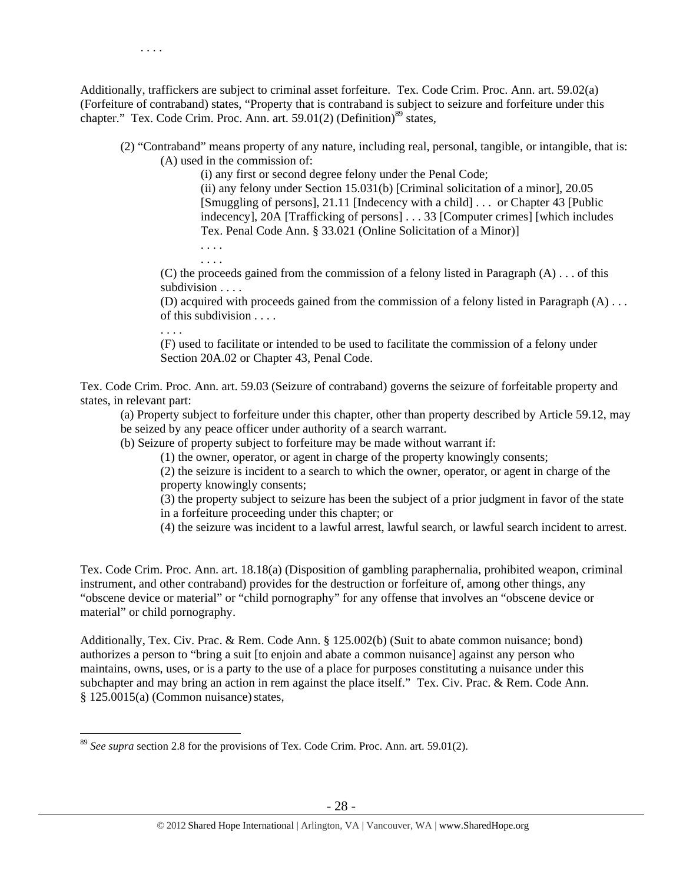Additionally, traffickers are subject to criminal asset forfeiture. Tex. Code Crim. Proc. Ann. art. 59.02(a) (Forfeiture of contraband) states, "Property that is contraband is subject to seizure and forfeiture under this chapter." Tex. Code Crim. Proc. Ann. art. 59.01(2) (Definition)<sup>89</sup> states,

(2) "Contraband" means property of any nature, including real, personal, tangible, or intangible, that is: (A) used in the commission of:

(i) any first or second degree felony under the Penal Code;

(ii) any felony under Section 15.031(b) [Criminal solicitation of a minor], 20.05 [Smuggling of persons], 21.11 [Indecency with a child] . . . or Chapter 43 [Public indecency], 20A [Trafficking of persons] . . . 33 [Computer crimes] [which includes Tex. Penal Code Ann. § 33.021 (Online Solicitation of a Minor)]

. . . . . . . .

(C) the proceeds gained from the commission of a felony listed in Paragraph  $(A)$ ... of this subdivision . . . .

(D) acquired with proceeds gained from the commission of a felony listed in Paragraph (A) . . . of this subdivision . . . .

. . . .

 $\overline{a}$ 

(F) used to facilitate or intended to be used to facilitate the commission of a felony under Section 20A.02 or Chapter 43, Penal Code.

Tex. Code Crim. Proc. Ann. art. 59.03 (Seizure of contraband) governs the seizure of forfeitable property and states, in relevant part:

(a) Property subject to forfeiture under this chapter, other than property described by Article 59.12, may be seized by any peace officer under authority of a search warrant.

(b) Seizure of property subject to forfeiture may be made without warrant if:

(1) the owner, operator, or agent in charge of the property knowingly consents;

(2) the seizure is incident to a search to which the owner, operator, or agent in charge of the property knowingly consents;

(3) the property subject to seizure has been the subject of a prior judgment in favor of the state in a forfeiture proceeding under this chapter; or

(4) the seizure was incident to a lawful arrest, lawful search, or lawful search incident to arrest.

Tex. Code Crim. Proc. Ann. art. 18.18(a) (Disposition of gambling paraphernalia, prohibited weapon, criminal instrument, and other contraband) provides for the destruction or forfeiture of, among other things, any "obscene device or material" or "child pornography" for any offense that involves an "obscene device or material" or child pornography.

Additionally, Tex. Civ. Prac. & Rem. Code Ann. § 125.002(b) (Suit to abate common nuisance; bond) authorizes a person to "bring a suit [to enjoin and abate a common nuisance] against any person who maintains, owns, uses, or is a party to the use of a place for purposes constituting a nuisance under this subchapter and may bring an action in rem against the place itself." Tex. Civ. Prac. & Rem. Code Ann.  $§ 125.0015(a)$  (Common nuisance) states,

<sup>89</sup> *See supra* section 2.8 for the provisions of Tex. Code Crim. Proc. Ann. art. 59.01(2).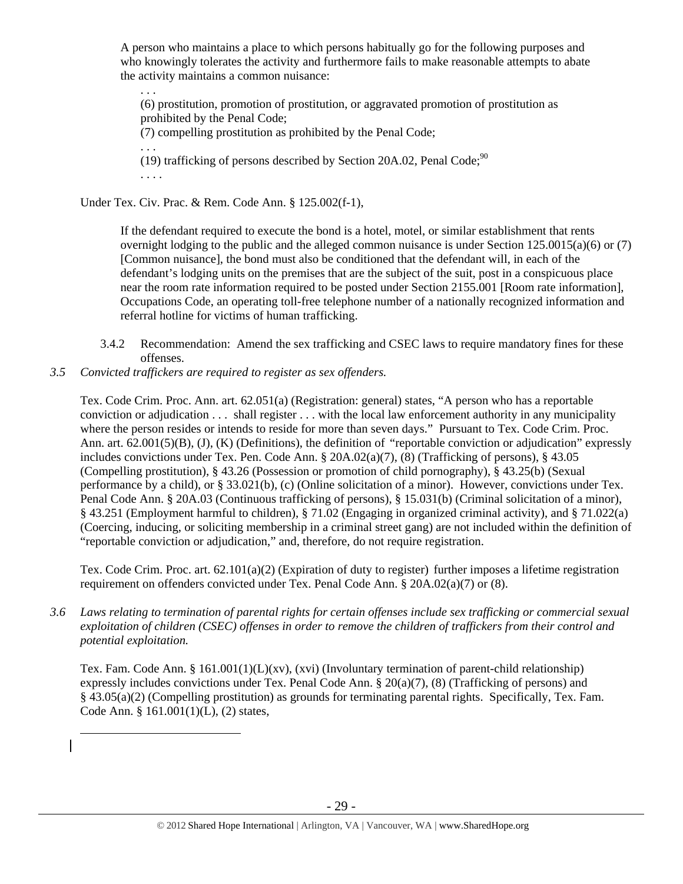A person who maintains a place to which persons habitually go for the following purposes and who knowingly tolerates the activity and furthermore fails to make reasonable attempts to abate the activity maintains a common nuisance:

. . . (6) prostitution, promotion of prostitution, or aggravated promotion of prostitution as prohibited by the Penal Code; (7) compelling prostitution as prohibited by the Penal Code; . . . (19) trafficking of persons described by Section 20A.02, Penal Code;<sup>90</sup> . . . .

Under Tex. Civ. Prac. & Rem. Code Ann. § 125.002(f-1),

If the defendant required to execute the bond is a hotel, motel, or similar establishment that rents overnight lodging to the public and the alleged common nuisance is under Section 125.0015(a)(6) or (7) [Common nuisance], the bond must also be conditioned that the defendant will, in each of the defendant's lodging units on the premises that are the subject of the suit, post in a conspicuous place near the room rate information required to be posted under Section 2155.001 [Room rate information], Occupations Code, an operating toll-free telephone number of a nationally recognized information and referral hotline for victims of human trafficking.

- 3.4.2 Recommendation: Amend the sex trafficking and CSEC laws to require mandatory fines for these offenses.
- *3.5 Convicted traffickers are required to register as sex offenders.*

 $\overline{a}$ 

Tex. Code Crim. Proc. Ann. art. 62.051(a) (Registration: general) states, "A person who has a reportable conviction or adjudication . . . shall register . . . with the local law enforcement authority in any municipality where the person resides or intends to reside for more than seven days." Pursuant to Tex. Code Crim. Proc. Ann. art. 62.001(5)(B), (J), (K) (Definitions), the definition of "reportable conviction or adjudication" expressly includes convictions under Tex. Pen. Code Ann. § 20A.02(a)(7), (8) (Trafficking of persons), § 43.05 (Compelling prostitution), § 43.26 (Possession or promotion of child pornography), § 43.25(b) (Sexual performance by a child), or § 33.021(b), (c) (Online solicitation of a minor). However, convictions under Tex. Penal Code Ann. § 20A.03 (Continuous trafficking of persons), § 15.031(b) (Criminal solicitation of a minor), § 43.251 (Employment harmful to children), § 71.02 (Engaging in organized criminal activity), and § 71.022(a) (Coercing, inducing, or soliciting membership in a criminal street gang) are not included within the definition of "reportable conviction or adjudication," and, therefore, do not require registration.

Tex. Code Crim. Proc. art. 62.101(a)(2) (Expiration of duty to register) further imposes a lifetime registration requirement on offenders convicted under Tex. Penal Code Ann. § 20A.02(a)(7) or (8).

*3.6 Laws relating to termination of parental rights for certain offenses include sex trafficking or commercial sexual exploitation of children (CSEC) offenses in order to remove the children of traffickers from their control and potential exploitation.* 

Tex. Fam. Code Ann. § 161.001(1)(L)(xv), (xvi) (Involuntary termination of parent-child relationship) expressly includes convictions under Tex. Penal Code Ann. § 20(a)(7), (8) (Trafficking of persons) and § 43.05(a)(2) (Compelling prostitution) as grounds for terminating parental rights. Specifically, Tex. Fam. Code Ann. § 161.001(1)(L), (2) states,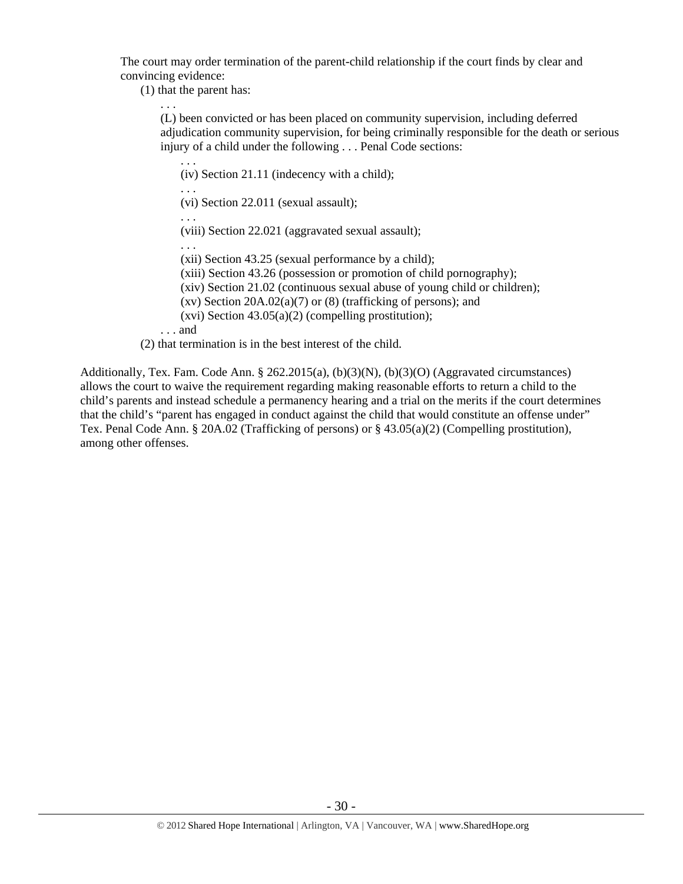The court may order termination of the parent-child relationship if the court finds by clear and convincing evidence:

(1) that the parent has:

. . . (L) been convicted or has been placed on community supervision, including deferred adjudication community supervision, for being criminally responsible for the death or serious injury of a child under the following . . . Penal Code sections:

. . . (iv) Section 21.11 (indecency with a child); . . . (vi) Section 22.011 (sexual assault); . . . (viii) Section 22.021 (aggravated sexual assault); . . . (xii) Section 43.25 (sexual performance by a child); (xiii) Section 43.26 (possession or promotion of child pornography); (xiv) Section 21.02 (continuous sexual abuse of young child or children); (xv) Section  $20A.02(a)(7)$  or  $(8)$  (trafficking of persons); and  $(xvi)$  Section 43.05(a)(2) (compelling prostitution); . . . and (2) that termination is in the best interest of the child.

Additionally, Tex. Fam. Code Ann. § 262.2015(a), (b)(3)(N), (b)(3)(O) (Aggravated circumstances) allows the court to waive the requirement regarding making reasonable efforts to return a child to the child's parents and instead schedule a permanency hearing and a trial on the merits if the court determines that the child's "parent has engaged in conduct against the child that would constitute an offense under" Tex. Penal Code Ann. § 20A.02 (Trafficking of persons) or § 43.05(a)(2) (Compelling prostitution), among other offenses.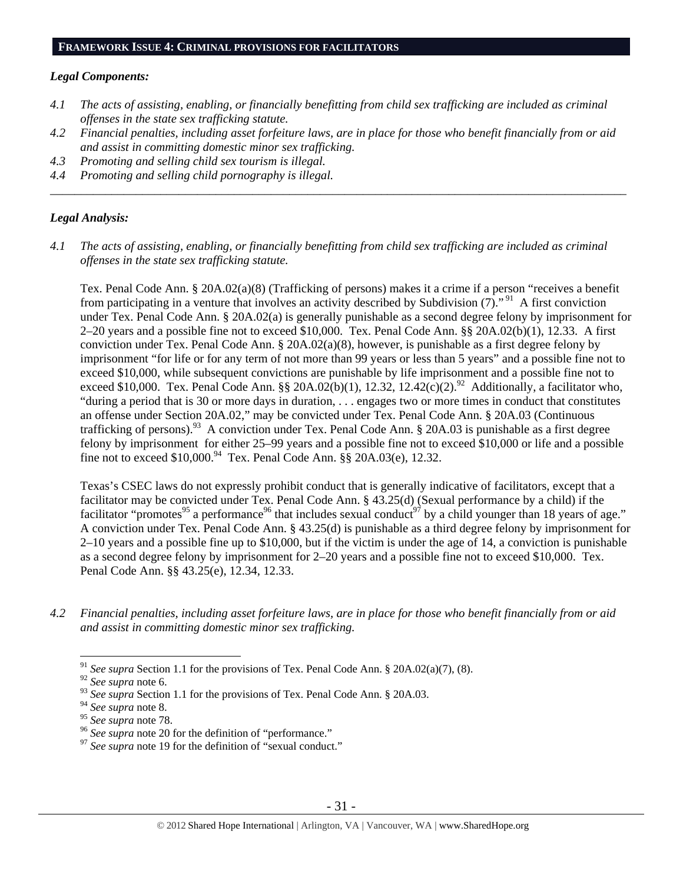#### **FRAMEWORK ISSUE 4: CRIMINAL PROVISIONS FOR FACILITATORS**

## *Legal Components:*

- *4.1 The acts of assisting, enabling, or financially benefitting from child sex trafficking are included as criminal offenses in the state sex trafficking statute.*
- *4.2 Financial penalties, including asset forfeiture laws, are in place for those who benefit financially from or aid and assist in committing domestic minor sex trafficking.*

\_\_\_\_\_\_\_\_\_\_\_\_\_\_\_\_\_\_\_\_\_\_\_\_\_\_\_\_\_\_\_\_\_\_\_\_\_\_\_\_\_\_\_\_\_\_\_\_\_\_\_\_\_\_\_\_\_\_\_\_\_\_\_\_\_\_\_\_\_\_\_\_\_\_\_\_\_\_\_\_\_\_\_\_\_\_\_\_\_\_\_\_\_\_

- *4.3 Promoting and selling child sex tourism is illegal.*
- *4.4 Promoting and selling child pornography is illegal.*

## *Legal Analysis:*

*4.1 The acts of assisting, enabling, or financially benefitting from child sex trafficking are included as criminal offenses in the state sex trafficking statute.* 

Tex. Penal Code Ann. § 20A.02(a)(8) (Trafficking of persons) makes it a crime if a person "receives a benefit from participating in a venture that involves an activity described by Subdivision  $(7)$ ."<sup>91</sup> A first conviction under Tex. Penal Code Ann. § 20A.02(a) is generally punishable as a second degree felony by imprisonment for 2–20 years and a possible fine not to exceed \$10,000. Tex. Penal Code Ann. §§ 20A.02(b)(1), 12.33. A first conviction under Tex. Penal Code Ann. §  $20A.02(a)(8)$ , however, is punishable as a first degree felony by imprisonment "for life or for any term of not more than 99 years or less than 5 years" and a possible fine not to exceed \$10,000, while subsequent convictions are punishable by life imprisonment and a possible fine not to exceed \$10,000. Tex. Penal Code Ann. §§ 20A.02(b)(1), 12.32, 12.42(c)(2).<sup>92</sup> Additionally, a facilitator who, "during a period that is 30 or more days in duration, . . . engages two or more times in conduct that constitutes an offense under Section 20A.02," may be convicted under Tex. Penal Code Ann. § 20A.03 (Continuous trafficking of persons).<sup>93</sup> A conviction under Tex. Penal Code Ann. § 20A.03 is punishable as a first degree felony by imprisonment for either 25–99 years and a possible fine not to exceed \$10,000 or life and a possible fine not to exceed  $$10,000$ .<sup>94</sup> Tex. Penal Code Ann.  $\hat{\S}$  20A.03(e), 12.32.

Texas's CSEC laws do not expressly prohibit conduct that is generally indicative of facilitators, except that a facilitator may be convicted under Tex. Penal Code Ann. § 43.25(d) (Sexual performance by a child) if the facilitator "promotes<sup>95</sup> a performance<sup>96</sup> that includes sexual conduct<sup>97</sup> by a child younger than 18 years of age." A conviction under Tex. Penal Code Ann. § 43.25(d) is punishable as a third degree felony by imprisonment for 2–10 years and a possible fine up to \$10,000, but if the victim is under the age of 14, a conviction is punishable as a second degree felony by imprisonment for 2–20 years and a possible fine not to exceed \$10,000. Tex. Penal Code Ann. §§ 43.25(e), 12.34, 12.33.

*4.2 Financial penalties, including asset forfeiture laws, are in place for those who benefit financially from or aid and assist in committing domestic minor sex trafficking.* 

<sup>91</sup> *See supra* Section 1.1 for the provisions of Tex. Penal Code Ann. § 20A.02(a)(7), (8).

<sup>92</sup> *See supra* note 6.

<sup>&</sup>lt;sup>93</sup> See supra Section 1.1 for the provisions of Tex. Penal Code Ann. § 20A.03.

<sup>&</sup>lt;sup>94</sup> *See supra* note 8.<br><sup>95</sup> *See supra* note 78.

<sup>&</sup>lt;sup>96</sup> See supra note 20 for the definition of "performance."<br><sup>97</sup> See supra note 19 for the definition of "sexual conduct."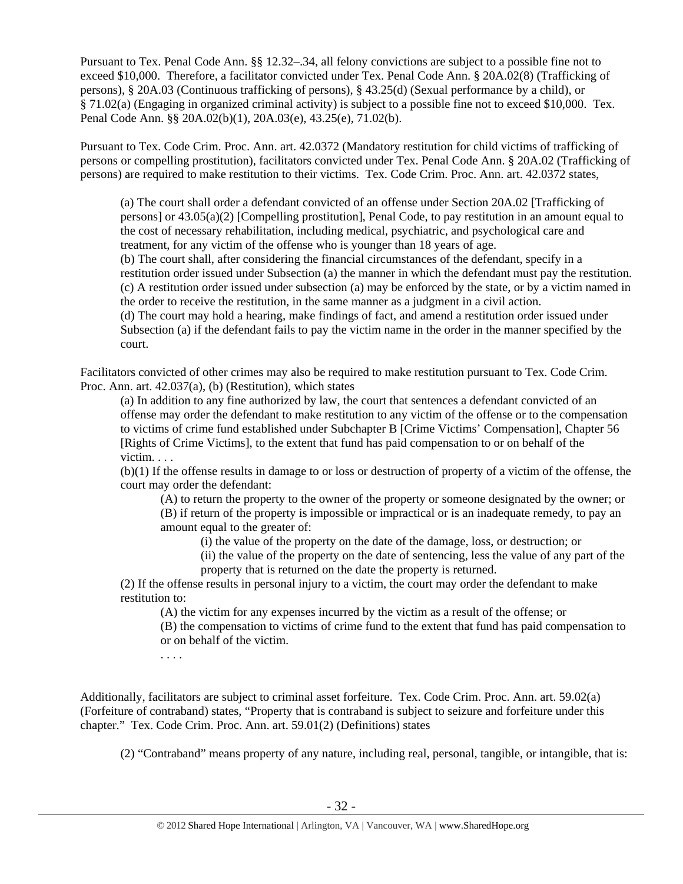Pursuant to Tex. Penal Code Ann. §§ 12.32–.34, all felony convictions are subject to a possible fine not to exceed \$10,000. Therefore, a facilitator convicted under Tex. Penal Code Ann. § 20A.02(8) (Trafficking of persons), § 20A.03 (Continuous trafficking of persons), § 43.25(d) (Sexual performance by a child), or § 71.02(a) (Engaging in organized criminal activity) is subject to a possible fine not to exceed \$10,000. Tex. Penal Code Ann. §§ 20A.02(b)(1), 20A.03(e), 43.25(e), 71.02(b).

Pursuant to Tex. Code Crim. Proc. Ann. art. 42.0372 (Mandatory restitution for child victims of trafficking of persons or compelling prostitution), facilitators convicted under Tex. Penal Code Ann. § 20A.02 (Trafficking of persons) are required to make restitution to their victims. Tex. Code Crim. Proc. Ann. art. 42.0372 states,

(a) The court shall order a defendant convicted of an offense under Section 20A.02 [Trafficking of persons] or 43.05(a)(2) [Compelling prostitution], Penal Code, to pay restitution in an amount equal to the cost of necessary rehabilitation, including medical, psychiatric, and psychological care and treatment, for any victim of the offense who is younger than 18 years of age.

(b) The court shall, after considering the financial circumstances of the defendant, specify in a restitution order issued under Subsection (a) the manner in which the defendant must pay the restitution. (c) A restitution order issued under subsection (a) may be enforced by the state, or by a victim named in the order to receive the restitution, in the same manner as a judgment in a civil action.

(d) The court may hold a hearing, make findings of fact, and amend a restitution order issued under Subsection (a) if the defendant fails to pay the victim name in the order in the manner specified by the court.

Facilitators convicted of other crimes may also be required to make restitution pursuant to Tex. Code Crim. Proc. Ann. art. 42.037(a), (b) (Restitution), which states

(a) In addition to any fine authorized by law, the court that sentences a defendant convicted of an offense may order the defendant to make restitution to any victim of the offense or to the compensation to victims of crime fund established under Subchapter B [Crime Victims' Compensation], Chapter 56 [Rights of Crime Victims], to the extent that fund has paid compensation to or on behalf of the victim. . . .

(b)(1) If the offense results in damage to or loss or destruction of property of a victim of the offense, the court may order the defendant:

(A) to return the property to the owner of the property or someone designated by the owner; or (B) if return of the property is impossible or impractical or is an inadequate remedy, to pay an amount equal to the greater of:

(i) the value of the property on the date of the damage, loss, or destruction; or

(ii) the value of the property on the date of sentencing, less the value of any part of the property that is returned on the date the property is returned.

(2) If the offense results in personal injury to a victim, the court may order the defendant to make restitution to:

(A) the victim for any expenses incurred by the victim as a result of the offense; or (B) the compensation to victims of crime fund to the extent that fund has paid compensation to or on behalf of the victim.

. . . .

Additionally, facilitators are subject to criminal asset forfeiture. Tex. Code Crim. Proc. Ann. art. 59.02(a) (Forfeiture of contraband) states, "Property that is contraband is subject to seizure and forfeiture under this chapter." Tex. Code Crim. Proc. Ann. art. 59.01(2) (Definitions) states

(2) "Contraband" means property of any nature, including real, personal, tangible, or intangible, that is: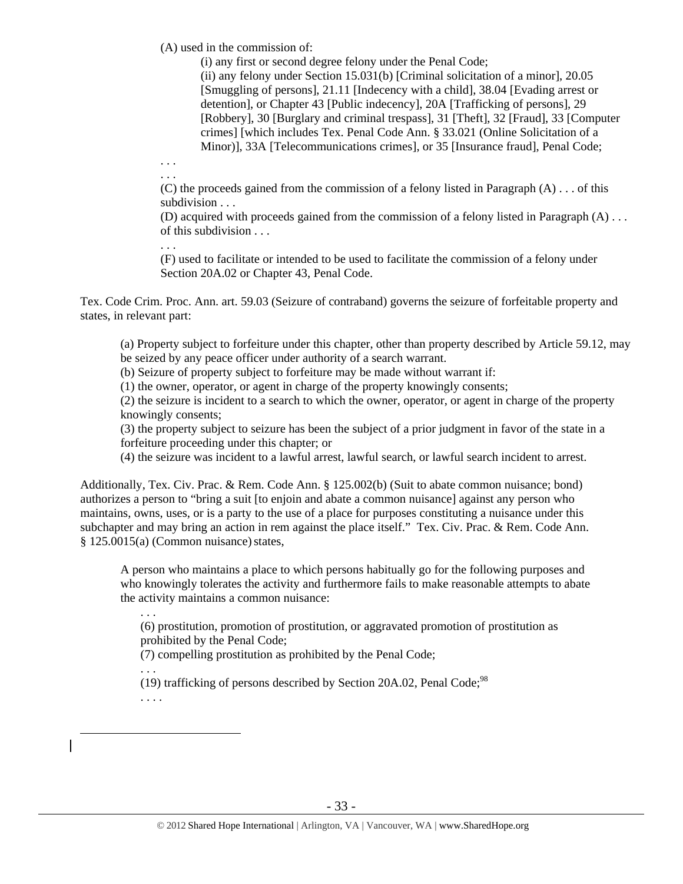(A) used in the commission of:

(i) any first or second degree felony under the Penal Code; (ii) any felony under Section 15.031(b) [Criminal solicitation of a minor], 20.05 [Smuggling of persons], 21.11 [Indecency with a child], 38.04 [Evading arrest or detention], or Chapter 43 [Public indecency], 20A [Trafficking of persons], 29 [Robbery], 30 [Burglary and criminal trespass], 31 [Theft], 32 [Fraud], 33 [Computer crimes] [which includes Tex. Penal Code Ann. § 33.021 (Online Solicitation of a Minor)], 33A [Telecommunications crimes], or 35 [Insurance fraud], Penal Code;

. . . . . .

(C) the proceeds gained from the commission of a felony listed in Paragraph  $(A) \dots$  of this subdivision . . .

(D) acquired with proceeds gained from the commission of a felony listed in Paragraph (A) . . . of this subdivision . . .

. . .

(F) used to facilitate or intended to be used to facilitate the commission of a felony under Section 20A.02 or Chapter 43, Penal Code.

Tex. Code Crim. Proc. Ann. art. 59.03 (Seizure of contraband) governs the seizure of forfeitable property and states, in relevant part:

(a) Property subject to forfeiture under this chapter, other than property described by Article 59.12, may be seized by any peace officer under authority of a search warrant.

(b) Seizure of property subject to forfeiture may be made without warrant if:

(1) the owner, operator, or agent in charge of the property knowingly consents;

(2) the seizure is incident to a search to which the owner, operator, or agent in charge of the property knowingly consents;

(3) the property subject to seizure has been the subject of a prior judgment in favor of the state in a forfeiture proceeding under this chapter; or

(4) the seizure was incident to a lawful arrest, lawful search, or lawful search incident to arrest.

Additionally, Tex. Civ. Prac. & Rem. Code Ann. § 125.002(b) (Suit to abate common nuisance; bond) authorizes a person to "bring a suit [to enjoin and abate a common nuisance] against any person who maintains, owns, uses, or is a party to the use of a place for purposes constituting a nuisance under this subchapter and may bring an action in rem against the place itself." Tex. Civ. Prac. & Rem. Code Ann. § 125.0015(a) (Common nuisance)states,

A person who maintains a place to which persons habitually go for the following purposes and who knowingly tolerates the activity and furthermore fails to make reasonable attempts to abate the activity maintains a common nuisance:

(6) prostitution, promotion of prostitution, or aggravated promotion of prostitution as prohibited by the Penal Code;

(7) compelling prostitution as prohibited by the Penal Code;

. . . (19) trafficking of persons described by Section 20A.02, Penal Code;<sup>98</sup>

. . . .

 $\overline{a}$ 

. . .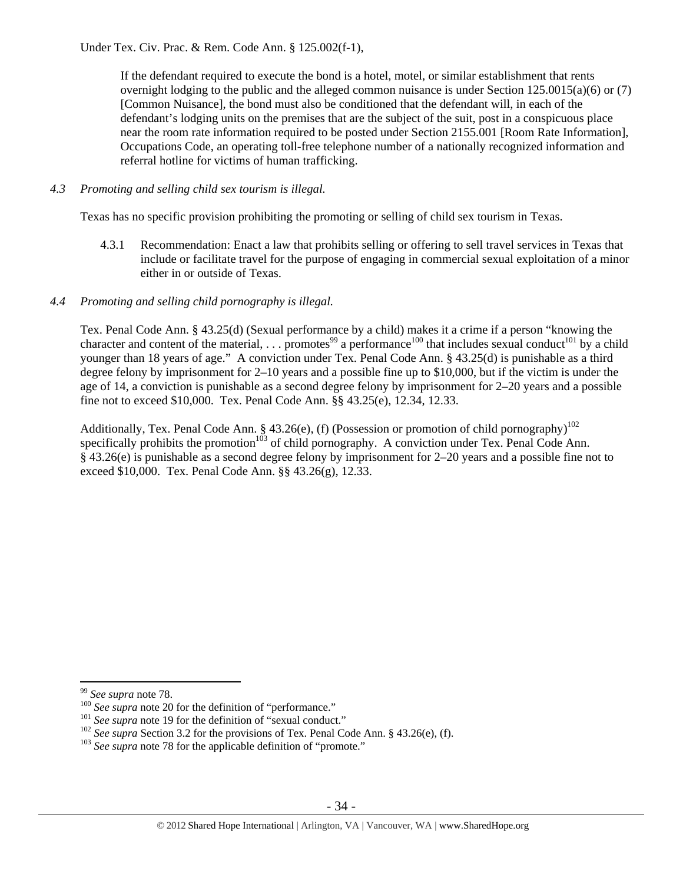If the defendant required to execute the bond is a hotel, motel, or similar establishment that rents overnight lodging to the public and the alleged common nuisance is under Section 125.0015(a)(6) or (7) [Common Nuisance], the bond must also be conditioned that the defendant will, in each of the defendant's lodging units on the premises that are the subject of the suit, post in a conspicuous place near the room rate information required to be posted under Section 2155.001 [Room Rate Information], Occupations Code, an operating toll-free telephone number of a nationally recognized information and referral hotline for victims of human trafficking.

## *4.3 Promoting and selling child sex tourism is illegal.*

Texas has no specific provision prohibiting the promoting or selling of child sex tourism in Texas.

4.3.1 Recommendation: Enact a law that prohibits selling or offering to sell travel services in Texas that include or facilitate travel for the purpose of engaging in commercial sexual exploitation of a minor either in or outside of Texas.

## *4.4 Promoting and selling child pornography is illegal.*

Tex. Penal Code Ann. § 43.25(d) (Sexual performance by a child) makes it a crime if a person "knowing the character and content of the material, ... promotes<sup>99</sup> a performance<sup>100</sup> that includes sexual conduct<sup>101</sup> by a child younger than 18 years of age." A conviction under Tex. Penal Code Ann. § 43.25(d) is punishable as a third degree felony by imprisonment for 2–10 years and a possible fine up to \$10,000, but if the victim is under the age of 14, a conviction is punishable as a second degree felony by imprisonment for 2–20 years and a possible fine not to exceed \$10,000. Tex. Penal Code Ann. §§ 43.25(e), 12.34, 12.33.

Additionally, Tex. Penal Code Ann. § 43.26(e), (f) (Possession or promotion of child pornography)<sup>102</sup> specifically prohibits the promotion<sup> $103$ </sup> of child pornography. A conviction under Tex. Penal Code Ann. § 43.26(e) is punishable as a second degree felony by imprisonment for 2–20 years and a possible fine not to exceed \$10,000. Tex. Penal Code Ann. §§ 43.26(g), 12.33.

<sup>&</sup>lt;sup>99</sup> See supra note 78.

<sup>&</sup>lt;sup>100</sup> See supra note 20 for the definition of "performance."<br><sup>101</sup> See supra note 19 for the definition of "sexual conduct."<br><sup>102</sup> See supra Section 3.2 for the provisions of Tex. Penal Code Ann. § 43.26(e), (f).<br><sup>103</sup> Se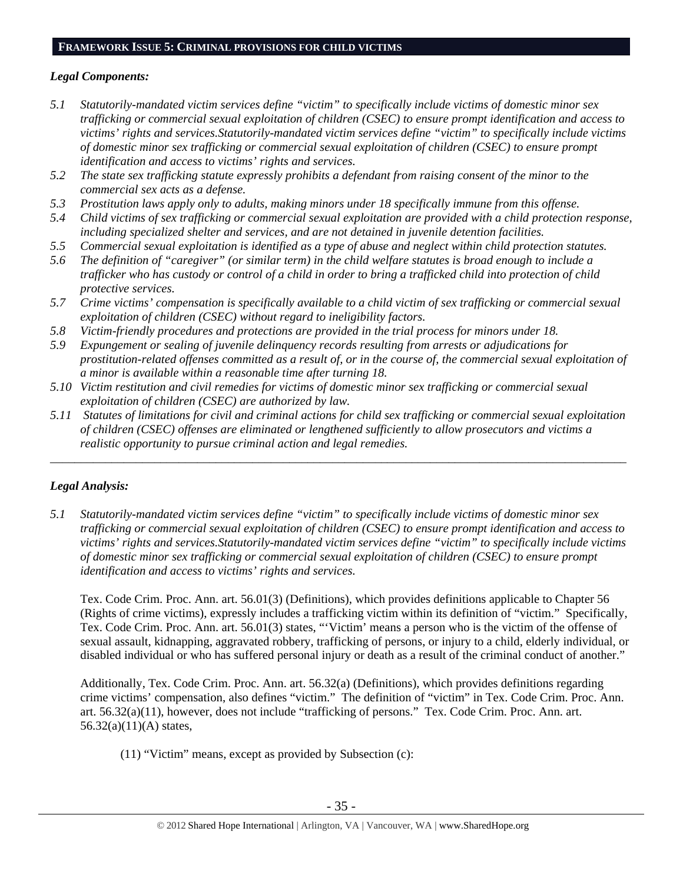## **FRAMEWORK ISSUE 5: CRIMINAL PROVISIONS FOR CHILD VICTIMS**

# *Legal Components:*

- *5.1 Statutorily-mandated victim services define "victim" to specifically include victims of domestic minor sex trafficking or commercial sexual exploitation of children (CSEC) to ensure prompt identification and access to victims' rights and services.Statutorily-mandated victim services define "victim" to specifically include victims of domestic minor sex trafficking or commercial sexual exploitation of children (CSEC) to ensure prompt identification and access to victims' rights and services.*
- *5.2 The state sex trafficking statute expressly prohibits a defendant from raising consent of the minor to the commercial sex acts as a defense.*
- *5.3 Prostitution laws apply only to adults, making minors under 18 specifically immune from this offense.*
- *5.4 Child victims of sex trafficking or commercial sexual exploitation are provided with a child protection response, including specialized shelter and services, and are not detained in juvenile detention facilities.*
- *5.5 Commercial sexual exploitation is identified as a type of abuse and neglect within child protection statutes.*
- *5.6 The definition of "caregiver" (or similar term) in the child welfare statutes is broad enough to include a trafficker who has custody or control of a child in order to bring a trafficked child into protection of child protective services.*
- *5.7 Crime victims' compensation is specifically available to a child victim of sex trafficking or commercial sexual exploitation of children (CSEC) without regard to ineligibility factors.*
- *5.8 Victim-friendly procedures and protections are provided in the trial process for minors under 18.*
- *5.9 Expungement or sealing of juvenile delinquency records resulting from arrests or adjudications for prostitution-related offenses committed as a result of, or in the course of, the commercial sexual exploitation of a minor is available within a reasonable time after turning 18.*
- *5.10 Victim restitution and civil remedies for victims of domestic minor sex trafficking or commercial sexual exploitation of children (CSEC) are authorized by law.*
- *5.11 Statutes of limitations for civil and criminal actions for child sex trafficking or commercial sexual exploitation of children (CSEC) offenses are eliminated or lengthened sufficiently to allow prosecutors and victims a realistic opportunity to pursue criminal action and legal remedies.*

\_\_\_\_\_\_\_\_\_\_\_\_\_\_\_\_\_\_\_\_\_\_\_\_\_\_\_\_\_\_\_\_\_\_\_\_\_\_\_\_\_\_\_\_\_\_\_\_\_\_\_\_\_\_\_\_\_\_\_\_\_\_\_\_\_\_\_\_\_\_\_\_\_\_\_\_\_\_\_\_\_\_\_\_\_\_\_\_\_\_\_\_\_\_

# *Legal Analysis:*

*5.1 Statutorily-mandated victim services define "victim" to specifically include victims of domestic minor sex trafficking or commercial sexual exploitation of children (CSEC) to ensure prompt identification and access to victims' rights and services.Statutorily-mandated victim services define "victim" to specifically include victims of domestic minor sex trafficking or commercial sexual exploitation of children (CSEC) to ensure prompt identification and access to victims' rights and services.* 

Tex. Code Crim. Proc. Ann. art. 56.01(3) (Definitions), which provides definitions applicable to Chapter 56 (Rights of crime victims), expressly includes a trafficking victim within its definition of "victim." Specifically, Tex. Code Crim. Proc. Ann. art. 56.01(3) states, "'Victim' means a person who is the victim of the offense of sexual assault, kidnapping, aggravated robbery, trafficking of persons, or injury to a child, elderly individual, or disabled individual or who has suffered personal injury or death as a result of the criminal conduct of another."

Additionally, Tex. Code Crim. Proc. Ann. art. 56.32(a) (Definitions), which provides definitions regarding crime victims' compensation, also defines "victim." The definition of "victim" in Tex. Code Crim. Proc. Ann. art. 56.32(a)(11), however, does not include "trafficking of persons." Tex. Code Crim. Proc. Ann. art. 56.32(a)(11)(A) states,

(11) "Victim" means, except as provided by Subsection (c):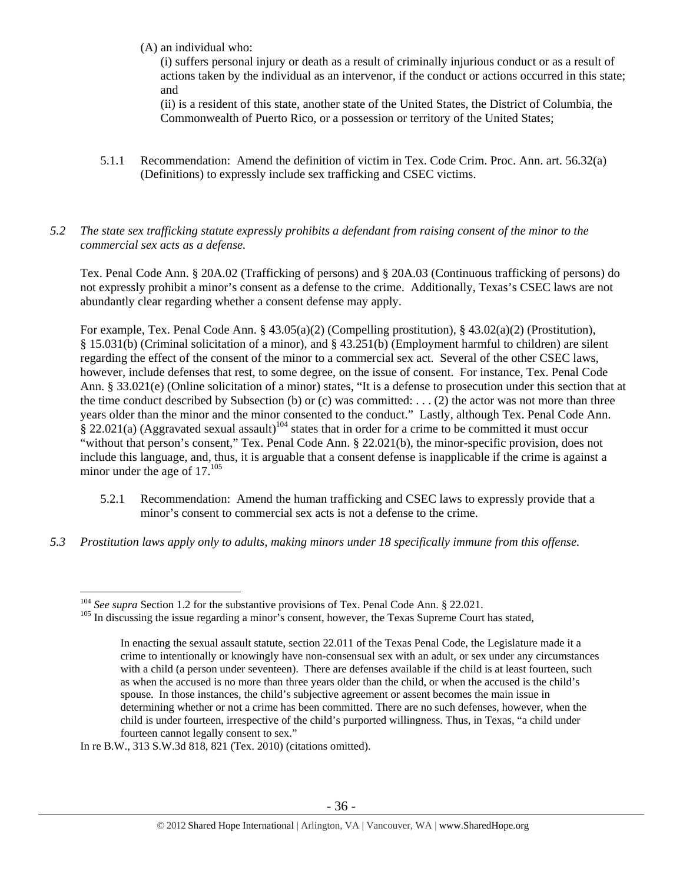(A) an individual who:

(i) suffers personal injury or death as a result of criminally injurious conduct or as a result of actions taken by the individual as an intervenor, if the conduct or actions occurred in this state; and

(ii) is a resident of this state, another state of the United States, the District of Columbia, the Commonwealth of Puerto Rico, or a possession or territory of the United States;

- 5.1.1 Recommendation: Amend the definition of victim in Tex. Code Crim. Proc. Ann. art. 56.32(a) (Definitions) to expressly include sex trafficking and CSEC victims.
- *5.2 The state sex trafficking statute expressly prohibits a defendant from raising consent of the minor to the commercial sex acts as a defense.*

Tex. Penal Code Ann. § 20A.02 (Trafficking of persons) and § 20A.03 (Continuous trafficking of persons) do not expressly prohibit a minor's consent as a defense to the crime. Additionally, Texas's CSEC laws are not abundantly clear regarding whether a consent defense may apply.

For example, Tex. Penal Code Ann. § 43.05(a)(2) (Compelling prostitution), § 43.02(a)(2) (Prostitution), § 15.031(b) (Criminal solicitation of a minor), and § 43.251(b) (Employment harmful to children) are silent regarding the effect of the consent of the minor to a commercial sex act. Several of the other CSEC laws, however, include defenses that rest, to some degree, on the issue of consent. For instance, Tex. Penal Code Ann. § 33.021(e) (Online solicitation of a minor) states, "It is a defense to prosecution under this section that at the time conduct described by Subsection (b) or (c) was committed: . . . (2) the actor was not more than three years older than the minor and the minor consented to the conduct." Lastly, although Tex. Penal Code Ann.  $\frac{8}{9}$  22.021(a) (Aggravated sexual assault)<sup>104</sup> states that in order for a crime to be committed it must occur "without that person's consent," Tex. Penal Code Ann. § 22.021(b), the minor-specific provision, does not include this language, and, thus, it is arguable that a consent defense is inapplicable if the crime is against a minor under the age of  $17.^{105}$ 

- 5.2.1 Recommendation: Amend the human trafficking and CSEC laws to expressly provide that a minor's consent to commercial sex acts is not a defense to the crime.
- *5.3 Prostitution laws apply only to adults, making minors under 18 specifically immune from this offense.*

In re B.W., 313 S.W.3d 818, 821 (Tex. 2010) (citations omitted).

 $\overline{a}$ 

<sup>&</sup>lt;sup>104</sup> *See supra* Section 1.2 for the substantive provisions of Tex. Penal Code Ann. § 22.021.<br><sup>105</sup> In discussing the issue regarding a minor's consent, however, the Texas Supreme Court has stated,

In enacting the sexual assault statute, section 22.011 of the Texas Penal Code, the Legislature made it a crime to intentionally or knowingly have non-consensual sex with an adult, or sex under any circumstances with a child (a person under seventeen). There are defenses available if the child is at least fourteen, such as when the accused is no more than three years older than the child, or when the accused is the child's spouse. In those instances, the child's subjective agreement or assent becomes the main issue in determining whether or not a crime has been committed. There are no such defenses, however, when the child is under fourteen, irrespective of the child's purported willingness. Thus, in Texas, "a child under fourteen cannot legally consent to sex."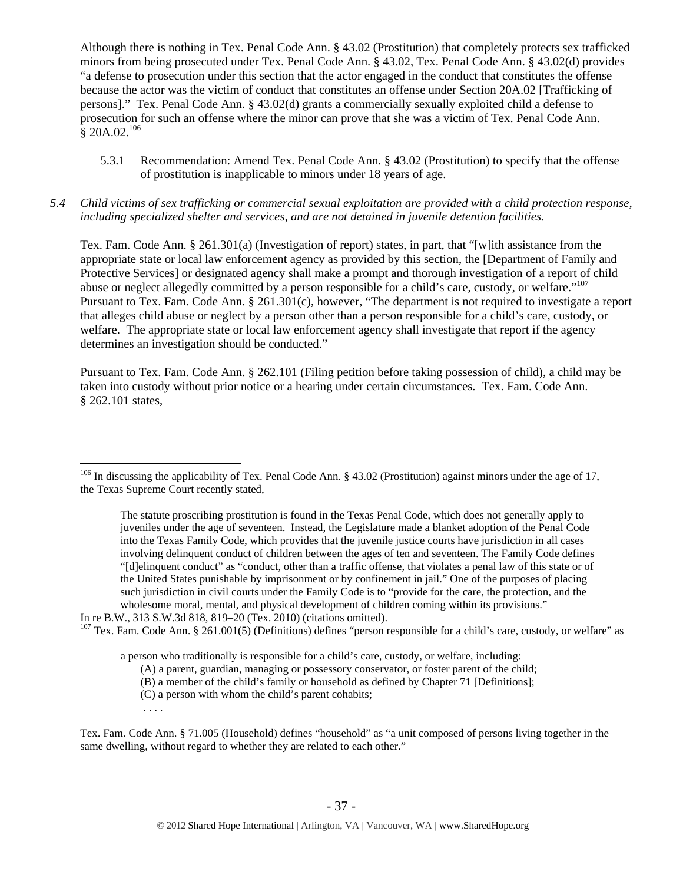Although there is nothing in Tex. Penal Code Ann. § 43.02 (Prostitution) that completely protects sex trafficked minors from being prosecuted under Tex. Penal Code Ann. § 43.02, Tex. Penal Code Ann. § 43.02(d) provides "a defense to prosecution under this section that the actor engaged in the conduct that constitutes the offense because the actor was the victim of conduct that constitutes an offense under Section 20A.02 [Trafficking of persons]." Tex. Penal Code Ann. § 43.02(d) grants a commercially sexually exploited child a defense to prosecution for such an offense where the minor can prove that she was a victim of Tex. Penal Code Ann.  $§ 20A.02.<sup>106</sup>$ 

- 5.3.1 Recommendation: Amend Tex. Penal Code Ann. § 43.02 (Prostitution) to specify that the offense of prostitution is inapplicable to minors under 18 years of age.
- *5.4 Child victims of sex trafficking or commercial sexual exploitation are provided with a child protection response, including specialized shelter and services, and are not detained in juvenile detention facilities.*

Tex. Fam. Code Ann. § 261.301(a) (Investigation of report) states, in part, that "[w]ith assistance from the appropriate state or local law enforcement agency as provided by this section, the [Department of Family and Protective Services] or designated agency shall make a prompt and thorough investigation of a report of child abuse or neglect allegedly committed by a person responsible for a child's care, custody, or welfare."<sup>107</sup> Pursuant to Tex. Fam. Code Ann. § 261.301(c), however, "The department is not required to investigate a report that alleges child abuse or neglect by a person other than a person responsible for a child's care, custody, or welfare. The appropriate state or local law enforcement agency shall investigate that report if the agency determines an investigation should be conducted."

Pursuant to Tex. Fam. Code Ann. § 262.101 (Filing petition before taking possession of child), a child may be taken into custody without prior notice or a hearing under certain circumstances. Tex. Fam. Code Ann. § 262.101 states,

. . . .

<sup>&</sup>lt;sup>106</sup> In discussing the applicability of Tex. Penal Code Ann. § 43.02 (Prostitution) against minors under the age of 17, the Texas Supreme Court recently stated,

The statute proscribing prostitution is found in the Texas Penal Code, which does not generally apply to juveniles under the age of seventeen. Instead, the Legislature made a blanket adoption of the Penal Code into the Texas Family Code, which provides that the juvenile justice courts have jurisdiction in all cases involving delinquent conduct of children between the ages of ten and seventeen. The Family Code defines "[d]elinquent conduct" as "conduct, other than a traffic offense, that violates a penal law of this state or of the United States punishable by imprisonment or by confinement in jail." One of the purposes of placing such jurisdiction in civil courts under the Family Code is to "provide for the care, the protection, and the wholesome moral, mental, and physical development of children coming within its provisions."

In re B.W., 313 S.W.3d 818, 819–20 (Tex. 2010) (citations omitted).

 $107$  Tex. Fam. Code Ann. § 261.001(5) (Definitions) defines "person responsible for a child's care, custody, or welfare" as

a person who traditionally is responsible for a child's care, custody, or welfare, including:

<sup>(</sup>A) a parent, guardian, managing or possessory conservator, or foster parent of the child;

<sup>(</sup>B) a member of the child's family or household as defined by Chapter 71 [Definitions];

<sup>(</sup>C) a person with whom the child's parent cohabits;

Tex. Fam. Code Ann. § 71.005 (Household) defines "household" as "a unit composed of persons living together in the same dwelling, without regard to whether they are related to each other."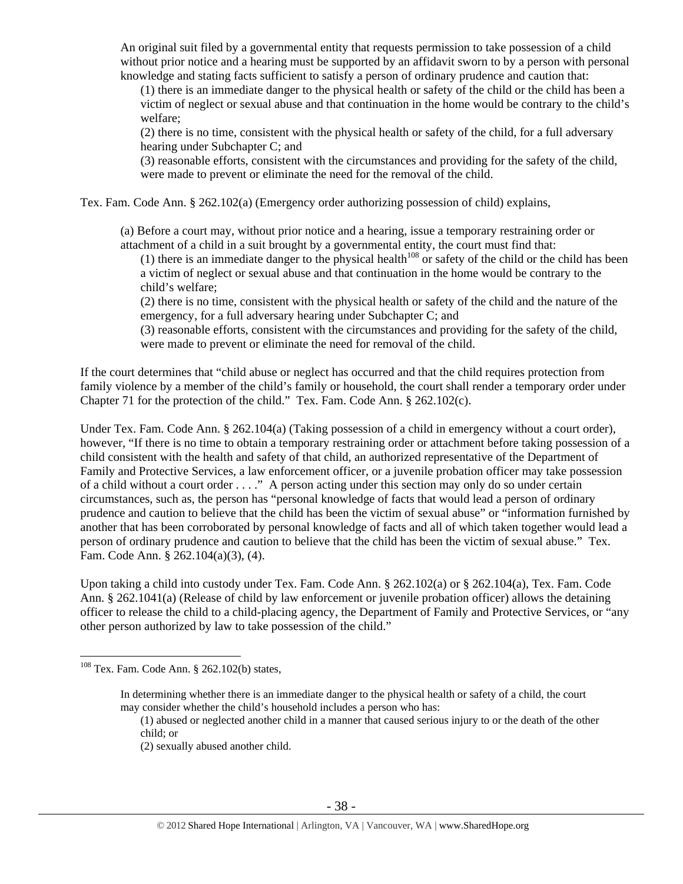An original suit filed by a governmental entity that requests permission to take possession of a child without prior notice and a hearing must be supported by an affidavit sworn to by a person with personal knowledge and stating facts sufficient to satisfy a person of ordinary prudence and caution that:

(1) there is an immediate danger to the physical health or safety of the child or the child has been a victim of neglect or sexual abuse and that continuation in the home would be contrary to the child's welfare;

(2) there is no time, consistent with the physical health or safety of the child, for a full adversary hearing under Subchapter C; and

(3) reasonable efforts, consistent with the circumstances and providing for the safety of the child, were made to prevent or eliminate the need for the removal of the child.

Tex. Fam. Code Ann. § 262.102(a) (Emergency order authorizing possession of child) explains,

(a) Before a court may, without prior notice and a hearing, issue a temporary restraining order or attachment of a child in a suit brought by a governmental entity, the court must find that:

(1) there is an immediate danger to the physical health<sup>108</sup> or safety of the child or the child has been a victim of neglect or sexual abuse and that continuation in the home would be contrary to the child's welfare;

(2) there is no time, consistent with the physical health or safety of the child and the nature of the emergency, for a full adversary hearing under Subchapter C; and

(3) reasonable efforts, consistent with the circumstances and providing for the safety of the child, were made to prevent or eliminate the need for removal of the child.

If the court determines that "child abuse or neglect has occurred and that the child requires protection from family violence by a member of the child's family or household, the court shall render a temporary order under Chapter 71 for the protection of the child." Tex. Fam. Code Ann. § 262.102(c).

Under Tex. Fam. Code Ann. § 262.104(a) (Taking possession of a child in emergency without a court order), however, "If there is no time to obtain a temporary restraining order or attachment before taking possession of a child consistent with the health and safety of that child, an authorized representative of the Department of Family and Protective Services, a law enforcement officer, or a juvenile probation officer may take possession of a child without a court order . . . ." A person acting under this section may only do so under certain circumstances, such as, the person has "personal knowledge of facts that would lead a person of ordinary prudence and caution to believe that the child has been the victim of sexual abuse" or "information furnished by another that has been corroborated by personal knowledge of facts and all of which taken together would lead a person of ordinary prudence and caution to believe that the child has been the victim of sexual abuse." Tex. Fam. Code Ann. § 262.104(a)(3), (4).

Upon taking a child into custody under Tex. Fam. Code Ann. § 262.102(a) or § 262.104(a), Tex. Fam. Code Ann. § 262.1041(a) (Release of child by law enforcement or juvenile probation officer) allows the detaining officer to release the child to a child-placing agency, the Department of Family and Protective Services, or "any other person authorized by law to take possession of the child."

 $108$  Tex. Fam. Code Ann. § 262.102(b) states,

In determining whether there is an immediate danger to the physical health or safety of a child, the court may consider whether the child's household includes a person who has:

<sup>(1)</sup> abused or neglected another child in a manner that caused serious injury to or the death of the other child; or

<sup>(2)</sup> sexually abused another child.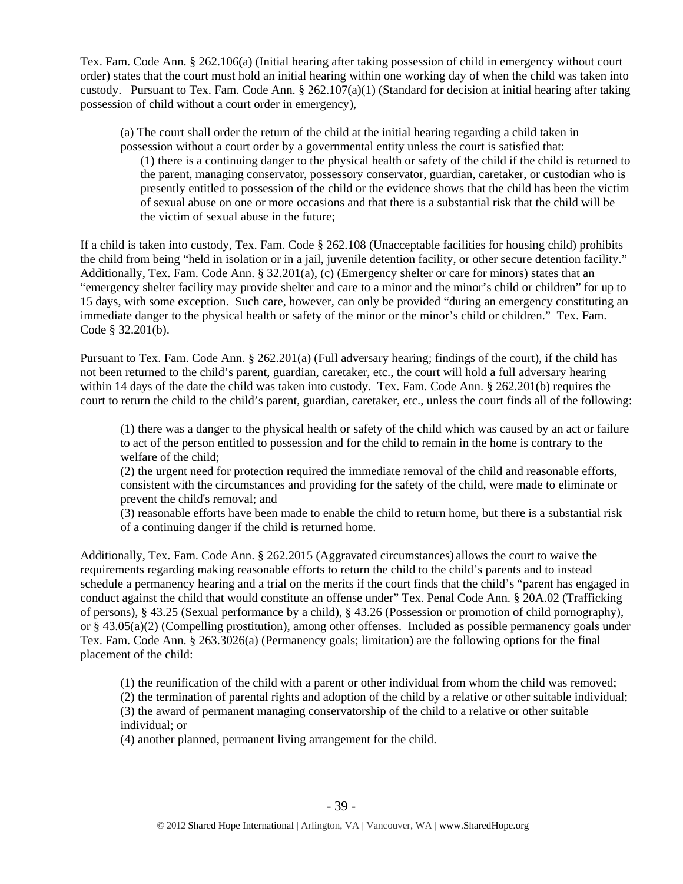Tex. Fam. Code Ann. § 262.106(a) (Initial hearing after taking possession of child in emergency without court order) states that the court must hold an initial hearing within one working day of when the child was taken into custody. Pursuant to Tex. Fam. Code Ann.  $\S 262.107(a)(1)$  (Standard for decision at initial hearing after taking possession of child without a court order in emergency),

(a) The court shall order the return of the child at the initial hearing regarding a child taken in possession without a court order by a governmental entity unless the court is satisfied that:

(1) there is a continuing danger to the physical health or safety of the child if the child is returned to the parent, managing conservator, possessory conservator, guardian, caretaker, or custodian who is presently entitled to possession of the child or the evidence shows that the child has been the victim of sexual abuse on one or more occasions and that there is a substantial risk that the child will be the victim of sexual abuse in the future;

If a child is taken into custody, Tex. Fam. Code § 262.108 (Unacceptable facilities for housing child) prohibits the child from being "held in isolation or in a jail, juvenile detention facility, or other secure detention facility." Additionally, Tex. Fam. Code Ann. § 32.201(a), (c) (Emergency shelter or care for minors) states that an "emergency shelter facility may provide shelter and care to a minor and the minor's child or children" for up to 15 days, with some exception. Such care, however, can only be provided "during an emergency constituting an immediate danger to the physical health or safety of the minor or the minor's child or children." Tex. Fam. Code § 32.201(b).

Pursuant to Tex. Fam. Code Ann. § 262.201(a) (Full adversary hearing; findings of the court), if the child has not been returned to the child's parent, guardian, caretaker, etc., the court will hold a full adversary hearing within 14 days of the date the child was taken into custody. Tex. Fam. Code Ann. § 262.201(b) requires the court to return the child to the child's parent, guardian, caretaker, etc., unless the court finds all of the following:

(1) there was a danger to the physical health or safety of the child which was caused by an act or failure to act of the person entitled to possession and for the child to remain in the home is contrary to the welfare of the child;

(2) the urgent need for protection required the immediate removal of the child and reasonable efforts, consistent with the circumstances and providing for the safety of the child, were made to eliminate or prevent the child's removal; and

(3) reasonable efforts have been made to enable the child to return home, but there is a substantial risk of a continuing danger if the child is returned home.

Additionally, Tex. Fam. Code Ann. § 262.2015 (Aggravated circumstances) allows the court to waive the requirements regarding making reasonable efforts to return the child to the child's parents and to instead schedule a permanency hearing and a trial on the merits if the court finds that the child's "parent has engaged in conduct against the child that would constitute an offense under" Tex. Penal Code Ann. § 20A.02 (Trafficking of persons), § 43.25 (Sexual performance by a child), § 43.26 (Possession or promotion of child pornography), or § 43.05(a)(2) (Compelling prostitution), among other offenses. Included as possible permanency goals under Tex. Fam. Code Ann. § 263.3026(a) (Permanency goals; limitation) are the following options for the final placement of the child:

(1) the reunification of the child with a parent or other individual from whom the child was removed;

(2) the termination of parental rights and adoption of the child by a relative or other suitable individual; (3) the award of permanent managing conservatorship of the child to a relative or other suitable individual; or

(4) another planned, permanent living arrangement for the child.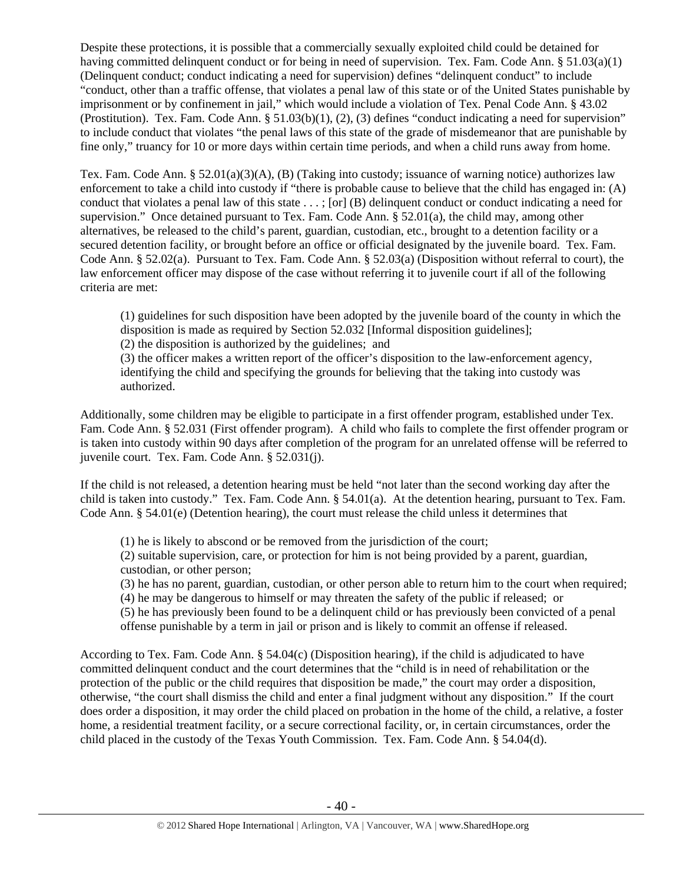Despite these protections, it is possible that a commercially sexually exploited child could be detained for having committed delinquent conduct or for being in need of supervision. Tex. Fam. Code Ann. § 51.03(a)(1) (Delinquent conduct; conduct indicating a need for supervision) defines "delinquent conduct" to include "conduct, other than a traffic offense, that violates a penal law of this state or of the United States punishable by imprisonment or by confinement in jail," which would include a violation of Tex. Penal Code Ann. § 43.02 (Prostitution). Tex. Fam. Code Ann. § 51.03(b)(1), (2), (3) defines "conduct indicating a need for supervision" to include conduct that violates "the penal laws of this state of the grade of misdemeanor that are punishable by fine only," truancy for 10 or more days within certain time periods, and when a child runs away from home.

Tex. Fam. Code Ann. § 52.01(a)(3)(A), (B) (Taking into custody; issuance of warning notice) authorizes law enforcement to take a child into custody if "there is probable cause to believe that the child has engaged in: (A) conduct that violates a penal law of this state . . . ; [or] (B) delinquent conduct or conduct indicating a need for supervision." Once detained pursuant to Tex. Fam. Code Ann. § 52.01(a), the child may, among other alternatives, be released to the child's parent, guardian, custodian, etc., brought to a detention facility or a secured detention facility, or brought before an office or official designated by the juvenile board. Tex. Fam. Code Ann. § 52.02(a). Pursuant to Tex. Fam. Code Ann. § 52.03(a) (Disposition without referral to court), the law enforcement officer may dispose of the case without referring it to juvenile court if all of the following criteria are met:

(1) guidelines for such disposition have been adopted by the juvenile board of the county in which the disposition is made as required by Section 52.032 [Informal disposition guidelines];

(2) the disposition is authorized by the guidelines; and

(3) the officer makes a written report of the officer's disposition to the law-enforcement agency, identifying the child and specifying the grounds for believing that the taking into custody was authorized.

Additionally, some children may be eligible to participate in a first offender program, established under Tex. Fam. Code Ann. § 52.031 (First offender program). A child who fails to complete the first offender program or is taken into custody within 90 days after completion of the program for an unrelated offense will be referred to juvenile court. Tex. Fam. Code Ann. § 52.031(j).

If the child is not released, a detention hearing must be held "not later than the second working day after the child is taken into custody." Tex. Fam. Code Ann. § 54.01(a). At the detention hearing, pursuant to Tex. Fam. Code Ann. § 54.01(e) (Detention hearing), the court must release the child unless it determines that

(1) he is likely to abscond or be removed from the jurisdiction of the court;

(2) suitable supervision, care, or protection for him is not being provided by a parent, guardian, custodian, or other person;

(3) he has no parent, guardian, custodian, or other person able to return him to the court when required;

(4) he may be dangerous to himself or may threaten the safety of the public if released; or

(5) he has previously been found to be a delinquent child or has previously been convicted of a penal offense punishable by a term in jail or prison and is likely to commit an offense if released.

According to Tex. Fam. Code Ann. § 54.04(c) (Disposition hearing), if the child is adjudicated to have committed delinquent conduct and the court determines that the "child is in need of rehabilitation or the protection of the public or the child requires that disposition be made," the court may order a disposition, otherwise, "the court shall dismiss the child and enter a final judgment without any disposition." If the court does order a disposition, it may order the child placed on probation in the home of the child, a relative, a foster home, a residential treatment facility, or a secure correctional facility, or, in certain circumstances, order the child placed in the custody of the Texas Youth Commission. Tex. Fam. Code Ann. § 54.04(d).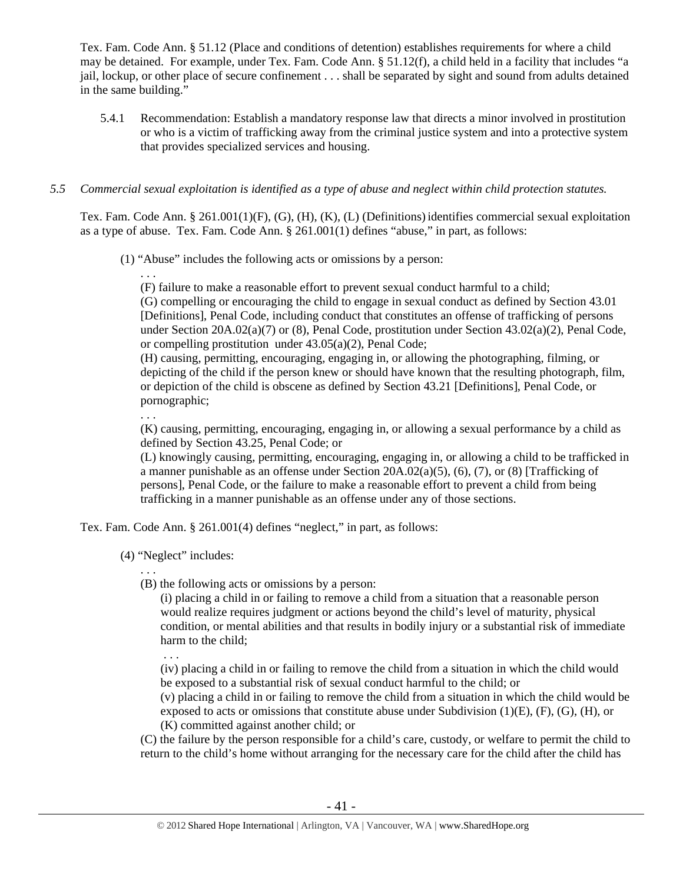Tex. Fam. Code Ann. § 51.12 (Place and conditions of detention) establishes requirements for where a child may be detained. For example, under Tex. Fam. Code Ann. § 51.12(f), a child held in a facility that includes "a jail, lockup, or other place of secure confinement . . . shall be separated by sight and sound from adults detained in the same building."

5.4.1 Recommendation: Establish a mandatory response law that directs a minor involved in prostitution or who is a victim of trafficking away from the criminal justice system and into a protective system that provides specialized services and housing.

## *5.5 Commercial sexual exploitation is identified as a type of abuse and neglect within child protection statutes.*

Tex. Fam. Code Ann. § 261.001(1)(F), (G), (H), (K), (L) (Definitions)identifies commercial sexual exploitation as a type of abuse. Tex. Fam. Code Ann. § 261.001(1) defines "abuse," in part, as follows:

(1) "Abuse" includes the following acts or omissions by a person:

. . . (F) failure to make a reasonable effort to prevent sexual conduct harmful to a child;

(G) compelling or encouraging the child to engage in sexual conduct as defined by Section 43.01 [Definitions], Penal Code, including conduct that constitutes an offense of trafficking of persons under Section 20A.02(a)(7) or (8), Penal Code, prostitution under Section 43.02(a)(2), Penal Code, or compelling prostitution under 43.05(a)(2), Penal Code;

(H) causing, permitting, encouraging, engaging in, or allowing the photographing, filming, or depicting of the child if the person knew or should have known that the resulting photograph, film, or depiction of the child is obscene as defined by Section 43.21 [Definitions], Penal Code, or pornographic;

. . .

(K) causing, permitting, encouraging, engaging in, or allowing a sexual performance by a child as defined by Section 43.25, Penal Code; or

(L) knowingly causing, permitting, encouraging, engaging in, or allowing a child to be trafficked in a manner punishable as an offense under Section 20A.02(a)(5), (6), (7), or (8) [Trafficking of persons], Penal Code, or the failure to make a reasonable effort to prevent a child from being trafficking in a manner punishable as an offense under any of those sections.

Tex. Fam. Code Ann. § 261.001(4) defines "neglect," in part, as follows:

(4) "Neglect" includes:

. . . (B) the following acts or omissions by a person:

(i) placing a child in or failing to remove a child from a situation that a reasonable person would realize requires judgment or actions beyond the child's level of maturity, physical condition, or mental abilities and that results in bodily injury or a substantial risk of immediate harm to the child;

. . .

(iv) placing a child in or failing to remove the child from a situation in which the child would be exposed to a substantial risk of sexual conduct harmful to the child; or

(v) placing a child in or failing to remove the child from a situation in which the child would be exposed to acts or omissions that constitute abuse under Subdivision  $(1)(E)$ ,  $(F)$ ,  $(G)$ ,  $(H)$ , or (K) committed against another child; or

(C) the failure by the person responsible for a child's care, custody, or welfare to permit the child to return to the child's home without arranging for the necessary care for the child after the child has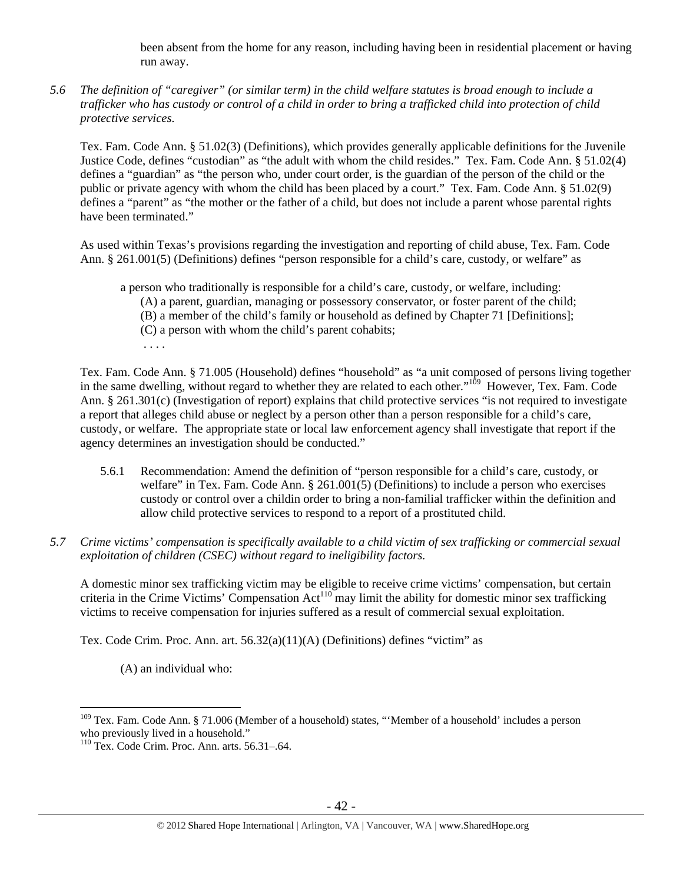been absent from the home for any reason, including having been in residential placement or having run away.

*5.6 The definition of "caregiver" (or similar term) in the child welfare statutes is broad enough to include a trafficker who has custody or control of a child in order to bring a trafficked child into protection of child protective services.* 

Tex. Fam. Code Ann. § 51.02(3) (Definitions), which provides generally applicable definitions for the Juvenile Justice Code, defines "custodian" as "the adult with whom the child resides." Tex. Fam. Code Ann. § 51.02(4) defines a "guardian" as "the person who, under court order, is the guardian of the person of the child or the public or private agency with whom the child has been placed by a court." Tex. Fam. Code Ann. § 51.02(9) defines a "parent" as "the mother or the father of a child, but does not include a parent whose parental rights have been terminated."

As used within Texas's provisions regarding the investigation and reporting of child abuse, Tex. Fam. Code Ann. § 261.001(5) (Definitions) defines "person responsible for a child's care, custody, or welfare" as

a person who traditionally is responsible for a child's care, custody, or welfare, including: (A) a parent, guardian, managing or possessory conservator, or foster parent of the child; (B) a member of the child's family or household as defined by Chapter 71 [Definitions]; (C) a person with whom the child's parent cohabits; . . . .

Tex. Fam. Code Ann. § 71.005 (Household) defines "household" as "a unit composed of persons living together in the same dwelling, without regard to whether they are related to each other."<sup>109</sup> However, Tex. Fam. Code Ann. § 261.301(c) (Investigation of report) explains that child protective services "is not required to investigate a report that alleges child abuse or neglect by a person other than a person responsible for a child's care, custody, or welfare. The appropriate state or local law enforcement agency shall investigate that report if the agency determines an investigation should be conducted."

- 5.6.1 Recommendation: Amend the definition of "person responsible for a child's care, custody, or welfare" in Tex. Fam. Code Ann. § 261.001(5) (Definitions) to include a person who exercises custody or control over a childin order to bring a non-familial trafficker within the definition and allow child protective services to respond to a report of a prostituted child.
- *5.7 Crime victims' compensation is specifically available to a child victim of sex trafficking or commercial sexual exploitation of children (CSEC) without regard to ineligibility factors.*

A domestic minor sex trafficking victim may be eligible to receive crime victims' compensation, but certain criteria in the Crime Victims' Compensation Act<sup>110</sup> may limit the ability for domestic minor sex trafficking victims to receive compensation for injuries suffered as a result of commercial sexual exploitation.

Tex. Code Crim. Proc. Ann. art. 56.32(a)(11)(A) (Definitions) defines "victim" as

(A) an individual who:

<sup>&</sup>lt;sup>109</sup> Tex. Fam. Code Ann. § 71.006 (Member of a household) states, "'Member of a household' includes a person who previously lived in a household."

<sup>110</sup> Tex. Code Crim. Proc. Ann. arts. 56.31–.64.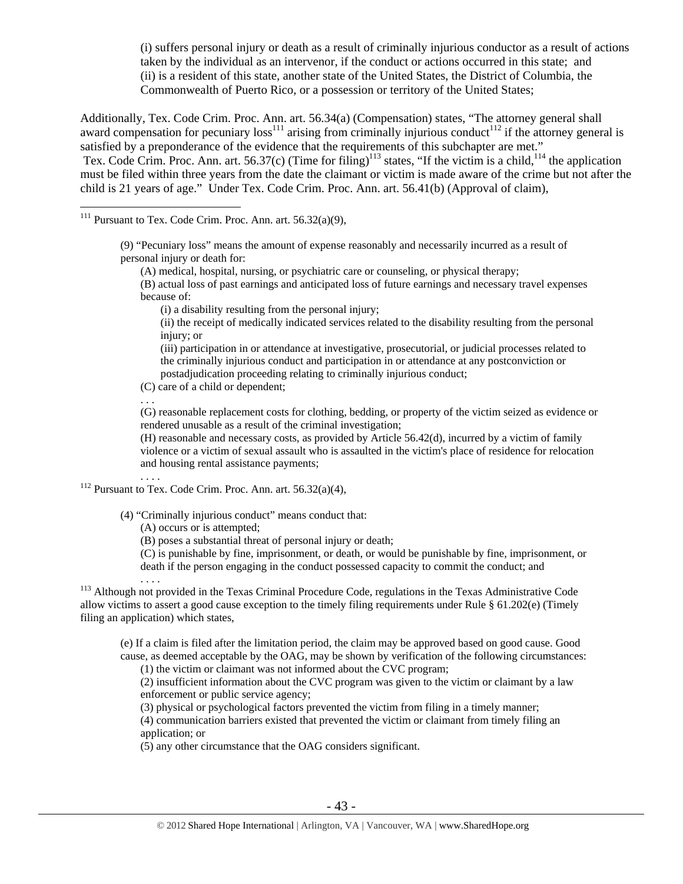(i) suffers personal injury or death as a result of criminally injurious conductor as a result of actions taken by the individual as an intervenor, if the conduct or actions occurred in this state; and (ii) is a resident of this state, another state of the United States, the District of Columbia, the Commonwealth of Puerto Rico, or a possession or territory of the United States;

Additionally, Tex. Code Crim. Proc. Ann. art. 56.34(a) (Compensation) states, "The attorney general shall award compensation for pecuniary  $loss<sup>111</sup>$  arising from criminally injurious conduct<sup>112</sup> if the attorney general is satisfied by a preponderance of the evidence that the requirements of this subchapter are met." Tex. Code Crim. Proc. Ann. art. 56.37(c) (Time for filing)<sup>113</sup> states, "If the victim is a child,<sup>114</sup> the application must be filed within three years from the date the claimant or victim is made aware of the crime but not after the child is 21 years of age." Under Tex. Code Crim. Proc. Ann. art. 56.41(b) (Approval of claim),

<sup>111</sup> Pursuant to Tex. Code Crim. Proc. Ann. art.  $56.32(a)(9)$ ,

 $\overline{a}$ 

(9) "Pecuniary loss" means the amount of expense reasonably and necessarily incurred as a result of personal injury or death for:

(A) medical, hospital, nursing, or psychiatric care or counseling, or physical therapy;

(B) actual loss of past earnings and anticipated loss of future earnings and necessary travel expenses because of:

(i) a disability resulting from the personal injury;

(ii) the receipt of medically indicated services related to the disability resulting from the personal injury; or

(iii) participation in or attendance at investigative, prosecutorial, or judicial processes related to the criminally injurious conduct and participation in or attendance at any postconviction or postadjudication proceeding relating to criminally injurious conduct;

(C) care of a child or dependent;

. . .

(G) reasonable replacement costs for clothing, bedding, or property of the victim seized as evidence or rendered unusable as a result of the criminal investigation;

(H) reasonable and necessary costs, as provided by Article 56.42(d), incurred by a victim of family violence or a victim of sexual assault who is assaulted in the victim's place of residence for relocation and housing rental assistance payments;

<sup>112</sup> Pursuant to Tex. Code Crim. Proc. Ann. art. 56.32(a)(4),

(4) "Criminally injurious conduct" means conduct that:

(A) occurs or is attempted;

(B) poses a substantial threat of personal injury or death;

(C) is punishable by fine, imprisonment, or death, or would be punishable by fine, imprisonment, or death if the person engaging in the conduct possessed capacity to commit the conduct; and

 $\ldots$ <br><sup>113</sup> Although not provided in the Texas Criminal Procedure Code, regulations in the Texas Administrative Code allow victims to assert a good cause exception to the timely filing requirements under Rule § 61.202(e) (Timely filing an application) which states,

(e) If a claim is filed after the limitation period, the claim may be approved based on good cause. Good cause, as deemed acceptable by the OAG, may be shown by verification of the following circumstances:

(1) the victim or claimant was not informed about the CVC program;

(2) insufficient information about the CVC program was given to the victim or claimant by a law enforcement or public service agency;

(3) physical or psychological factors prevented the victim from filing in a timely manner;

(4) communication barriers existed that prevented the victim or claimant from timely filing an application; or

(5) any other circumstance that the OAG considers significant.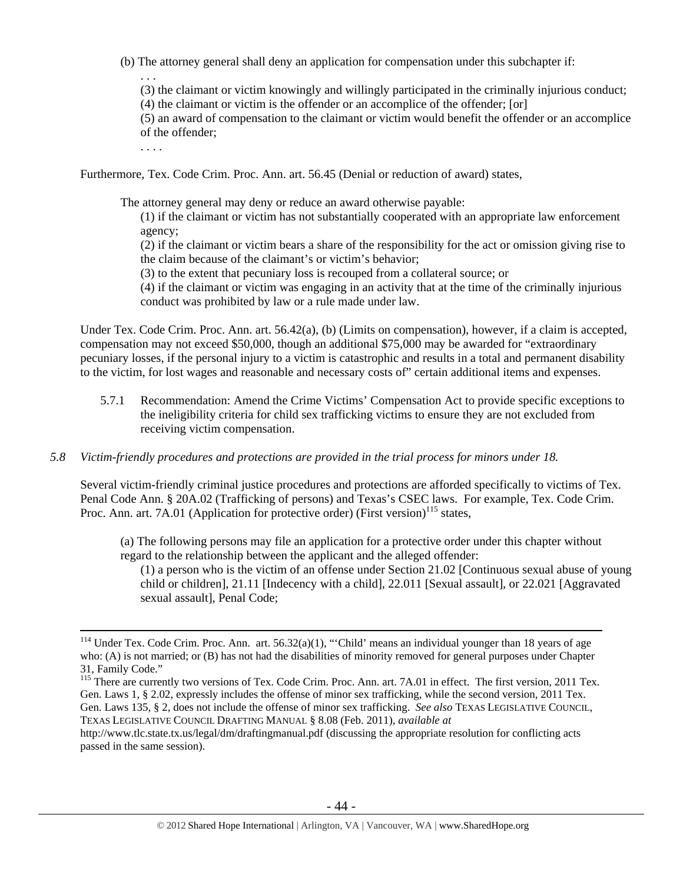- (b) The attorney general shall deny an application for compensation under this subchapter if:
	- (3) the claimant or victim knowingly and willingly participated in the criminally injurious conduct;
	- (4) the claimant or victim is the offender or an accomplice of the offender; [or]

(5) an award of compensation to the claimant or victim would benefit the offender or an accomplice of the offender;

. . . .

. . .

Furthermore, Tex. Code Crim. Proc. Ann. art. 56.45 (Denial or reduction of award) states,

The attorney general may deny or reduce an award otherwise payable:

(1) if the claimant or victim has not substantially cooperated with an appropriate law enforcement agency;

(2) if the claimant or victim bears a share of the responsibility for the act or omission giving rise to the claim because of the claimant's or victim's behavior;

(3) to the extent that pecuniary loss is recouped from a collateral source; or

(4) if the claimant or victim was engaging in an activity that at the time of the criminally injurious conduct was prohibited by law or a rule made under law.

Under Tex. Code Crim. Proc. Ann. art. 56.42(a), (b) (Limits on compensation), however, if a claim is accepted, compensation may not exceed \$50,000, though an additional \$75,000 may be awarded for "extraordinary pecuniary losses, if the personal injury to a victim is catastrophic and results in a total and permanent disability to the victim, for lost wages and reasonable and necessary costs of" certain additional items and expenses.

5.7.1 Recommendation: Amend the Crime Victims' Compensation Act to provide specific exceptions to the ineligibility criteria for child sex trafficking victims to ensure they are not excluded from receiving victim compensation.

## *5.8 Victim-friendly procedures and protections are provided in the trial process for minors under 18.*

Several victim-friendly criminal justice procedures and protections are afforded specifically to victims of Tex. Penal Code Ann. § 20A.02 (Trafficking of persons) and Texas's CSEC laws. For example, Tex. Code Crim. Proc. Ann. art. 7A.01 (Application for protective order) (First version)<sup>115</sup> states,

(a) The following persons may file an application for a protective order under this chapter without regard to the relationship between the applicant and the alleged offender:

(1) a person who is the victim of an offense under Section 21.02 [Continuous sexual abuse of young child or children], 21.11 [Indecency with a child], 22.011 [Sexual assault], or 22.021 [Aggravated sexual assault], Penal Code;

http://www.tlc.state.tx.us/legal/dm/draftingmanual.pdf (discussing the appropriate resolution for conflicting acts passed in the same session).

<sup>&</sup>lt;sup>114</sup> Under Tex. Code Crim. Proc. Ann. art. 56.32(a)(1), "'Child' means an individual younger than 18 years of age who: (A) is not married; or (B) has not had the disabilities of minority removed for general purposes under Chapter 31, Family Code."

<sup>&</sup>lt;sup>115</sup> There are currently two versions of Tex. Code Crim. Proc. Ann. art. 7A.01 in effect. The first version, 2011 Tex. Gen. Laws 1, § 2.02, expressly includes the offense of minor sex trafficking, while the second version, 2011 Tex. Gen. Laws 135, § 2, does not include the offense of minor sex trafficking. *See also* TEXAS LEGISLATIVE COUNCIL, TEXAS LEGISLATIVE COUNCIL DRAFTING MANUAL § 8.08 (Feb. 2011), *available at*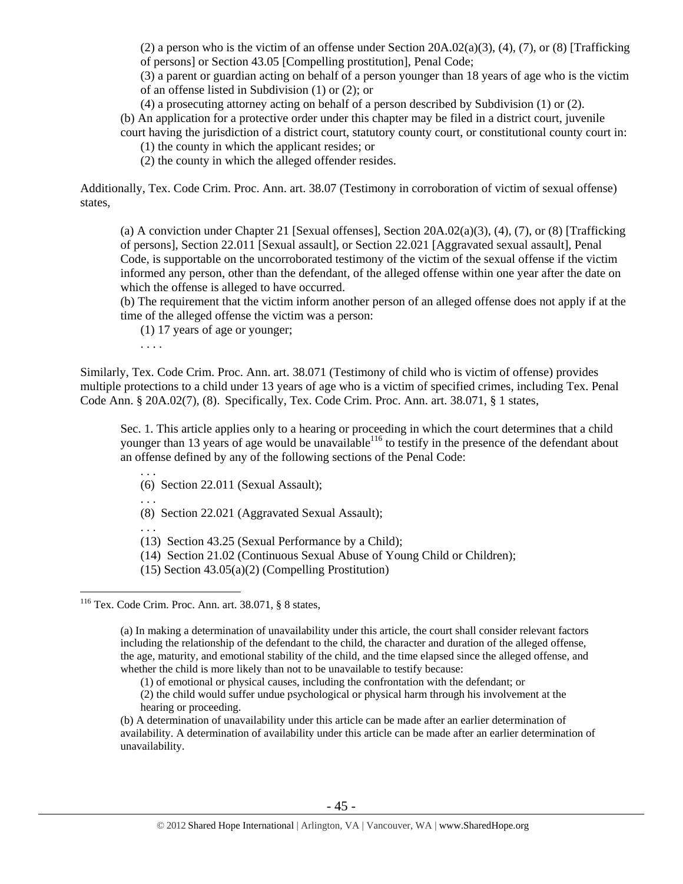(2) a person who is the victim of an offense under Section  $20A.02(a)(3)$ , (4), (7), or (8) [Trafficking of persons] or Section 43.05 [Compelling prostitution], Penal Code;

(3) a parent or guardian acting on behalf of a person younger than 18 years of age who is the victim of an offense listed in Subdivision (1) or (2); or

(4) a prosecuting attorney acting on behalf of a person described by Subdivision (1) or (2).

(b) An application for a protective order under this chapter may be filed in a district court, juvenile

court having the jurisdiction of a district court, statutory county court, or constitutional county court in: (1) the county in which the applicant resides; or

(2) the county in which the alleged offender resides.

Additionally, Tex. Code Crim. Proc. Ann. art. 38.07 (Testimony in corroboration of victim of sexual offense) states,

(a) A conviction under Chapter 21 [Sexual offenses], Section 20A.02(a)(3), (4), (7), or (8) [Trafficking of persons], Section 22.011 [Sexual assault], or Section 22.021 [Aggravated sexual assault], Penal Code, is supportable on the uncorroborated testimony of the victim of the sexual offense if the victim informed any person, other than the defendant, of the alleged offense within one year after the date on which the offense is alleged to have occurred.

(b) The requirement that the victim inform another person of an alleged offense does not apply if at the time of the alleged offense the victim was a person:

(1) 17 years of age or younger;

. . . .

Similarly, Tex. Code Crim. Proc. Ann. art. 38.071 (Testimony of child who is victim of offense) provides multiple protections to a child under 13 years of age who is a victim of specified crimes, including Tex. Penal Code Ann. § 20A.02(7), (8). Specifically, Tex. Code Crim. Proc. Ann. art. 38.071, § 1 states,

Sec. 1. This article applies only to a hearing or proceeding in which the court determines that a child younger than 13 years of age would be unavailable  $^{116}$  to testify in the presence of the defendant about an offense defined by any of the following sections of the Penal Code: . . .

(6) Section 22.011 (Sexual Assault);

. . .

(8) Section 22.021 (Aggravated Sexual Assault);

. . .

 $\overline{a}$ 

(13) Section 43.25 (Sexual Performance by a Child);

(14) Section 21.02 (Continuous Sexual Abuse of Young Child or Children);

(15) Section 43.05(a)(2) (Compelling Prostitution)

116 Tex. Code Crim. Proc. Ann. art. 38.071, § 8 states,

(a) In making a determination of unavailability under this article, the court shall consider relevant factors including the relationship of the defendant to the child, the character and duration of the alleged offense, the age, maturity, and emotional stability of the child, and the time elapsed since the alleged offense, and whether the child is more likely than not to be unavailable to testify because:

(1) of emotional or physical causes, including the confrontation with the defendant; or

(2) the child would suffer undue psychological or physical harm through his involvement at the hearing or proceeding.

(b) A determination of unavailability under this article can be made after an earlier determination of availability. A determination of availability under this article can be made after an earlier determination of unavailability.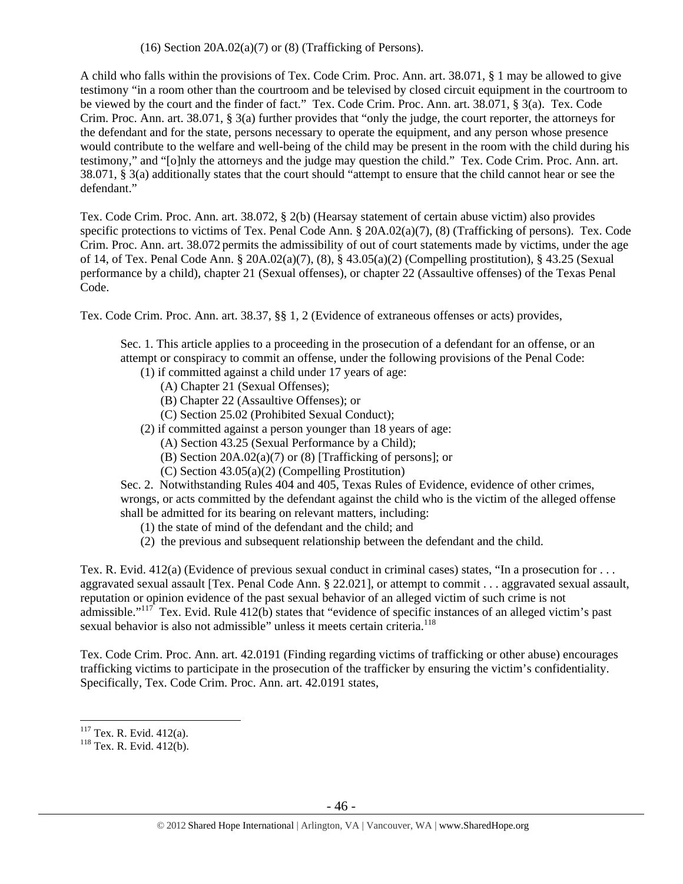$(16)$  Section 20A.02 $(a)(7)$  or  $(8)$  (Trafficking of Persons).

A child who falls within the provisions of Tex. Code Crim. Proc. Ann. art. 38.071, § 1 may be allowed to give testimony "in a room other than the courtroom and be televised by closed circuit equipment in the courtroom to be viewed by the court and the finder of fact." Tex. Code Crim. Proc. Ann. art. 38.071, § 3(a). Tex. Code Crim. Proc. Ann. art. 38.071, § 3(a) further provides that "only the judge, the court reporter, the attorneys for the defendant and for the state, persons necessary to operate the equipment, and any person whose presence would contribute to the welfare and well-being of the child may be present in the room with the child during his testimony," and "[o]nly the attorneys and the judge may question the child." Tex. Code Crim. Proc. Ann. art. 38.071, § 3(a) additionally states that the court should "attempt to ensure that the child cannot hear or see the defendant."

Tex. Code Crim. Proc. Ann. art. 38.072, § 2(b) (Hearsay statement of certain abuse victim) also provides specific protections to victims of Tex. Penal Code Ann. § 20A.02(a)(7), (8) (Trafficking of persons). Tex. Code Crim. Proc. Ann. art. 38.072 permits the admissibility of out of court statements made by victims, under the age of 14, of Tex. Penal Code Ann. § 20A.02(a)(7), (8), § 43.05(a)(2) (Compelling prostitution), § 43.25 (Sexual performance by a child), chapter 21 (Sexual offenses), or chapter 22 (Assaultive offenses) of the Texas Penal Code.

Tex. Code Crim. Proc. Ann. art. 38.37, §§ 1, 2 (Evidence of extraneous offenses or acts) provides,

Sec. 1. This article applies to a proceeding in the prosecution of a defendant for an offense, or an attempt or conspiracy to commit an offense, under the following provisions of the Penal Code:

- (1) if committed against a child under 17 years of age:
	- (A) Chapter 21 (Sexual Offenses);
	- (B) Chapter 22 (Assaultive Offenses); or
	- (C) Section 25.02 (Prohibited Sexual Conduct);
- (2) if committed against a person younger than 18 years of age:
	- (A) Section 43.25 (Sexual Performance by a Child);
	- (B) Section 20A.02(a)(7) or (8) [Trafficking of persons]; or
	- (C) Section 43.05(a)(2) (Compelling Prostitution)

Sec. 2. Notwithstanding Rules 404 and 405, Texas Rules of Evidence, evidence of other crimes, wrongs, or acts committed by the defendant against the child who is the victim of the alleged offense shall be admitted for its bearing on relevant matters, including:

- (1) the state of mind of the defendant and the child; and
- (2) the previous and subsequent relationship between the defendant and the child.

Tex. R. Evid. 412(a) (Evidence of previous sexual conduct in criminal cases) states, "In a prosecution for . . . aggravated sexual assault [Tex. Penal Code Ann. § 22.021], or attempt to commit . . . aggravated sexual assault, reputation or opinion evidence of the past sexual behavior of an alleged victim of such crime is not admissible."<sup>117</sup> Tex. Evid. Rule  $412(b)$  states that "evidence of specific instances of an alleged victim's past sexual behavior is also not admissible" unless it meets certain criteria.<sup>118</sup>

Tex. Code Crim. Proc. Ann. art. 42.0191 (Finding regarding victims of trafficking or other abuse) encourages trafficking victims to participate in the prosecution of the trafficker by ensuring the victim's confidentiality. Specifically, Tex. Code Crim. Proc. Ann. art. 42.0191 states,

 $117$  Tex. R. Evid. 412(a).

 $118$  Tex. R. Evid. 412(b).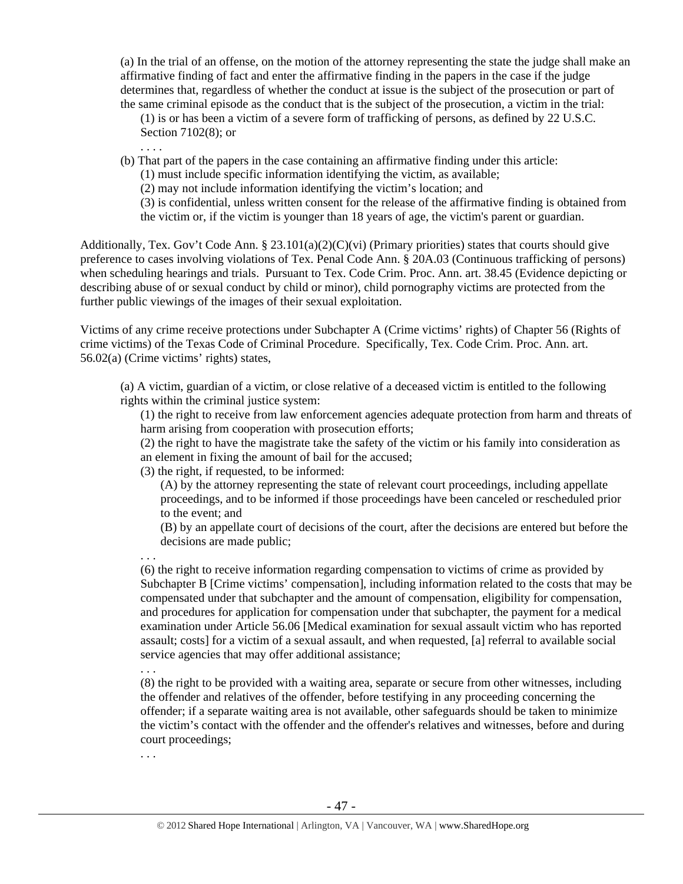(a) In the trial of an offense, on the motion of the attorney representing the state the judge shall make an affirmative finding of fact and enter the affirmative finding in the papers in the case if the judge determines that, regardless of whether the conduct at issue is the subject of the prosecution or part of the same criminal episode as the conduct that is the subject of the prosecution, a victim in the trial:

(1) is or has been a victim of a severe form of trafficking of persons, as defined by 22 U.S.C. Section 7102(8); or

. . . .

(b) That part of the papers in the case containing an affirmative finding under this article:

(1) must include specific information identifying the victim, as available;

(2) may not include information identifying the victim's location; and

(3) is confidential, unless written consent for the release of the affirmative finding is obtained from the victim or, if the victim is younger than 18 years of age, the victim's parent or guardian.

Additionally, Tex. Gov't Code Ann. § 23.101(a)(2)(C)(vi) (Primary priorities) states that courts should give preference to cases involving violations of Tex. Penal Code Ann. § 20A.03 (Continuous trafficking of persons) when scheduling hearings and trials. Pursuant to Tex. Code Crim. Proc. Ann. art. 38.45 (Evidence depicting or describing abuse of or sexual conduct by child or minor), child pornography victims are protected from the further public viewings of the images of their sexual exploitation.

Victims of any crime receive protections under Subchapter A (Crime victims' rights) of Chapter 56 (Rights of crime victims) of the Texas Code of Criminal Procedure. Specifically, Tex. Code Crim. Proc. Ann. art. 56.02(a) (Crime victims' rights) states,

(a) A victim, guardian of a victim, or close relative of a deceased victim is entitled to the following rights within the criminal justice system:

(1) the right to receive from law enforcement agencies adequate protection from harm and threats of harm arising from cooperation with prosecution efforts;

(2) the right to have the magistrate take the safety of the victim or his family into consideration as an element in fixing the amount of bail for the accused;

(3) the right, if requested, to be informed:

(A) by the attorney representing the state of relevant court proceedings, including appellate proceedings, and to be informed if those proceedings have been canceled or rescheduled prior to the event; and

(B) by an appellate court of decisions of the court, after the decisions are entered but before the decisions are made public;

. . . (6) the right to receive information regarding compensation to victims of crime as provided by Subchapter B [Crime victims' compensation], including information related to the costs that may be compensated under that subchapter and the amount of compensation, eligibility for compensation, and procedures for application for compensation under that subchapter, the payment for a medical examination under Article 56.06 [Medical examination for sexual assault victim who has reported assault; costs] for a victim of a sexual assault, and when requested, [a] referral to available social service agencies that may offer additional assistance;

. . .

(8) the right to be provided with a waiting area, separate or secure from other witnesses, including the offender and relatives of the offender, before testifying in any proceeding concerning the offender; if a separate waiting area is not available, other safeguards should be taken to minimize the victim's contact with the offender and the offender's relatives and witnesses, before and during court proceedings;

. . .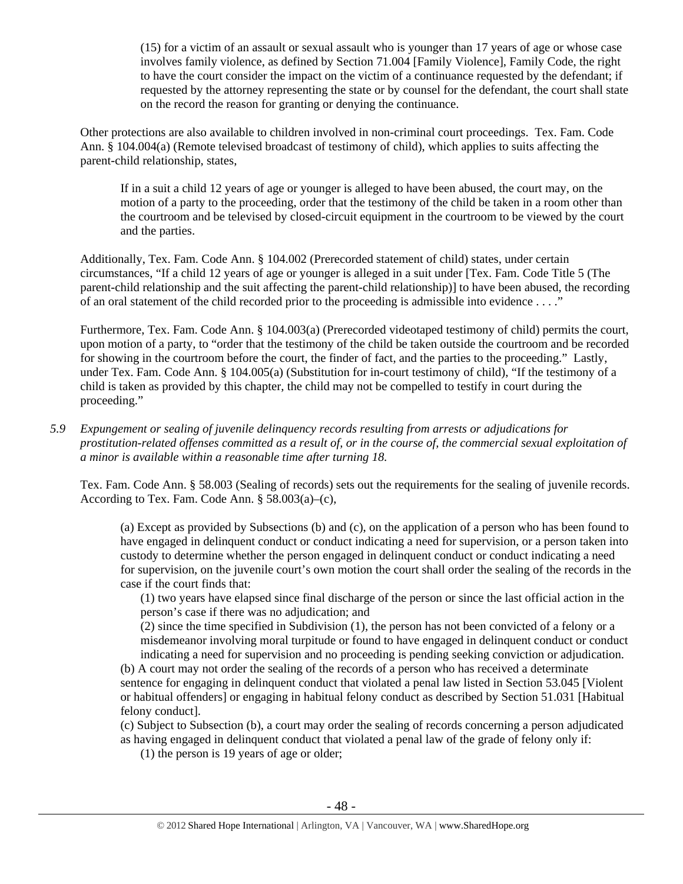(15) for a victim of an assault or sexual assault who is younger than 17 years of age or whose case involves family violence, as defined by Section 71.004 [Family Violence], Family Code, the right to have the court consider the impact on the victim of a continuance requested by the defendant; if requested by the attorney representing the state or by counsel for the defendant, the court shall state on the record the reason for granting or denying the continuance.

Other protections are also available to children involved in non-criminal court proceedings. Tex. Fam. Code Ann. § 104.004(a) (Remote televised broadcast of testimony of child), which applies to suits affecting the parent-child relationship, states,

If in a suit a child 12 years of age or younger is alleged to have been abused, the court may, on the motion of a party to the proceeding, order that the testimony of the child be taken in a room other than the courtroom and be televised by closed-circuit equipment in the courtroom to be viewed by the court and the parties.

Additionally, Tex. Fam. Code Ann. § 104.002 (Prerecorded statement of child) states, under certain circumstances, "If a child 12 years of age or younger is alleged in a suit under [Tex. Fam. Code Title 5 (The parent-child relationship and the suit affecting the parent-child relationship)] to have been abused, the recording of an oral statement of the child recorded prior to the proceeding is admissible into evidence . . . ."

Furthermore, Tex. Fam. Code Ann. § 104.003(a) (Prerecorded videotaped testimony of child) permits the court, upon motion of a party, to "order that the testimony of the child be taken outside the courtroom and be recorded for showing in the courtroom before the court, the finder of fact, and the parties to the proceeding." Lastly, under Tex. Fam. Code Ann. § 104.005(a) (Substitution for in-court testimony of child), "If the testimony of a child is taken as provided by this chapter, the child may not be compelled to testify in court during the proceeding."

*5.9 Expungement or sealing of juvenile delinquency records resulting from arrests or adjudications for prostitution-related offenses committed as a result of, or in the course of, the commercial sexual exploitation of a minor is available within a reasonable time after turning 18.* 

Tex. Fam. Code Ann. § 58.003 (Sealing of records) sets out the requirements for the sealing of juvenile records. According to Tex. Fam. Code Ann. § 58.003(a)–(c),

(a) Except as provided by Subsections (b) and (c), on the application of a person who has been found to have engaged in delinquent conduct or conduct indicating a need for supervision, or a person taken into custody to determine whether the person engaged in delinquent conduct or conduct indicating a need for supervision, on the juvenile court's own motion the court shall order the sealing of the records in the case if the court finds that:

(1) two years have elapsed since final discharge of the person or since the last official action in the person's case if there was no adjudication; and

 $(2)$  since the time specified in Subdivision (1), the person has not been convicted of a felony or a misdemeanor involving moral turpitude or found to have engaged in delinquent conduct or conduct indicating a need for supervision and no proceeding is pending seeking conviction or adjudication.

(b) A court may not order the sealing of the records of a person who has received a determinate sentence for engaging in delinquent conduct that violated a penal law listed in Section 53.045 [Violent or habitual offenders] or engaging in habitual felony conduct as described by Section 51.031 [Habitual felony conduct].

(c) Subject to Subsection (b), a court may order the sealing of records concerning a person adjudicated as having engaged in delinquent conduct that violated a penal law of the grade of felony only if:

(1) the person is 19 years of age or older;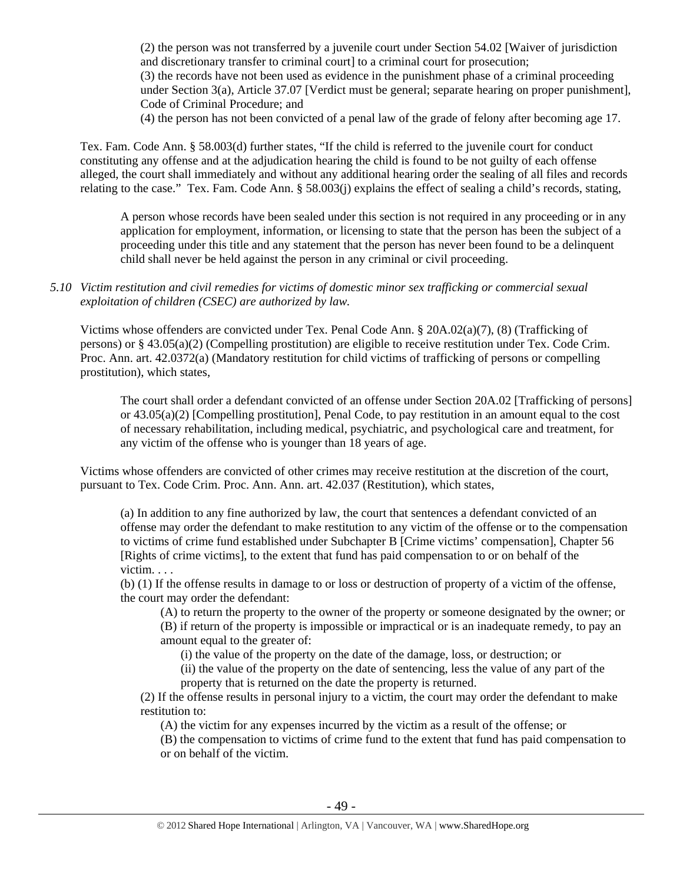(2) the person was not transferred by a juvenile court under Section 54.02 [Waiver of jurisdiction and discretionary transfer to criminal court] to a criminal court for prosecution; (3) the records have not been used as evidence in the punishment phase of a criminal proceeding under Section 3(a), Article 37.07 [Verdict must be general; separate hearing on proper punishment], Code of Criminal Procedure; and

(4) the person has not been convicted of a penal law of the grade of felony after becoming age 17.

Tex. Fam. Code Ann. § 58.003(d) further states, "If the child is referred to the juvenile court for conduct constituting any offense and at the adjudication hearing the child is found to be not guilty of each offense alleged, the court shall immediately and without any additional hearing order the sealing of all files and records relating to the case." Tex. Fam. Code Ann. § 58.003(j) explains the effect of sealing a child's records, stating,

A person whose records have been sealed under this section is not required in any proceeding or in any application for employment, information, or licensing to state that the person has been the subject of a proceeding under this title and any statement that the person has never been found to be a delinquent child shall never be held against the person in any criminal or civil proceeding.

## *5.10 Victim restitution and civil remedies for victims of domestic minor sex trafficking or commercial sexual exploitation of children (CSEC) are authorized by law.*

Victims whose offenders are convicted under Tex. Penal Code Ann. § 20A.02(a)(7), (8) (Trafficking of persons) or § 43.05(a)(2) (Compelling prostitution) are eligible to receive restitution under Tex. Code Crim. Proc. Ann. art. 42.0372(a) (Mandatory restitution for child victims of trafficking of persons or compelling prostitution), which states,

The court shall order a defendant convicted of an offense under Section 20A.02 [Trafficking of persons] or 43.05(a)(2) [Compelling prostitution], Penal Code, to pay restitution in an amount equal to the cost of necessary rehabilitation, including medical, psychiatric, and psychological care and treatment, for any victim of the offense who is younger than 18 years of age.

Victims whose offenders are convicted of other crimes may receive restitution at the discretion of the court, pursuant to Tex. Code Crim. Proc. Ann. Ann. art. 42.037 (Restitution), which states,

(a) In addition to any fine authorized by law, the court that sentences a defendant convicted of an offense may order the defendant to make restitution to any victim of the offense or to the compensation to victims of crime fund established under Subchapter B [Crime victims' compensation], Chapter 56 [Rights of crime victims], to the extent that fund has paid compensation to or on behalf of the victim. . . .

(b) (1) If the offense results in damage to or loss or destruction of property of a victim of the offense, the court may order the defendant:

(A) to return the property to the owner of the property or someone designated by the owner; or (B) if return of the property is impossible or impractical or is an inadequate remedy, to pay an amount equal to the greater of:

(i) the value of the property on the date of the damage, loss, or destruction; or

(ii) the value of the property on the date of sentencing, less the value of any part of the

property that is returned on the date the property is returned.

(2) If the offense results in personal injury to a victim, the court may order the defendant to make restitution to:

(A) the victim for any expenses incurred by the victim as a result of the offense; or

(B) the compensation to victims of crime fund to the extent that fund has paid compensation to or on behalf of the victim.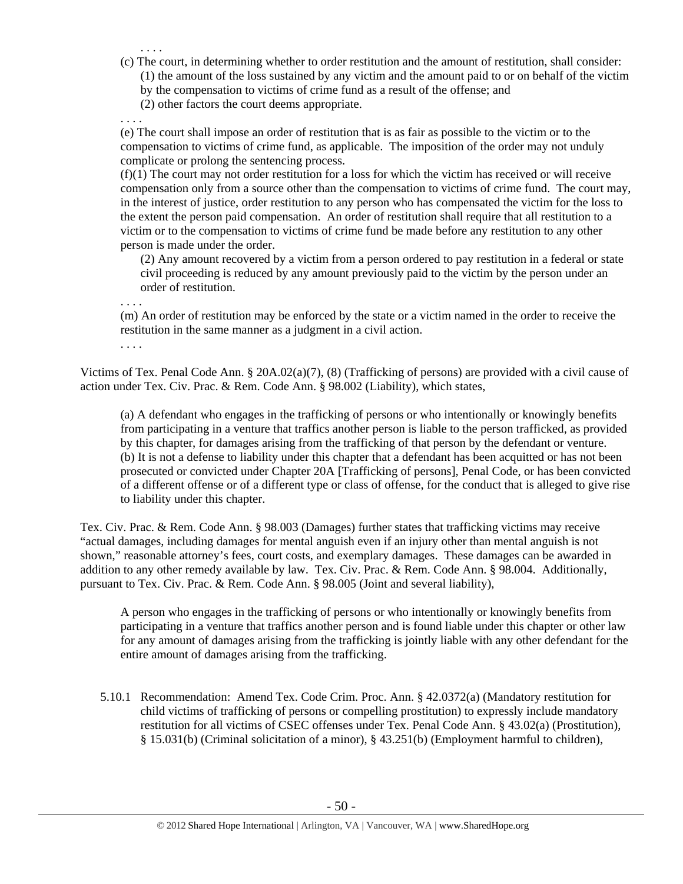. . . . (c) The court, in determining whether to order restitution and the amount of restitution, shall consider: (1) the amount of the loss sustained by any victim and the amount paid to or on behalf of the victim by the compensation to victims of crime fund as a result of the offense; and

(2) other factors the court deems appropriate.

(e) The court shall impose an order of restitution that is as fair as possible to the victim or to the compensation to victims of crime fund, as applicable. The imposition of the order may not unduly complicate or prolong the sentencing process.

 $(f)(1)$  The court may not order restitution for a loss for which the victim has received or will receive compensation only from a source other than the compensation to victims of crime fund. The court may, in the interest of justice, order restitution to any person who has compensated the victim for the loss to the extent the person paid compensation. An order of restitution shall require that all restitution to a victim or to the compensation to victims of crime fund be made before any restitution to any other person is made under the order.

(2) Any amount recovered by a victim from a person ordered to pay restitution in a federal or state civil proceeding is reduced by any amount previously paid to the victim by the person under an order of restitution.

. . . .

. . . .

(m) An order of restitution may be enforced by the state or a victim named in the order to receive the restitution in the same manner as a judgment in a civil action.

. . . .

Victims of Tex. Penal Code Ann. § 20A.02(a)(7), (8) (Trafficking of persons) are provided with a civil cause of action under Tex. Civ. Prac. & Rem. Code Ann. § 98.002 (Liability), which states,

(a) A defendant who engages in the trafficking of persons or who intentionally or knowingly benefits from participating in a venture that traffics another person is liable to the person trafficked, as provided by this chapter, for damages arising from the trafficking of that person by the defendant or venture. (b) It is not a defense to liability under this chapter that a defendant has been acquitted or has not been prosecuted or convicted under Chapter 20A [Trafficking of persons], Penal Code, or has been convicted of a different offense or of a different type or class of offense, for the conduct that is alleged to give rise to liability under this chapter.

Tex. Civ. Prac. & Rem. Code Ann. § 98.003 (Damages) further states that trafficking victims may receive "actual damages, including damages for mental anguish even if an injury other than mental anguish is not shown," reasonable attorney's fees, court costs, and exemplary damages. These damages can be awarded in addition to any other remedy available by law. Tex. Civ. Prac. & Rem. Code Ann. § 98.004. Additionally, pursuant to Tex. Civ. Prac. & Rem. Code Ann. § 98.005 (Joint and several liability),

A person who engages in the trafficking of persons or who intentionally or knowingly benefits from participating in a venture that traffics another person and is found liable under this chapter or other law for any amount of damages arising from the trafficking is jointly liable with any other defendant for the entire amount of damages arising from the trafficking.

5.10.1 Recommendation: Amend Tex. Code Crim. Proc. Ann. § 42.0372(a) (Mandatory restitution for child victims of trafficking of persons or compelling prostitution) to expressly include mandatory restitution for all victims of CSEC offenses under Tex. Penal Code Ann. § 43.02(a) (Prostitution), § 15.031(b) (Criminal solicitation of a minor), § 43.251(b) (Employment harmful to children),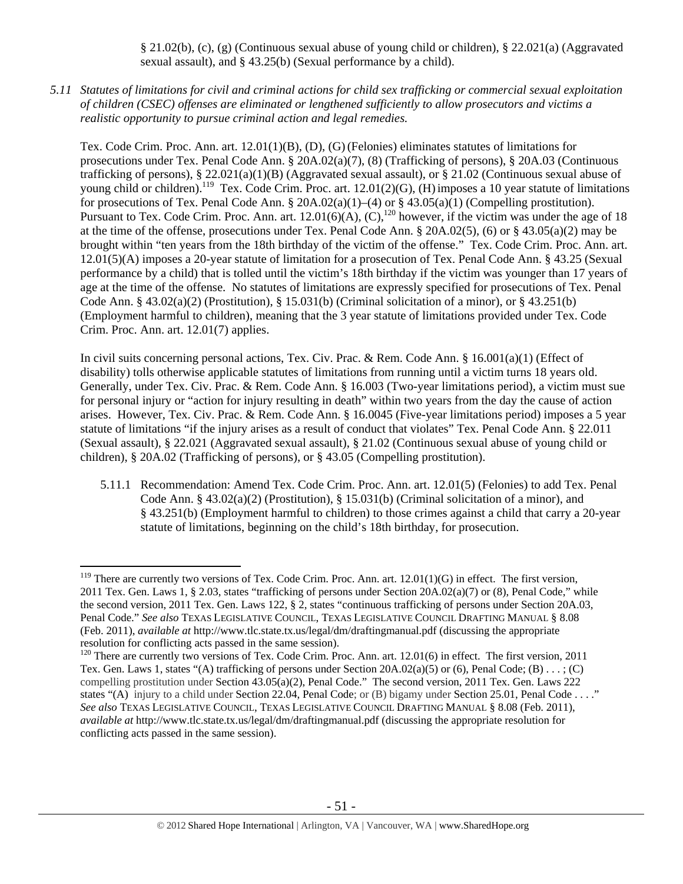§ 21.02(b), (c), (g) (Continuous sexual abuse of young child or children), § 22.021(a) (Aggravated sexual assault), and § 43.25(b) (Sexual performance by a child).

*5.11 Statutes of limitations for civil and criminal actions for child sex trafficking or commercial sexual exploitation of children (CSEC) offenses are eliminated or lengthened sufficiently to allow prosecutors and victims a realistic opportunity to pursue criminal action and legal remedies.* 

Tex. Code Crim. Proc. Ann. art. 12.01(1)(B), (D), (G)(Felonies) eliminates statutes of limitations for prosecutions under Tex. Penal Code Ann. § 20A.02(a)(7), (8) (Trafficking of persons), § 20A.03 (Continuous trafficking of persons),  $\S 22.021(a)(1)(B)$  (Aggravated sexual assault), or  $\S 21.02$  (Continuous sexual abuse of young child or children).<sup>119</sup> Tex. Code Crim. Proc. art. 12.01(2)(G), (H) imposes a 10 year statute of limitations for prosecutions of Tex. Penal Code Ann. § 20A.02(a)(1)–(4) or § 43.05(a)(1) (Compelling prostitution). Pursuant to Tex. Code Crim. Proc. Ann. art.  $12.01(6)(A)$ ,  $(C)$ ,  $^{120}$  however, if the victim was under the age of 18 at the time of the offense, prosecutions under Tex. Penal Code Ann. § 20A.02(5), (6) or § 43.05(a)(2) may be brought within "ten years from the 18th birthday of the victim of the offense." Tex. Code Crim. Proc. Ann. art. 12.01(5)(A) imposes a 20-year statute of limitation for a prosecution of Tex. Penal Code Ann. § 43.25 (Sexual performance by a child) that is tolled until the victim's 18th birthday if the victim was younger than 17 years of age at the time of the offense. No statutes of limitations are expressly specified for prosecutions of Tex. Penal Code Ann. §  $43.02(a)(2)$  (Prostitution), § 15.031(b) (Criminal solicitation of a minor), or §  $43.251(b)$ (Employment harmful to children), meaning that the 3 year statute of limitations provided under Tex. Code Crim. Proc. Ann. art. 12.01(7) applies.

In civil suits concerning personal actions, Tex. Civ. Prac. & Rem. Code Ann. § 16.001(a)(1) (Effect of disability) tolls otherwise applicable statutes of limitations from running until a victim turns 18 years old. Generally, under Tex. Civ. Prac. & Rem. Code Ann. § 16.003 (Two-year limitations period), a victim must sue for personal injury or "action for injury resulting in death" within two years from the day the cause of action arises. However, Tex. Civ. Prac. & Rem. Code Ann. § 16.0045 (Five-year limitations period) imposes a 5 year statute of limitations "if the injury arises as a result of conduct that violates" Tex. Penal Code Ann. § 22.011 (Sexual assault), § 22.021 (Aggravated sexual assault), § 21.02 (Continuous sexual abuse of young child or children), § 20A.02 (Trafficking of persons), or § 43.05 (Compelling prostitution).

5.11.1 Recommendation: Amend Tex. Code Crim. Proc. Ann. art. 12.01(5) (Felonies) to add Tex. Penal Code Ann. §  $43.02(a)(2)$  (Prostitution), § 15.031(b) (Criminal solicitation of a minor), and § 43.251(b) (Employment harmful to children) to those crimes against a child that carry a 20-year statute of limitations, beginning on the child's 18th birthday, for prosecution.

 $119$  There are currently two versions of Tex. Code Crim. Proc. Ann. art.  $12.01(1)(G)$  in effect. The first version, 2011 Tex. Gen. Laws 1, § 2.03, states "trafficking of persons under Section 20A.02(a)(7) or (8), Penal Code," while the second version, 2011 Tex. Gen. Laws 122, § 2, states "continuous trafficking of persons under Section 20A.03, Penal Code." *See also* TEXAS LEGISLATIVE COUNCIL, TEXAS LEGISLATIVE COUNCIL DRAFTING MANUAL § 8.08 (Feb. 2011), *available at* http://www.tlc.state.tx.us/legal/dm/draftingmanual.pdf (discussing the appropriate resolution for conflicting acts passed in the same session).

<sup>&</sup>lt;sup>120</sup> There are currently two versions of Tex. Code Crim. Proc. Ann. art. 12.01(6) in effect. The first version, 2011 Tex. Gen. Laws 1, states "(A) trafficking of persons under Section 20A.02(a)(5) or (6), Penal Code; (B) . . . ; (C) compelling prostitution under Section 43.05(a)(2), Penal Code." The second version, 2011 Tex. Gen. Laws 222 states "(A) injury to a child under Section 22.04, Penal Code; or (B) bigamy under Section 25.01, Penal Code . . . ." *See also* TEXAS LEGISLATIVE COUNCIL, TEXAS LEGISLATIVE COUNCIL DRAFTING MANUAL § 8.08 (Feb. 2011), *available at* http://www.tlc.state.tx.us/legal/dm/draftingmanual.pdf (discussing the appropriate resolution for conflicting acts passed in the same session).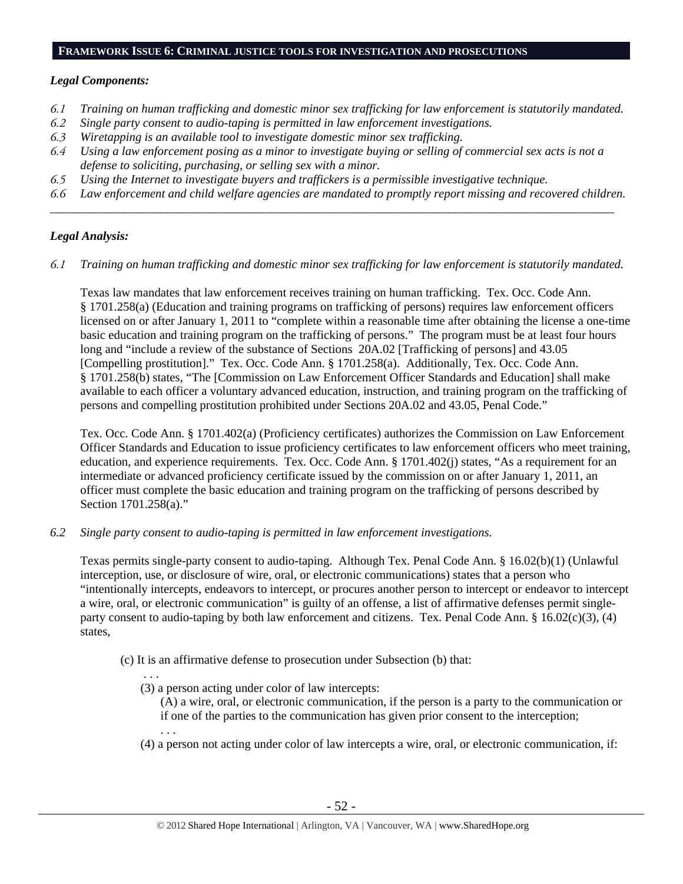#### **FRAMEWORK ISSUE 6: CRIMINAL JUSTICE TOOLS FOR INVESTIGATION AND PROSECUTIONS**

## *Legal Components:*

- *6.1 Training on human trafficking and domestic minor sex trafficking for law enforcement is statutorily mandated.*
- *6.2 Single party consent to audio-taping is permitted in law enforcement investigations.*
- *6.3 Wiretapping is an available tool to investigate domestic minor sex trafficking.*
- *6.4 Using a law enforcement posing as a minor to investigate buying or selling of commercial sex acts is not a defense to soliciting, purchasing, or selling sex with a minor.*
- *6.5 Using the Internet to investigate buyers and traffickers is a permissible investigative technique.*
- *6.6 Law enforcement and child welfare agencies are mandated to promptly report missing and recovered children. \_\_\_\_\_\_\_\_\_\_\_\_\_\_\_\_\_\_\_\_\_\_\_\_\_\_\_\_\_\_\_\_\_\_\_\_\_\_\_\_\_\_\_\_\_\_\_\_\_\_\_\_\_\_\_\_\_\_\_\_\_\_\_\_\_\_\_\_\_\_\_\_\_\_\_\_\_\_\_\_\_\_\_\_\_\_\_\_\_\_\_\_*

## *Legal Analysis:*

*6.1 Training on human trafficking and domestic minor sex trafficking for law enforcement is statutorily mandated.* 

Texas law mandates that law enforcement receives training on human trafficking. Tex. Occ. Code Ann. § 1701.258(a) (Education and training programs on trafficking of persons) requires law enforcement officers licensed on or after January 1, 2011 to "complete within a reasonable time after obtaining the license a one-time basic education and training program on the trafficking of persons." The program must be at least four hours long and "include a review of the substance of Sections 20A.02 [Trafficking of persons] and 43.05 [Compelling prostitution]." Tex. Occ. Code Ann. § 1701.258(a). Additionally, Tex. Occ. Code Ann. § 1701.258(b) states, "The [Commission on Law Enforcement Officer Standards and Education] shall make available to each officer a voluntary advanced education, instruction, and training program on the trafficking of persons and compelling prostitution prohibited under Sections 20A.02 and 43.05, Penal Code."

Tex. Occ. Code Ann. § 1701.402(a) (Proficiency certificates) authorizes the Commission on Law Enforcement Officer Standards and Education to issue proficiency certificates to law enforcement officers who meet training, education, and experience requirements. Tex. Occ. Code Ann. § 1701.402(j) states, "As a requirement for an intermediate or advanced proficiency certificate issued by the commission on or after January 1, 2011, an officer must complete the basic education and training program on the trafficking of persons described by Section 1701.258(a)."

*6.2 Single party consent to audio-taping is permitted in law enforcement investigations.* 

Texas permits single-party consent to audio-taping. Although Tex. Penal Code Ann. § 16.02(b)(1) (Unlawful interception, use, or disclosure of wire, oral, or electronic communications) states that a person who "intentionally intercepts, endeavors to intercept, or procures another person to intercept or endeavor to intercept a wire, oral, or electronic communication" is guilty of an offense, a list of affirmative defenses permit singleparty consent to audio-taping by both law enforcement and citizens. Tex. Penal Code Ann. § 16.02(c)(3), (4) states,

- (c) It is an affirmative defense to prosecution under Subsection (b) that:
	- . . . (3) a person acting under color of law intercepts:

. . .

(A) a wire, oral, or electronic communication, if the person is a party to the communication or if one of the parties to the communication has given prior consent to the interception;

(4) a person not acting under color of law intercepts a wire, oral, or electronic communication, if: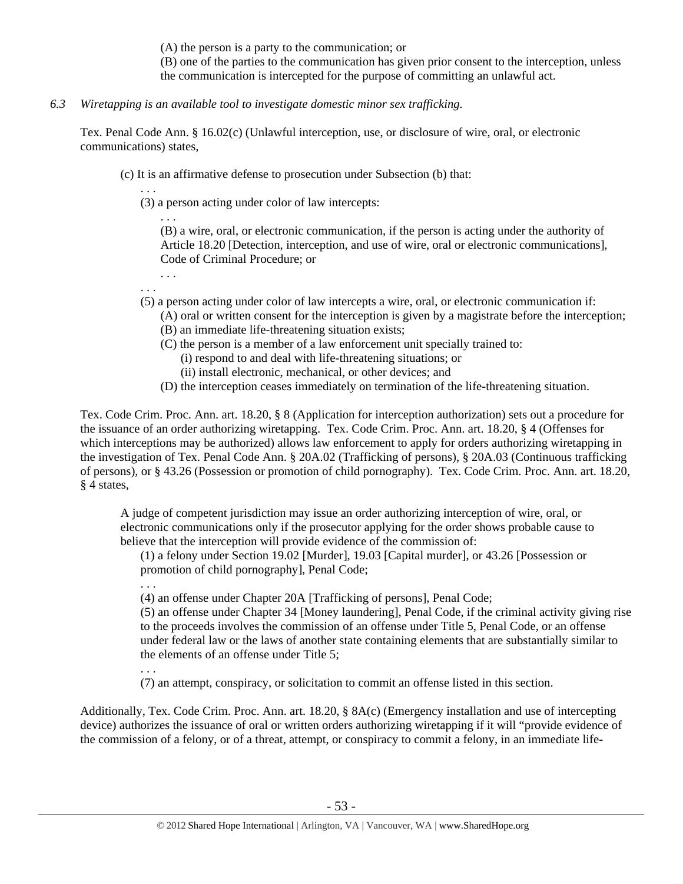(A) the person is a party to the communication; or

(B) one of the parties to the communication has given prior consent to the interception, unless the communication is intercepted for the purpose of committing an unlawful act.

*6.3 Wiretapping is an available tool to investigate domestic minor sex trafficking.* 

Tex. Penal Code Ann. § 16.02(c) (Unlawful interception, use, or disclosure of wire, oral, or electronic communications) states,

- (c) It is an affirmative defense to prosecution under Subsection (b) that:
	- . . . (3) a person acting under color of law intercepts:

(B) a wire, oral, or electronic communication, if the person is acting under the authority of Article 18.20 [Detection, interception, and use of wire, oral or electronic communications], Code of Criminal Procedure; or

. . . . . .

. . .

. . .

- (5) a person acting under color of law intercepts a wire, oral, or electronic communication if:
	- (A) oral or written consent for the interception is given by a magistrate before the interception; (B) an immediate life-threatening situation exists;
	- (C) the person is a member of a law enforcement unit specially trained to:
		- (i) respond to and deal with life-threatening situations; or
		- (ii) install electronic, mechanical, or other devices; and
	- (D) the interception ceases immediately on termination of the life-threatening situation.

Tex. Code Crim. Proc. Ann. art. 18.20, § 8 (Application for interception authorization) sets out a procedure for the issuance of an order authorizing wiretapping. Tex. Code Crim. Proc. Ann. art. 18.20, § 4 (Offenses for which interceptions may be authorized) allows law enforcement to apply for orders authorizing wiretapping in the investigation of Tex. Penal Code Ann. § 20A.02 (Trafficking of persons), § 20A.03 (Continuous trafficking of persons), or § 43.26 (Possession or promotion of child pornography). Tex. Code Crim. Proc. Ann. art. 18.20, § 4 states,

A judge of competent jurisdiction may issue an order authorizing interception of wire, oral, or electronic communications only if the prosecutor applying for the order shows probable cause to believe that the interception will provide evidence of the commission of:

(1) a felony under Section 19.02 [Murder], 19.03 [Capital murder], or 43.26 [Possession or promotion of child pornography], Penal Code;

(4) an offense under Chapter 20A [Trafficking of persons], Penal Code;

(5) an offense under Chapter 34 [Money laundering], Penal Code, if the criminal activity giving rise to the proceeds involves the commission of an offense under Title 5, Penal Code, or an offense under federal law or the laws of another state containing elements that are substantially similar to the elements of an offense under Title 5;

. . . (7) an attempt, conspiracy, or solicitation to commit an offense listed in this section.

Additionally, Tex. Code Crim. Proc. Ann. art. 18.20, § 8A(c) (Emergency installation and use of intercepting device) authorizes the issuance of oral or written orders authorizing wiretapping if it will "provide evidence of the commission of a felony, or of a threat, attempt, or conspiracy to commit a felony, in an immediate life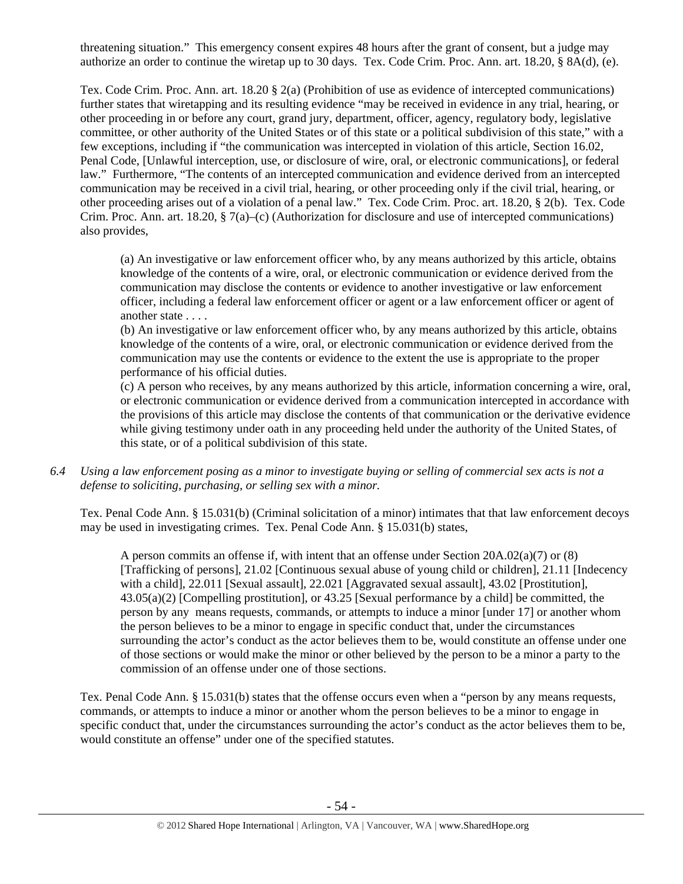threatening situation." This emergency consent expires 48 hours after the grant of consent, but a judge may authorize an order to continue the wiretap up to 30 days. Tex. Code Crim. Proc. Ann. art. 18.20, § 8A(d), (e).

Tex. Code Crim. Proc. Ann. art. 18.20 § 2(a) (Prohibition of use as evidence of intercepted communications) further states that wiretapping and its resulting evidence "may be received in evidence in any trial, hearing, or other proceeding in or before any court, grand jury, department, officer, agency, regulatory body, legislative committee, or other authority of the United States or of this state or a political subdivision of this state," with a few exceptions, including if "the communication was intercepted in violation of this article, Section 16.02, Penal Code, [Unlawful interception, use, or disclosure of wire, oral, or electronic communications], or federal law." Furthermore, "The contents of an intercepted communication and evidence derived from an intercepted communication may be received in a civil trial, hearing, or other proceeding only if the civil trial, hearing, or other proceeding arises out of a violation of a penal law." Tex. Code Crim. Proc. art. 18.20, § 2(b). Tex. Code Crim. Proc. Ann. art. 18.20, § 7(a)–(c) (Authorization for disclosure and use of intercepted communications) also provides,

(a) An investigative or law enforcement officer who, by any means authorized by this article, obtains knowledge of the contents of a wire, oral, or electronic communication or evidence derived from the communication may disclose the contents or evidence to another investigative or law enforcement officer, including a federal law enforcement officer or agent or a law enforcement officer or agent of another state . . . .

(b) An investigative or law enforcement officer who, by any means authorized by this article, obtains knowledge of the contents of a wire, oral, or electronic communication or evidence derived from the communication may use the contents or evidence to the extent the use is appropriate to the proper performance of his official duties.

(c) A person who receives, by any means authorized by this article, information concerning a wire, oral, or electronic communication or evidence derived from a communication intercepted in accordance with the provisions of this article may disclose the contents of that communication or the derivative evidence while giving testimony under oath in any proceeding held under the authority of the United States, of this state, or of a political subdivision of this state.

*6.4 Using a law enforcement posing as a minor to investigate buying or selling of commercial sex acts is not a defense to soliciting, purchasing, or selling sex with a minor.* 

Tex. Penal Code Ann. § 15.031(b) (Criminal solicitation of a minor) intimates that that law enforcement decoys may be used in investigating crimes. Tex. Penal Code Ann. § 15.031(b) states,

A person commits an offense if, with intent that an offense under Section 20A.02(a)(7) or (8) [Trafficking of persons], 21.02 [Continuous sexual abuse of young child or children], 21.11 [Indecency with a child], 22.011 [Sexual assault], 22.021 [Aggravated sexual assault], 43.02 [Prostitution], 43.05(a)(2) [Compelling prostitution], or 43.25 [Sexual performance by a child] be committed, the person by any means requests, commands, or attempts to induce a minor [under 17] or another whom the person believes to be a minor to engage in specific conduct that, under the circumstances surrounding the actor's conduct as the actor believes them to be, would constitute an offense under one of those sections or would make the minor or other believed by the person to be a minor a party to the commission of an offense under one of those sections.

Tex. Penal Code Ann. § 15.031(b) states that the offense occurs even when a "person by any means requests, commands, or attempts to induce a minor or another whom the person believes to be a minor to engage in specific conduct that, under the circumstances surrounding the actor's conduct as the actor believes them to be, would constitute an offense" under one of the specified statutes.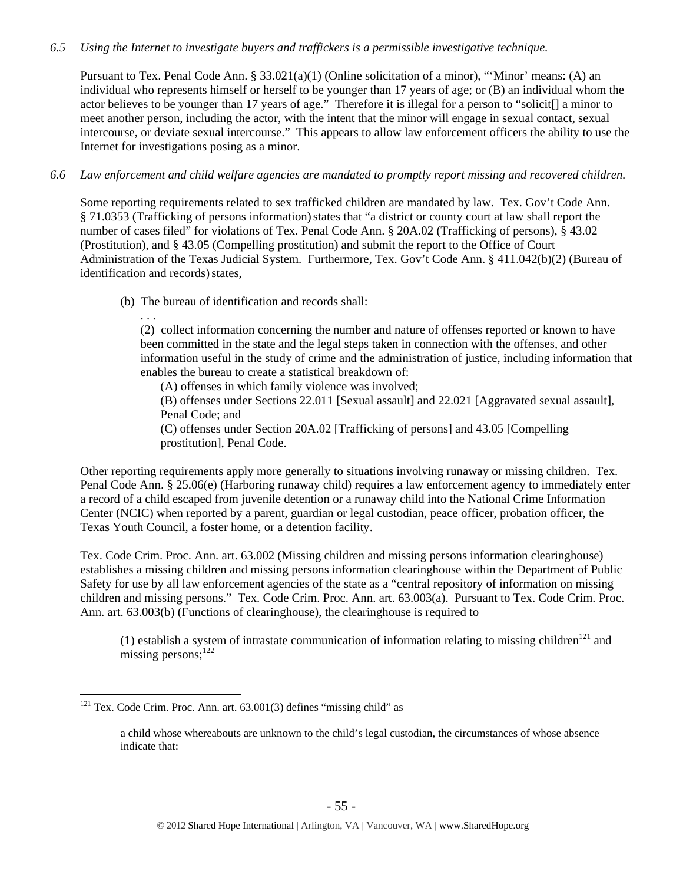## *6.5 Using the Internet to investigate buyers and traffickers is a permissible investigative technique.*

Pursuant to Tex. Penal Code Ann. § 33.021(a)(1) (Online solicitation of a minor), "'Minor' means: (A) an individual who represents himself or herself to be younger than 17 years of age; or (B) an individual whom the actor believes to be younger than 17 years of age." Therefore it is illegal for a person to "solicit[] a minor to meet another person, including the actor, with the intent that the minor will engage in sexual contact, sexual intercourse, or deviate sexual intercourse." This appears to allow law enforcement officers the ability to use the Internet for investigations posing as a minor.

## *6.6 Law enforcement and child welfare agencies are mandated to promptly report missing and recovered children.*

Some reporting requirements related to sex trafficked children are mandated by law. Tex. Gov't Code Ann. § 71.0353 (Trafficking of persons information)states that "a district or county court at law shall report the number of cases filed" for violations of Tex. Penal Code Ann. § 20A.02 (Trafficking of persons), § 43.02 (Prostitution), and § 43.05 (Compelling prostitution) and submit the report to the Office of Court Administration of the Texas Judicial System. Furthermore, Tex. Gov't Code Ann. § 411.042(b)(2) (Bureau of identification and records) states,

(b) The bureau of identification and records shall:

. . .

 $\overline{a}$ 

(2) collect information concerning the number and nature of offenses reported or known to have been committed in the state and the legal steps taken in connection with the offenses, and other information useful in the study of crime and the administration of justice, including information that enables the bureau to create a statistical breakdown of:

(A) offenses in which family violence was involved;

(B) offenses under Sections 22.011 [Sexual assault] and 22.021 [Aggravated sexual assault], Penal Code; and

(C) offenses under Section 20A.02 [Trafficking of persons] and 43.05 [Compelling prostitution], Penal Code.

Other reporting requirements apply more generally to situations involving runaway or missing children. Tex. Penal Code Ann. § 25.06(e) (Harboring runaway child) requires a law enforcement agency to immediately enter a record of a child escaped from juvenile detention or a runaway child into the National Crime Information Center (NCIC) when reported by a parent, guardian or legal custodian, peace officer, probation officer, the Texas Youth Council, a foster home, or a detention facility.

Tex. Code Crim. Proc. Ann. art. 63.002 (Missing children and missing persons information clearinghouse) establishes a missing children and missing persons information clearinghouse within the Department of Public Safety for use by all law enforcement agencies of the state as a "central repository of information on missing children and missing persons." Tex. Code Crim. Proc. Ann. art. 63.003(a). Pursuant to Tex. Code Crim. Proc. Ann. art. 63.003(b) (Functions of clearinghouse), the clearinghouse is required to

(1) establish a system of intrastate communication of information relating to missing children<sup>121</sup> and missing persons; $122$ 

 $121$  Tex. Code Crim. Proc. Ann. art.  $63.001(3)$  defines "missing child" as

a child whose whereabouts are unknown to the child's legal custodian, the circumstances of whose absence indicate that: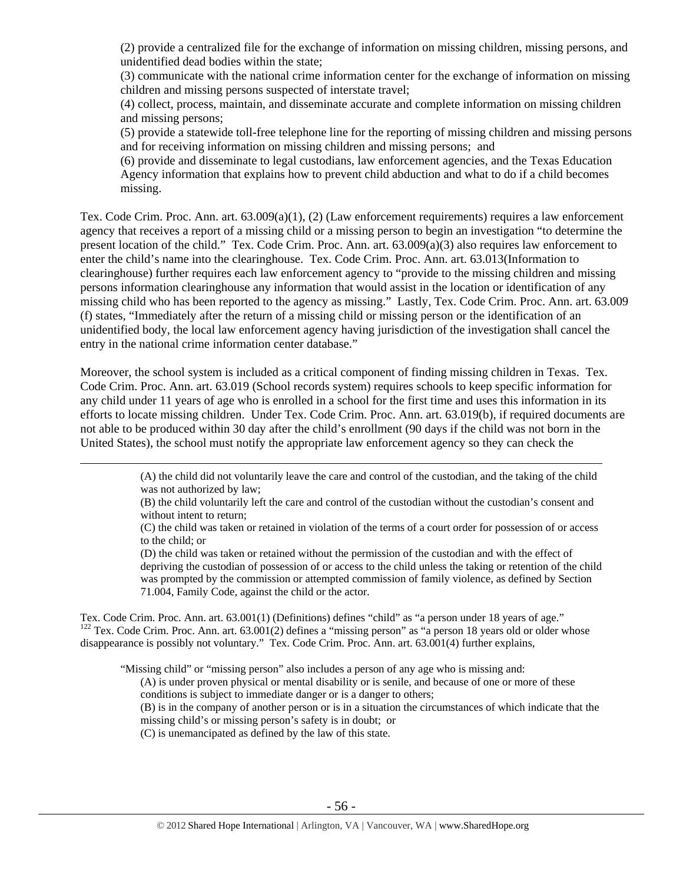(2) provide a centralized file for the exchange of information on missing children, missing persons, and unidentified dead bodies within the state;

(3) communicate with the national crime information center for the exchange of information on missing children and missing persons suspected of interstate travel;

(4) collect, process, maintain, and disseminate accurate and complete information on missing children and missing persons;

(5) provide a statewide toll-free telephone line for the reporting of missing children and missing persons and for receiving information on missing children and missing persons; and

(6) provide and disseminate to legal custodians, law enforcement agencies, and the Texas Education Agency information that explains how to prevent child abduction and what to do if a child becomes missing.

Tex. Code Crim. Proc. Ann. art. 63.009(a)(1), (2) (Law enforcement requirements) requires a law enforcement agency that receives a report of a missing child or a missing person to begin an investigation "to determine the present location of the child." Tex. Code Crim. Proc. Ann. art. 63.009(a)(3) also requires law enforcement to enter the child's name into the clearinghouse. Tex. Code Crim. Proc. Ann. art. 63.013(Information to clearinghouse) further requires each law enforcement agency to "provide to the missing children and missing persons information clearinghouse any information that would assist in the location or identification of any missing child who has been reported to the agency as missing." Lastly, Tex. Code Crim. Proc. Ann. art. 63.009 (f) states, "Immediately after the return of a missing child or missing person or the identification of an unidentified body, the local law enforcement agency having jurisdiction of the investigation shall cancel the entry in the national crime information center database."

Moreover, the school system is included as a critical component of finding missing children in Texas. Tex. Code Crim. Proc. Ann. art. 63.019 (School records system) requires schools to keep specific information for any child under 11 years of age who is enrolled in a school for the first time and uses this information in its efforts to locate missing children. Under Tex. Code Crim. Proc. Ann. art. 63.019(b), if required documents are not able to be produced within 30 day after the child's enrollment (90 days if the child was not born in the United States), the school must notify the appropriate law enforcement agency so they can check the

> (A) the child did not voluntarily leave the care and control of the custodian, and the taking of the child was not authorized by law;

> (B) the child voluntarily left the care and control of the custodian without the custodian's consent and without intent to return;

> (C) the child was taken or retained in violation of the terms of a court order for possession of or access to the child; or

(D) the child was taken or retained without the permission of the custodian and with the effect of depriving the custodian of possession of or access to the child unless the taking or retention of the child was prompted by the commission or attempted commission of family violence, as defined by Section 71.004, Family Code, against the child or the actor.

Tex. Code Crim. Proc. Ann. art. 63.001(1) (Definitions) defines "child" as "a person under 18 years of age."  $122$  Tex. Code Crim. Proc. Ann. art. 63.001(2) defines a "missing person" as "a person 18 years old or older whose disappearance is possibly not voluntary." Tex. Code Crim. Proc. Ann. art. 63.001(4) further explains,

"Missing child" or "missing person" also includes a person of any age who is missing and:

(A) is under proven physical or mental disability or is senile, and because of one or more of these conditions is subject to immediate danger or is a danger to others;

(B) is in the company of another person or is in a situation the circumstances of which indicate that the missing child's or missing person's safety is in doubt; or

(C) is unemancipated as defined by the law of this state.